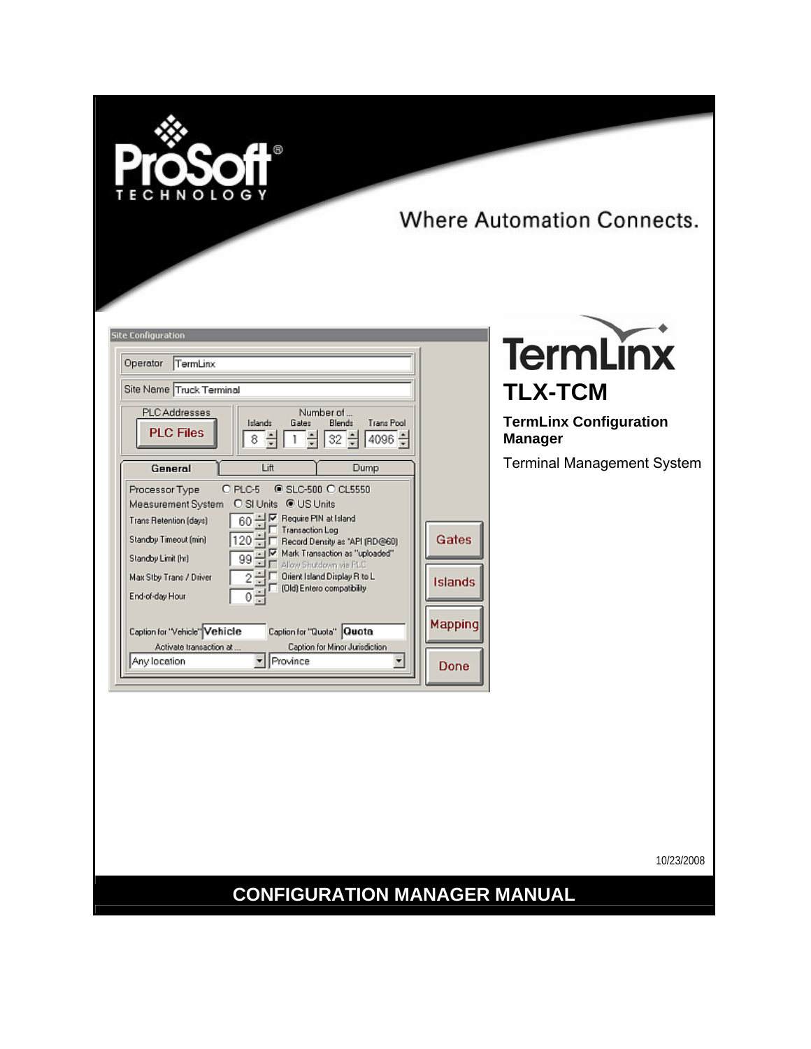

Where Automation Connects.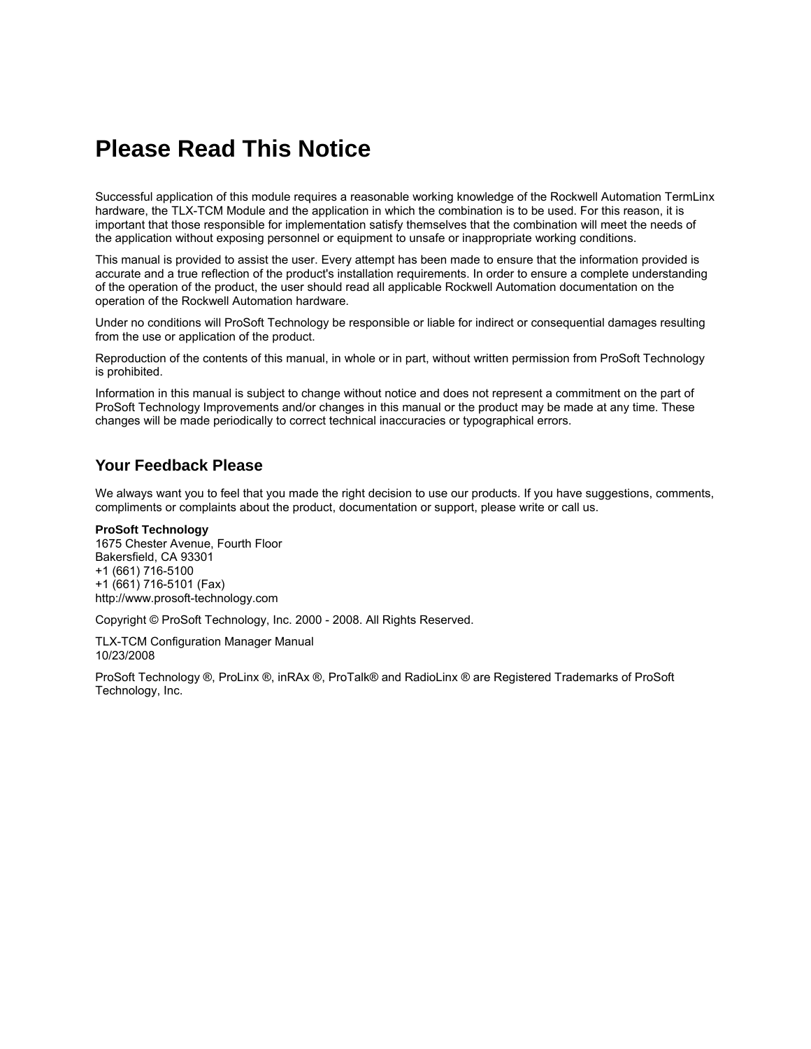## <span id="page-1-0"></span>**Please Read This Notice**

Successful application of this module requires a reasonable working knowledge of the Rockwell Automation TermLinx hardware, the TLX-TCM Module and the application in which the combination is to be used. For this reason, it is important that those responsible for implementation satisfy themselves that the combination will meet the needs of the application without exposing personnel or equipment to unsafe or inappropriate working conditions.

This manual is provided to assist the user. Every attempt has been made to ensure that the information provided is accurate and a true reflection of the product's installation requirements. In order to ensure a complete understanding of the operation of the product, the user should read all applicable Rockwell Automation documentation on the operation of the Rockwell Automation hardware.

Under no conditions will ProSoft Technology be responsible or liable for indirect or consequential damages resulting from the use or application of the product.

Reproduction of the contents of this manual, in whole or in part, without written permission from ProSoft Technology is prohibited.

Information in this manual is subject to change without notice and does not represent a commitment on the part of ProSoft Technology Improvements and/or changes in this manual or the product may be made at any time. These changes will be made periodically to correct technical inaccuracies or typographical errors.

#### <span id="page-1-1"></span>**Your Feedback Please**

We always want you to feel that you made the right decision to use our products. If you have suggestions, comments, compliments or complaints about the product, documentation or support, please write or call us.

#### **ProSoft Technology**

1675 Chester Avenue, Fourth Floor Bakersfield, CA 93301 +1 (661) 716-5100 +1 (661) 716-5101 (Fax) http://www.prosoft-technology.com

Copyright © ProSoft Technology, Inc. 2000 - 2008. All Rights Reserved.

TLX-TCM Configuration Manager Manual 10/23/2008

ProSoft Technology ®, ProLinx ®, inRAx ®, ProTalk® and RadioLinx ® are Registered Trademarks of ProSoft Technology, Inc.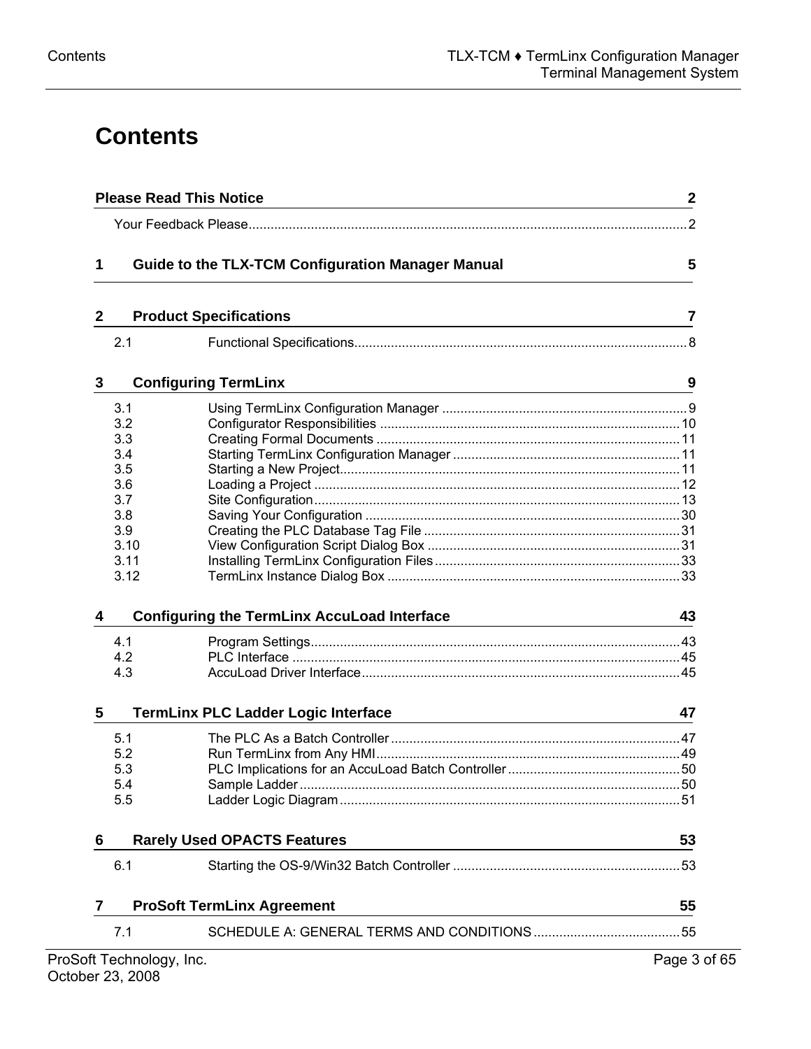# **Contents**

| 1            |      | <b>Guide to the TLX-TCM Configuration Manager Manual</b> | 5  |
|--------------|------|----------------------------------------------------------|----|
| $\mathbf{2}$ |      | <b>Product Specifications</b>                            | 7  |
|              | 2.1  |                                                          |    |
| 3            |      | <b>Configuring TermLinx</b>                              | 9  |
|              | 3.1  |                                                          |    |
|              | 3.2  |                                                          |    |
|              | 3.3  |                                                          |    |
|              | 3.4  |                                                          |    |
|              | 3.5  |                                                          |    |
|              | 3.6  |                                                          |    |
|              | 3.7  |                                                          |    |
|              | 3.8  |                                                          |    |
|              | 3.9  |                                                          |    |
|              | 3.10 |                                                          |    |
|              |      |                                                          |    |
|              | 3.11 |                                                          |    |
|              | 3.12 |                                                          |    |
| 4            |      | <b>Configuring the TermLinx AccuLoad Interface</b>       | 43 |
|              | 4.1  |                                                          |    |
|              | 4.2  |                                                          |    |
|              | 4.3  |                                                          |    |
| 5            |      | TermLinx PLC Ladder Logic Interface                      | 47 |
|              | 5.1  |                                                          |    |
|              | 5.2  |                                                          |    |
|              | 5.3  |                                                          |    |
|              | 5.4  |                                                          |    |
|              | 5.5  |                                                          |    |
| 6            |      | <b>Rarely Used OPACTS Features</b>                       | 53 |
|              | 6.1  |                                                          |    |
| 7            |      | <b>ProSoft TermLinx Agreement</b>                        | 55 |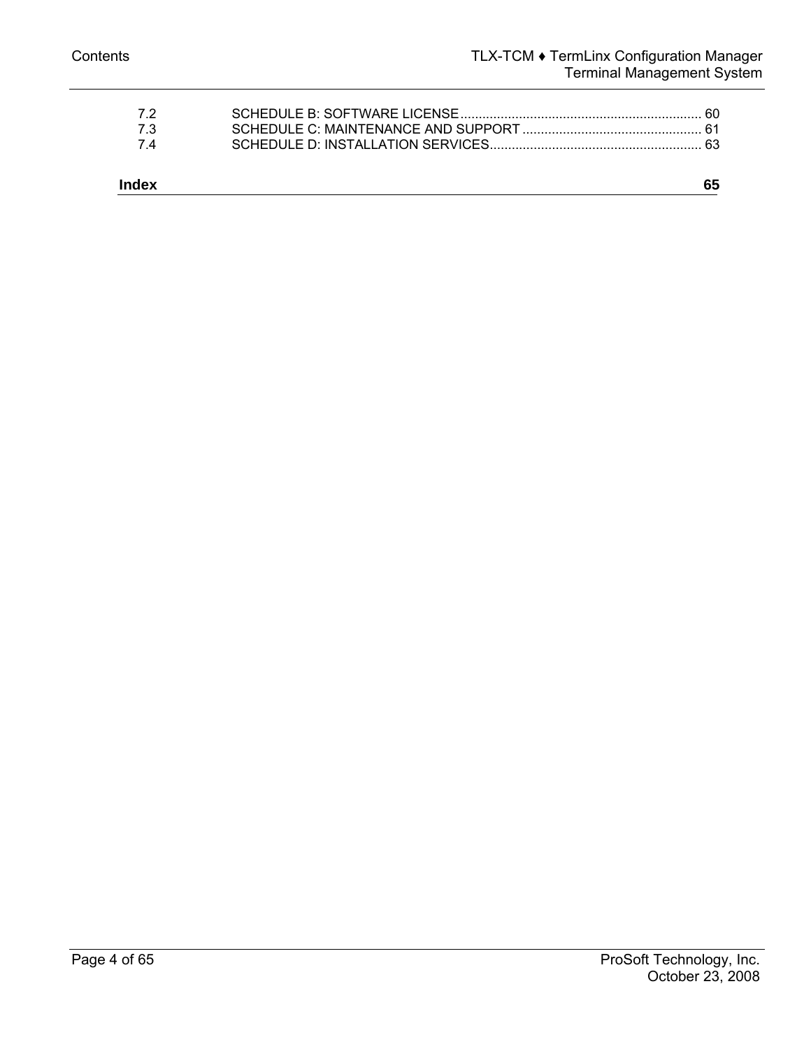| -73<br>74 |  |
|-----------|--|
|           |  |
|           |  |
| 72        |  |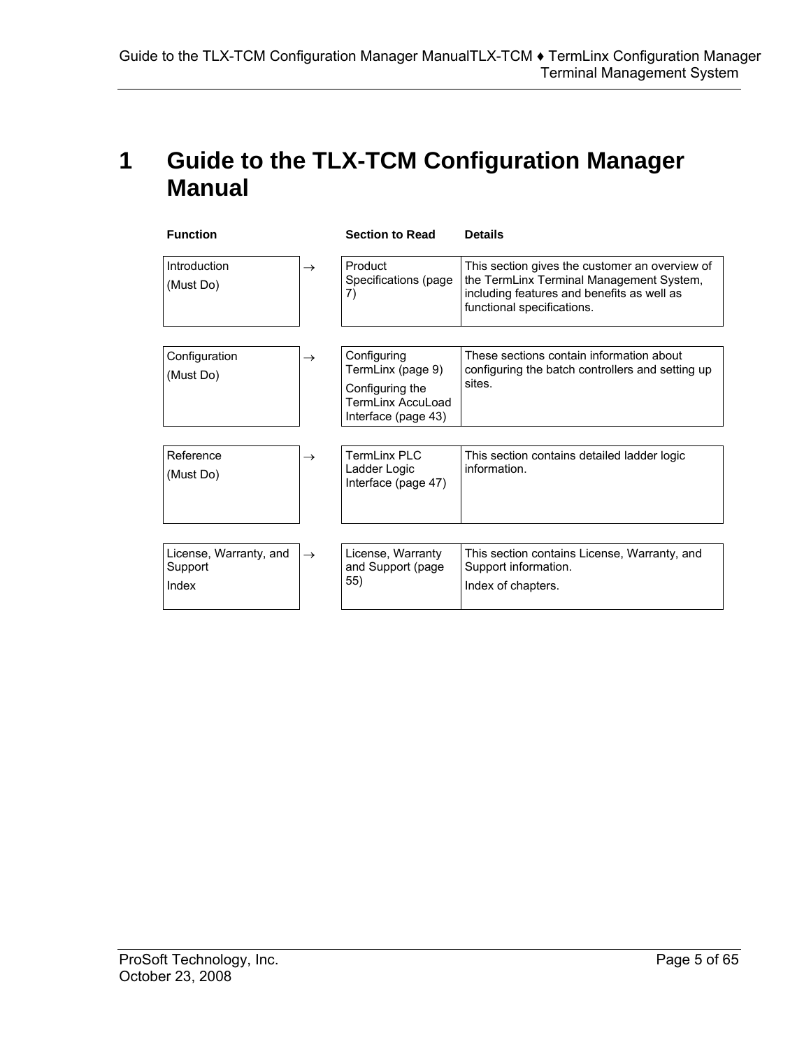## <span id="page-4-0"></span>**1 Guide to the TLX-TCM Configuration Manager Manual**

| <b>Function</b>                            |               | <b>Section to Read</b>                                                                            | <b>Details</b>                                                                                                                                                         |
|--------------------------------------------|---------------|---------------------------------------------------------------------------------------------------|------------------------------------------------------------------------------------------------------------------------------------------------------------------------|
| Introduction<br>(Must Do)                  | $\rightarrow$ | Product<br>Specifications (page<br>7)                                                             | This section gives the customer an overview of<br>the TermLinx Terminal Management System,<br>including features and benefits as well as<br>functional specifications. |
| Configuration<br>(Must Do)                 | $\rightarrow$ | Configuring<br>TermLinx (page 9)<br>Configuring the<br>Terml inx Accul oad<br>Interface (page 43) | These sections contain information about<br>configuring the batch controllers and setting up<br>sites.                                                                 |
| Reference<br>(Must Do)                     | $\rightarrow$ | TermLinx PLC<br>Ladder Logic<br>Interface (page 47)                                               | This section contains detailed ladder logic<br>information.                                                                                                            |
| License, Warranty, and<br>Support<br>Index | $\rightarrow$ | License, Warranty<br>and Support (page<br>55)                                                     | This section contains License, Warranty, and<br>Support information.<br>Index of chapters.                                                                             |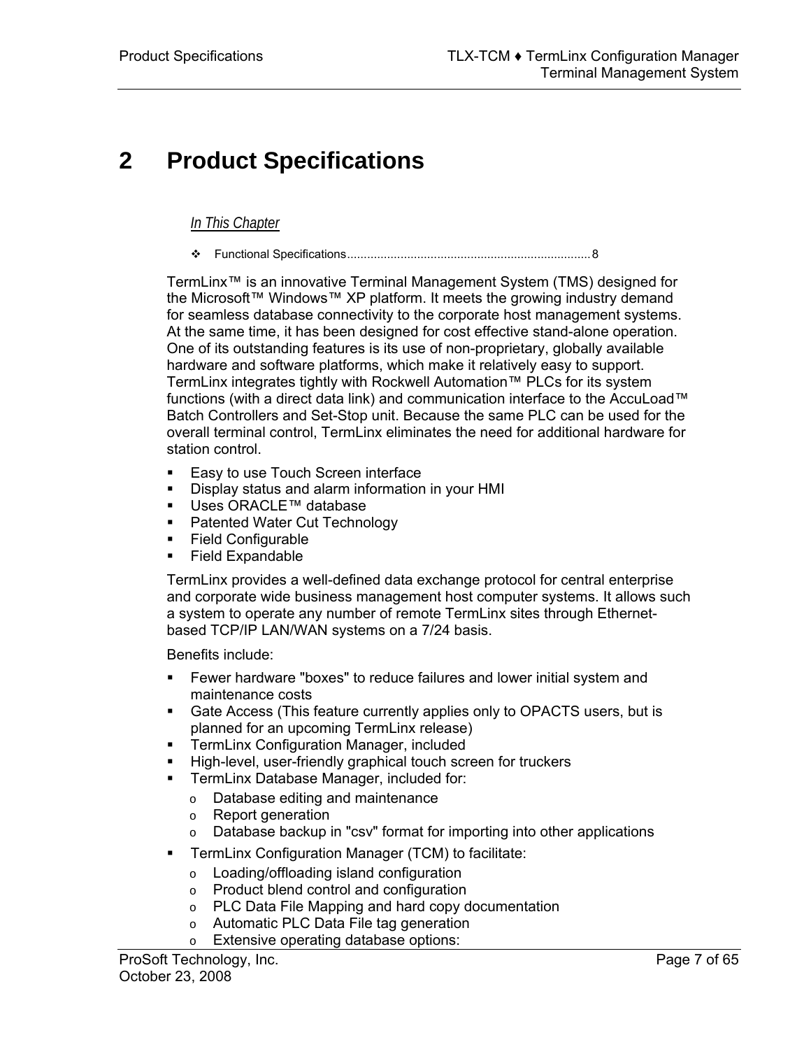# <span id="page-6-0"></span>**2 Product Specifications**

#### *In This Chapter*

[Functional Specifications.](#page-7-0)........................................................................[8](#page-7-0) 

TermLinx™ is an innovative Terminal Management System (TMS) designed for the Microsoft™ Windows™ XP platform. It meets the growing industry demand for seamless database connectivity to the corporate host management systems. At the same time, it has been designed for cost effective stand-alone operation. One of its outstanding features is its use of non-proprietary, globally available hardware and software platforms, which make it relatively easy to support. TermLinx integrates tightly with Rockwell Automation™ PLCs for its system functions (with a direct data link) and communication interface to the AccuLoad™ Batch Controllers and Set-Stop unit. Because the same PLC can be used for the overall terminal control, TermLinx eliminates the need for additional hardware for station control.

- **Easy to use Touch Screen interface**
- Display status and alarm information in your HMI
- Uses ORACLE<sup>™</sup> database
- **Patented Water Cut Technology**
- **Field Configurable**
- Field Expandable

TermLinx provides a well-defined data exchange protocol for central enterprise and corporate wide business management host computer systems. It allows such a system to operate any number of remote TermLinx sites through Ethernetbased TCP/IP LAN/WAN systems on a 7/24 basis.

Benefits include:

- Fewer hardware "boxes" to reduce failures and lower initial system and maintenance costs
- Gate Access (This feature currently applies only to OPACTS users, but is planned for an upcoming TermLinx release)
- **FI** TermLinx Configuration Manager, included
- High-level, user-friendly graphical touch screen for truckers
- **TermLinx Database Manager, included for:** 
	- o Database editing and maintenance
	- o Report generation
	- o Database backup in "csv" format for importing into other applications
- TermLinx Configuration Manager (TCM) to facilitate:
	- o Loading/offloading island configuration
	- o Product blend control and configuration
	- o PLC Data File Mapping and hard copy documentation
	- o Automatic PLC Data File tag generation
	- o Extensive operating database options: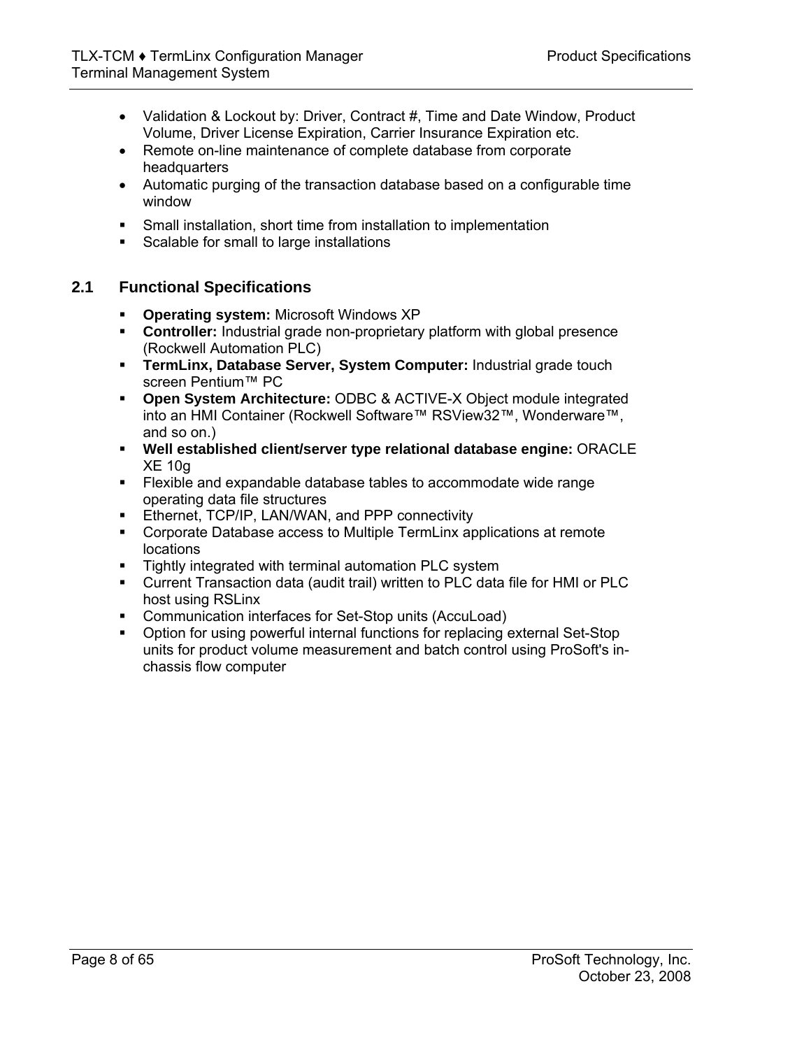- Validation & Lockout by: Driver, Contract #, Time and Date Window, Product Volume, Driver License Expiration, Carrier Insurance Expiration etc.
- Remote on-line maintenance of complete database from corporate headquarters
- Automatic purging of the transaction database based on a configurable time window
- Small installation, short time from installation to implementation
- Scalable for small to large installations

## **2.1 Functional Specifications**

- <span id="page-7-0"></span>**Operating system:** Microsoft Windows XP
- **Controller:** Industrial grade non-proprietary platform with global presence (Rockwell Automation PLC)
- **TermLinx, Database Server, System Computer:** Industrial grade touch screen Pentium™ PC
- **Open System Architecture:** ODBC & ACTIVE-X Object module integrated into an HMI Container (Rockwell Software™ RSView32™, Wonderware™, and so on.)
- **Well established client/server type relational database engine:** ORACLE XE 10g
- Flexible and expandable database tables to accommodate wide range operating data file structures
- **Ethernet, TCP/IP, LAN/WAN, and PPP connectivity**
- Corporate Database access to Multiple TermLinx applications at remote locations
- **Tightly integrated with terminal automation PLC system**
- Current Transaction data (audit trail) written to PLC data file for HMI or PLC host using RSLinx
- Communication interfaces for Set-Stop units (AccuLoad)
- Option for using powerful internal functions for replacing external Set-Stop units for product volume measurement and batch control using ProSoft's inchassis flow computer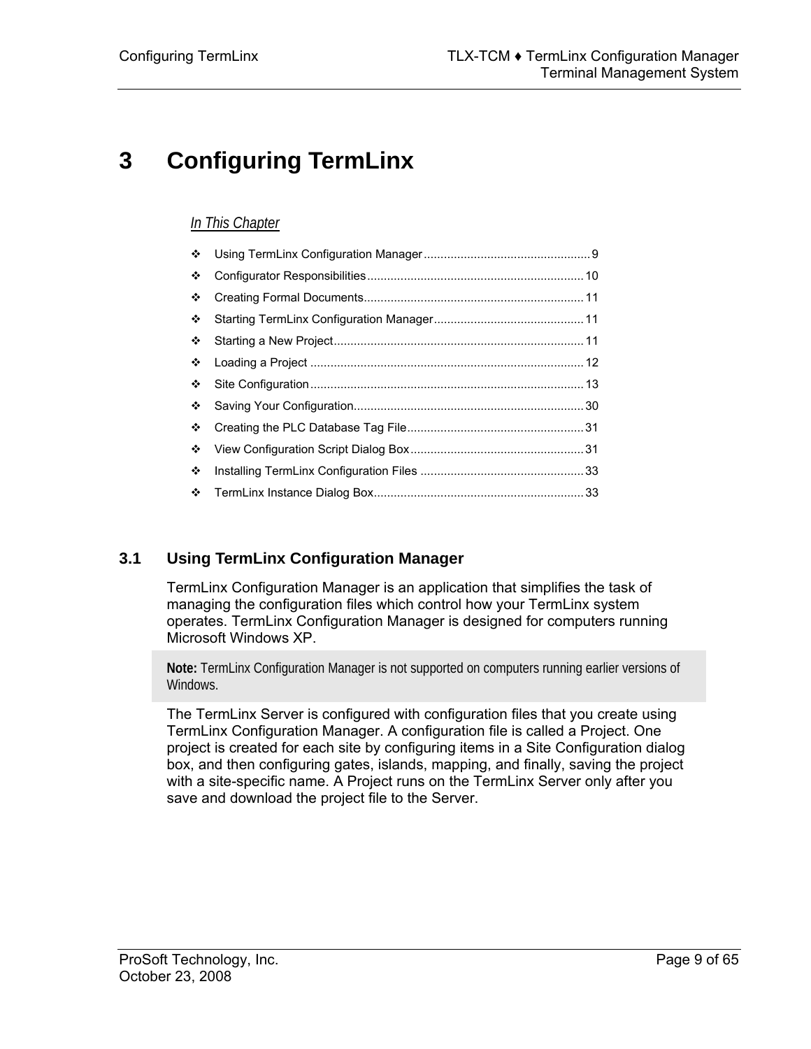# <span id="page-8-0"></span>**3 Configuring TermLinx**

## *In This Chapter*

| ❖ |  |
|---|--|
| ❖ |  |
| ❖ |  |
| ❖ |  |
| ❖ |  |
| ❖ |  |
| ❖ |  |
| ❖ |  |
| ❖ |  |
| ❖ |  |
| ❖ |  |
| ❖ |  |

## **3.1 Using TermLinx Configuration Manager**

<span id="page-8-1"></span>TermLinx Configuration Manager is an application that simplifies the task of managing the configuration files which control how your TermLinx system operates. TermLinx Configuration Manager is designed for computers running Microsoft Windows XP.

**Note:** TermLinx Configuration Manager is not supported on computers running earlier versions of Windows.

The TermLinx Server is configured with configuration files that you create using TermLinx Configuration Manager. A configuration file is called a Project. One project is created for each site by configuring items in a Site Configuration dialog box, and then configuring gates, islands, mapping, and finally, saving the project with a site-specific name. A Project runs on the TermLinx Server only after you save and download the project file to the Server.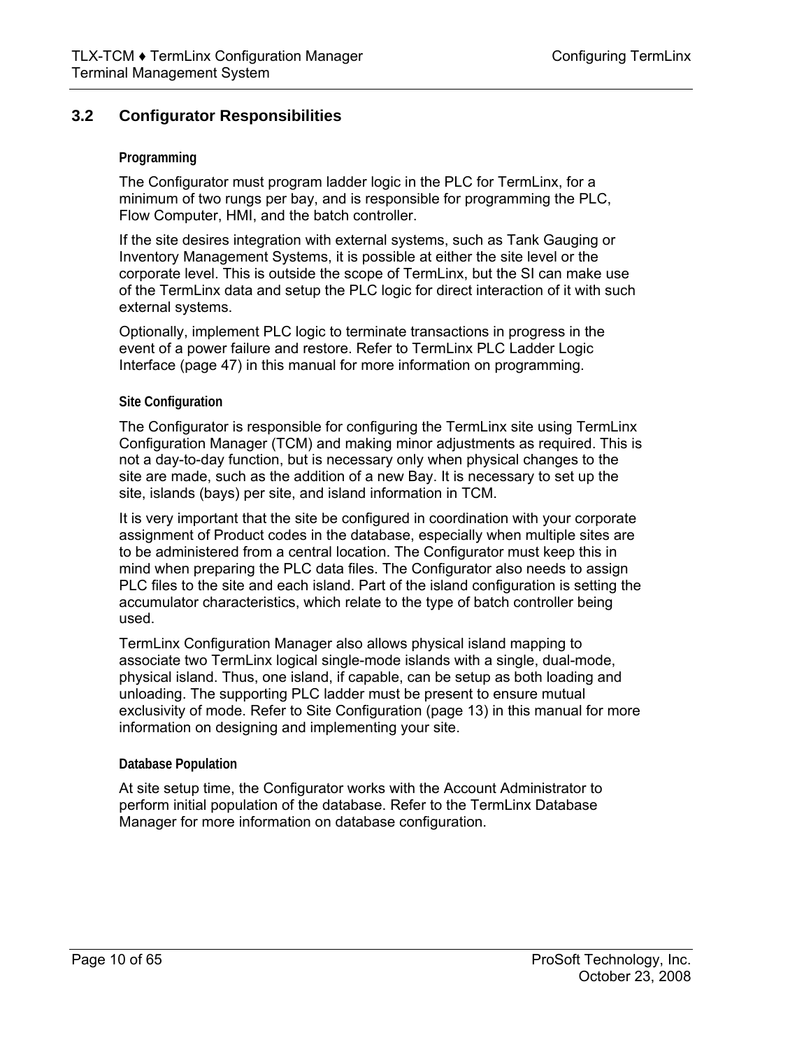## **3.2 Configurator Responsibilities**

#### <span id="page-9-0"></span>**Programming**

The Configurator must program ladder logic in the PLC for TermLinx, for a minimum of two rungs per bay, and is responsible for programming the PLC, Flow Computer, HMI, and the batch controller.

If the site desires integration with external systems, such as Tank Gauging or Inventory Management Systems, it is possible at either the site level or the corporate level. This is outside the scope of TermLinx, but the SI can make use of the TermLinx data and setup the PLC logic for direct interaction of it with such external systems.

Optionally, implement PLC logic to terminate transactions in progress in the event of a power failure and restore. Refer to TermLinx PLC Ladder Logic Interface (page [47\)](#page-46-0) in this manual for more information on programming.

#### **Site Configuration**

The Configurator is responsible for configuring the TermLinx site using TermLinx Configuration Manager (TCM) and making minor adjustments as required. This is not a day-to-day function, but is necessary only when physical changes to the site are made, such as the addition of a new Bay. It is necessary to set up the site, islands (bays) per site, and island information in TCM.

It is very important that the site be configured in coordination with your corporate assignment of Product codes in the database, especially when multiple sites are to be administered from a central location. The Configurator must keep this in mind when preparing the PLC data files. The Configurator also needs to assign PLC files to the site and each island. Part of the island configuration is setting the accumulator characteristics, which relate to the type of batch controller being used.

TermLinx Configuration Manager also allows physical island mapping to associate two TermLinx logical single-mode islands with a single, dual-mode, physical island. Thus, one island, if capable, can be setup as both loading and unloading. The supporting PLC ladder must be present to ensure mutual exclusivity of mode. Refer to Site Configuration (page [13\)](#page-12-0) in this manual for more information on designing and implementing your site.

#### **Database Population**

At site setup time, the Configurator works with the Account Administrator to perform initial population of the database. Refer to the TermLinx Database Manager for more information on database configuration.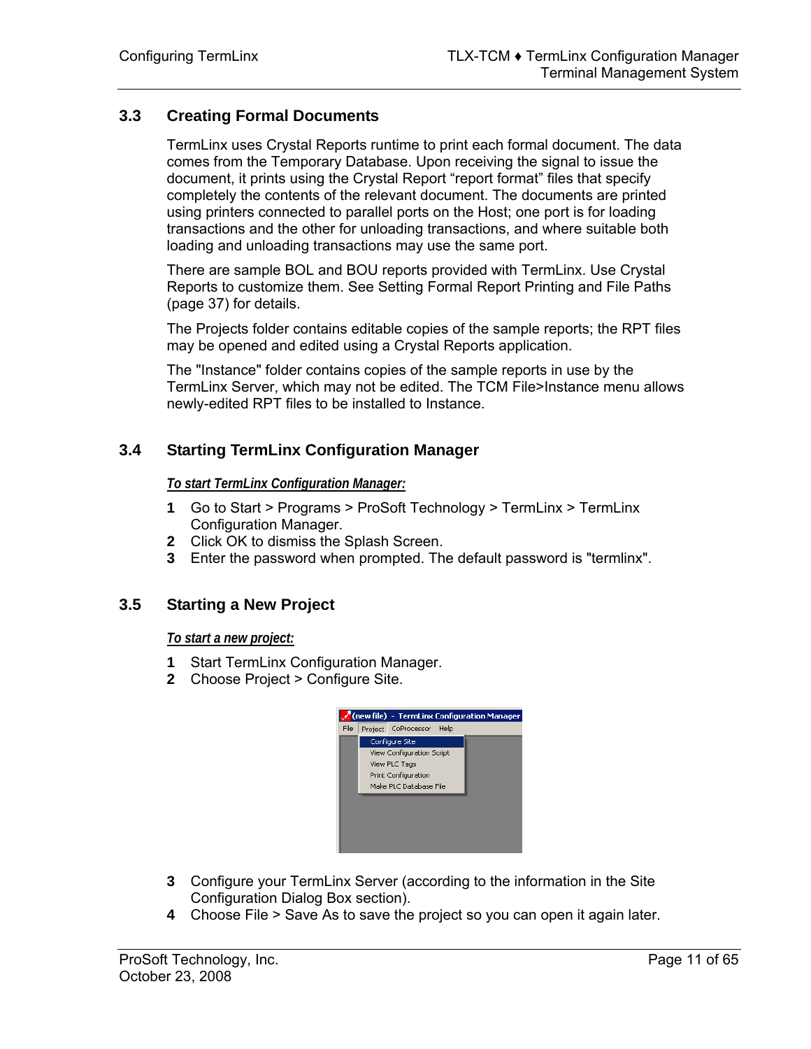## **3.3 Creating Formal Documents**

<span id="page-10-0"></span>TermLinx uses Crystal Reports runtime to print each formal document. The data comes from the Temporary Database. Upon receiving the signal to issue the document, it prints using the Crystal Report "report format" files that specify completely the contents of the relevant document. The documents are printed using printers connected to parallel ports on the Host; one port is for loading transactions and the other for unloading transactions, and where suitable both loading and unloading transactions may use the same port.

There are sample BOL and BOU reports provided with TermLinx. Use Crystal Reports to customize them. See Setting Formal Report Printing and File Paths (page [37\)](#page-36-0) for details.

The Projects folder contains editable copies of the sample reports; the RPT files may be opened and edited using a Crystal Reports application.

The "Instance" folder contains copies of the sample reports in use by the TermLinx Server, which may not be edited. The TCM File>Instance menu allows newly-edited RPT files to be installed to Instance.

## **3.4 Starting TermLinx Configuration Manager**

<span id="page-10-1"></span>*To start TermLinx Configuration Manager:*

- **1** Go to Start > Programs > ProSoft Technology > TermLinx > TermLinx Configuration Manager.
- **2** Click OK to dismiss the Splash Screen.
- **3** Enter the password when prompted. The default password is "termlinx".

## **3.5 Starting a New Project**

<span id="page-10-2"></span>*To start a new project:*

- **1** Start TermLinx Configuration Manager.
- **2** Choose Project > Configure Site.



- **3** Configure your TermLinx Server (according to the information in the Site Configuration Dialog Box section).
- **4** Choose File > Save As to save the project so you can open it again later.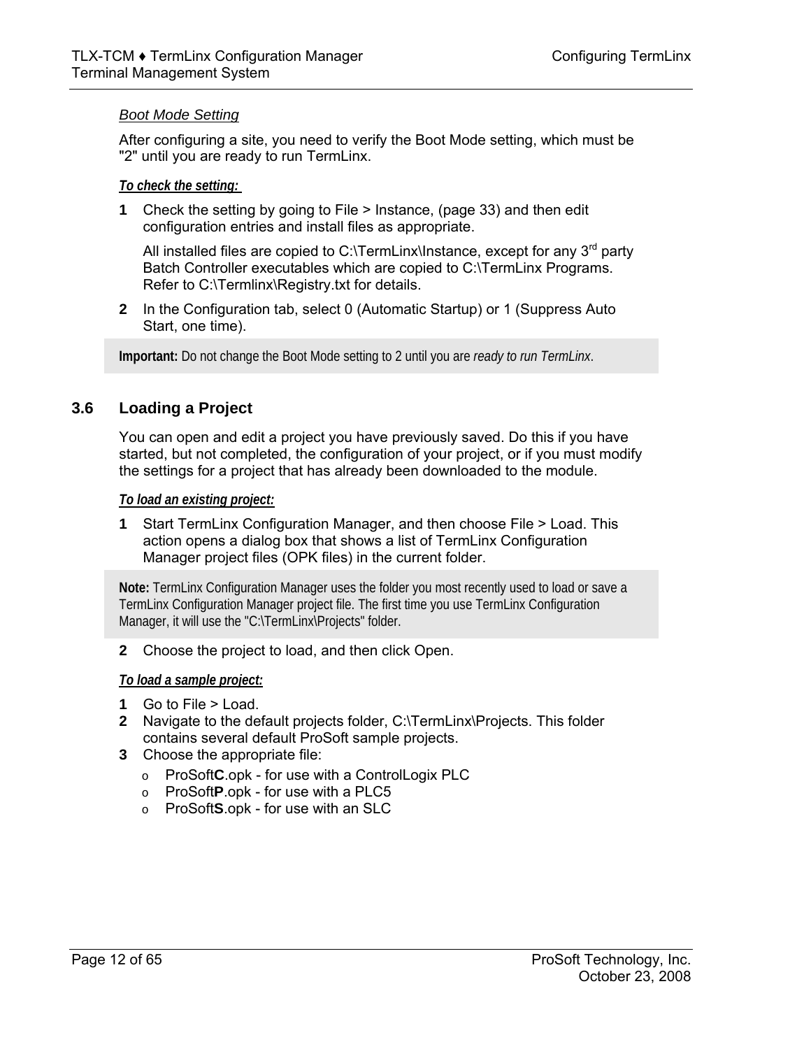#### *Boot Mode Setting*

After configuring a site, you need to verify the Boot Mode setting, which must be "2" until you are ready to run TermLinx.

#### *To check the setting:*

**1** Check the setting by going to File > Instance, (page [33\)](#page-32-1) and then edit configuration entries and install files as appropriate.

All installed files are copied to C:\TermLinx\Instance, except for any  $3<sup>rd</sup>$  party Batch Controller executables which are copied to C:\TermLinx Programs. Refer to C:\Termlinx\Registry.txt for details.

**2** In the Configuration tab, select 0 (Automatic Startup) or 1 (Suppress Auto Start, one time).

**Important:** Do not change the Boot Mode setting to 2 until you are *ready to run TermLinx*.

## **3.6 Loading a Project**

<span id="page-11-0"></span>You can open and edit a project you have previously saved. Do this if you have started, but not completed, the configuration of your project, or if you must modify the settings for a project that has already been downloaded to the module.

#### *To load an existing project:*

**1** Start TermLinx Configuration Manager, and then choose File > Load. This action opens a dialog box that shows a list of TermLinx Configuration Manager project files (OPK files) in the current folder.

**Note:** TermLinx Configuration Manager uses the folder you most recently used to load or save a TermLinx Configuration Manager project file. The first time you use TermLinx Configuration Manager, it will use the "C:\TermLinx\Projects" folder.

**2** Choose the project to load, and then click Open.

#### *To load a sample project:*

- **1** Go to File > Load.
- **2** Navigate to the default projects folder, C:\TermLinx\Projects. This folder contains several default ProSoft sample projects.
- **3** Choose the appropriate file:
	- o ProSoft**C**.opk for use with a ControlLogix PLC
	- o ProSoft**P**.opk for use with a PLC5
	- o ProSoft**S**.opk for use with an SLC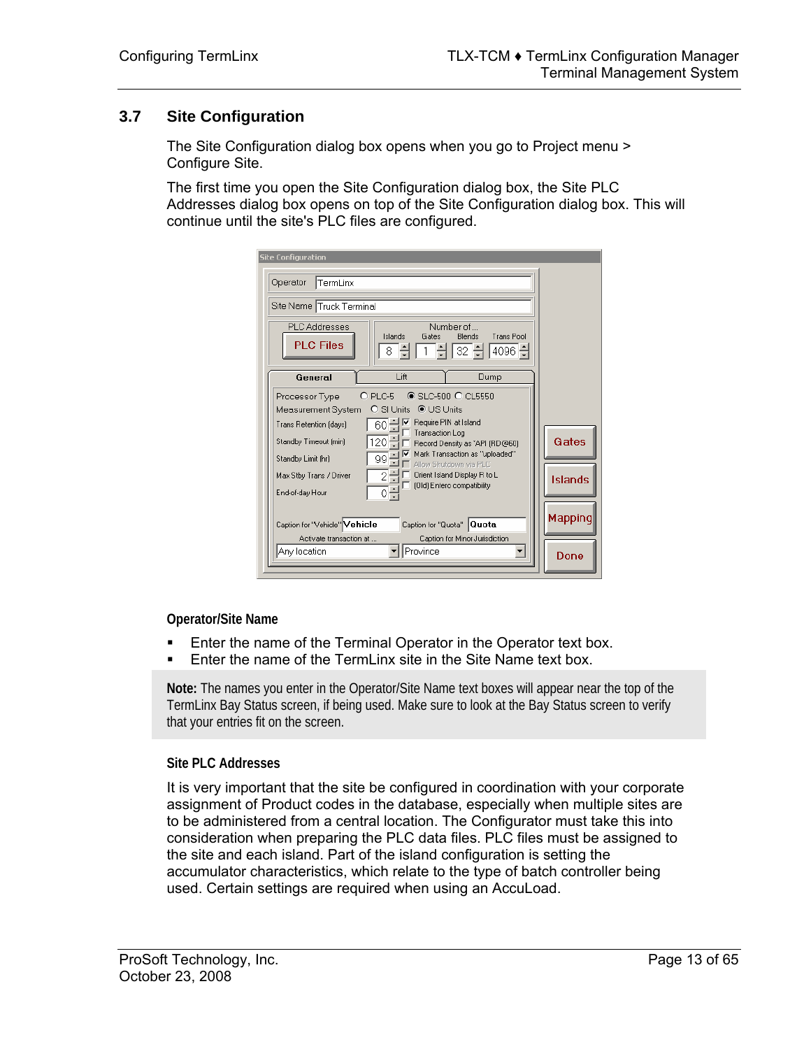## **3.7 Site Configuration**

<span id="page-12-0"></span>The Site Configuration dialog box opens when you go to Project menu > Configure Site.

The first time you open the Site Configuration dialog box, the Site PLC Addresses dialog box opens on top of the Site Configuration dialog box. This will continue until the site's PLC files are configured.

| <b>Site Configuration</b>                                                                                                                                                                                                                                                                                                                                                                                                                                               |                  |
|-------------------------------------------------------------------------------------------------------------------------------------------------------------------------------------------------------------------------------------------------------------------------------------------------------------------------------------------------------------------------------------------------------------------------------------------------------------------------|------------------|
| TermLinx<br>Operator                                                                                                                                                                                                                                                                                                                                                                                                                                                    |                  |
| Site Name Truck Terminal                                                                                                                                                                                                                                                                                                                                                                                                                                                |                  |
| Numher of<br><b>PLC Addresses</b><br>Islands<br>Blends<br>Trans Pool<br>Gates<br><b>PLC Files</b><br>32 쉬<br>$4096$ 쉬<br>8                                                                                                                                                                                                                                                                                                                                              |                  |
| Lift<br>Dump<br>General                                                                                                                                                                                                                                                                                                                                                                                                                                                 |                  |
| $\odot$ SLC-500 $\odot$ CL5550<br>$O$ PLC-5<br>Processor Type<br>Measurement System<br>Require PIN at Island<br>60 달이<br><b>Trans Retention (davs)</b><br>Transaction Log<br>Standby Timeout (min)<br>120<br>Record Density as "API (RD@60)<br>Mark Transaction as "uploaded"<br>99<br>Standby Limit (hr)<br>Allow Shutdown via PLC<br>$\overline{2}$<br>Orient Island Display R to L<br>Max Stby Trans / Driver<br>(Old) Entero compatibility<br>ο÷<br>End-of-day Hour | Gates<br>Islands |
| Caption for "Vehicle" Vehicle<br>Caption for "Quota" Quota                                                                                                                                                                                                                                                                                                                                                                                                              | Mapping          |
| Caption for Minor Jurisdiction<br>Activate transaction at<br>Province<br>Any location                                                                                                                                                                                                                                                                                                                                                                                   | Done             |

**Operator/Site Name** 

- **Enter the name of the Terminal Operator in the Operator text box.**
- **Enter the name of the TermLinx site in the Site Name text box.**

**Note:** The names you enter in the Operator/Site Name text boxes will appear near the top of the TermLinx Bay Status screen, if being used. Make sure to look at the Bay Status screen to verify that your entries fit on the screen.

#### **Site PLC Addresses**

It is very important that the site be configured in coordination with your corporate assignment of Product codes in the database, especially when multiple sites are to be administered from a central location. The Configurator must take this into consideration when preparing the PLC data files. PLC files must be assigned to the site and each island. Part of the island configuration is setting the accumulator characteristics, which relate to the type of batch controller being used. Certain settings are required when using an AccuLoad.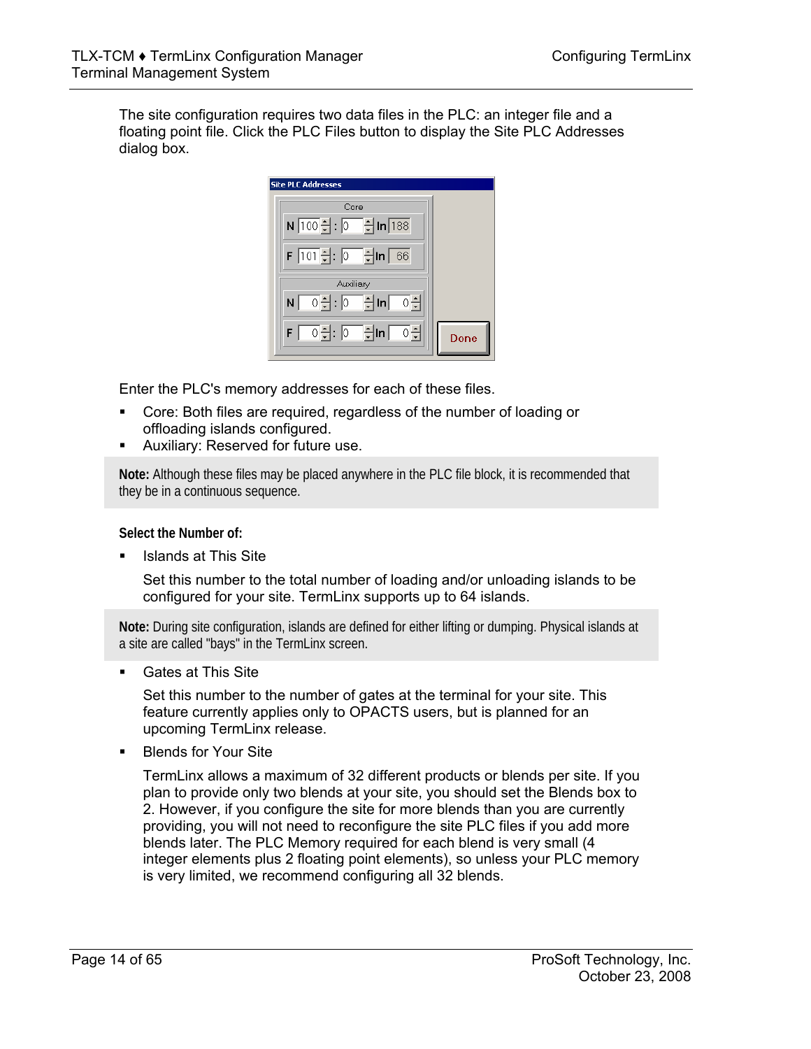The site configuration requires two data files in the PLC: an integer file and a floating point file. Click the PLC Files button to display the Site PLC Addresses dialog box.

| <b>Site PLC Addresses</b>                         |      |
|---------------------------------------------------|------|
| Core                                              |      |
| N 100引: 0 - H In 188                              |      |
| 66                                                |      |
| Auxiliary                                         |      |
| - 이쉬 : <u>[이</u> - ] ln <mark>- 이</mark> - ]<br>N |      |
| <u> 이뤄: [이 -</u> 뤼ln [<br>허<br>F                  | Done |

Enter the PLC's memory addresses for each of these files.

- Core: Both files are required, regardless of the number of loading or offloading islands configured.
- Auxiliary: Reserved for future use.

**Note:** Although these files may be placed anywhere in the PLC file block, it is recommended that they be in a continuous sequence.

**Select the Number of:** 

Islands at This Site

Set this number to the total number of loading and/or unloading islands to be configured for your site. TermLinx supports up to 64 islands.

**Note:** During site configuration, islands are defined for either lifting or dumping. Physical islands at a site are called "bays" in the TermLinx screen.

**Gates at This Site** 

Set this number to the number of gates at the terminal for your site. This feature currently applies only to OPACTS users, but is planned for an upcoming TermLinx release.

Blends for Your Site

TermLinx allows a maximum of 32 different products or blends per site. If you plan to provide only two blends at your site, you should set the Blends box to 2. However, if you configure the site for more blends than you are currently providing, you will not need to reconfigure the site PLC files if you add more blends later. The PLC Memory required for each blend is very small (4 integer elements plus 2 floating point elements), so unless your PLC memory is very limited, we recommend configuring all 32 blends.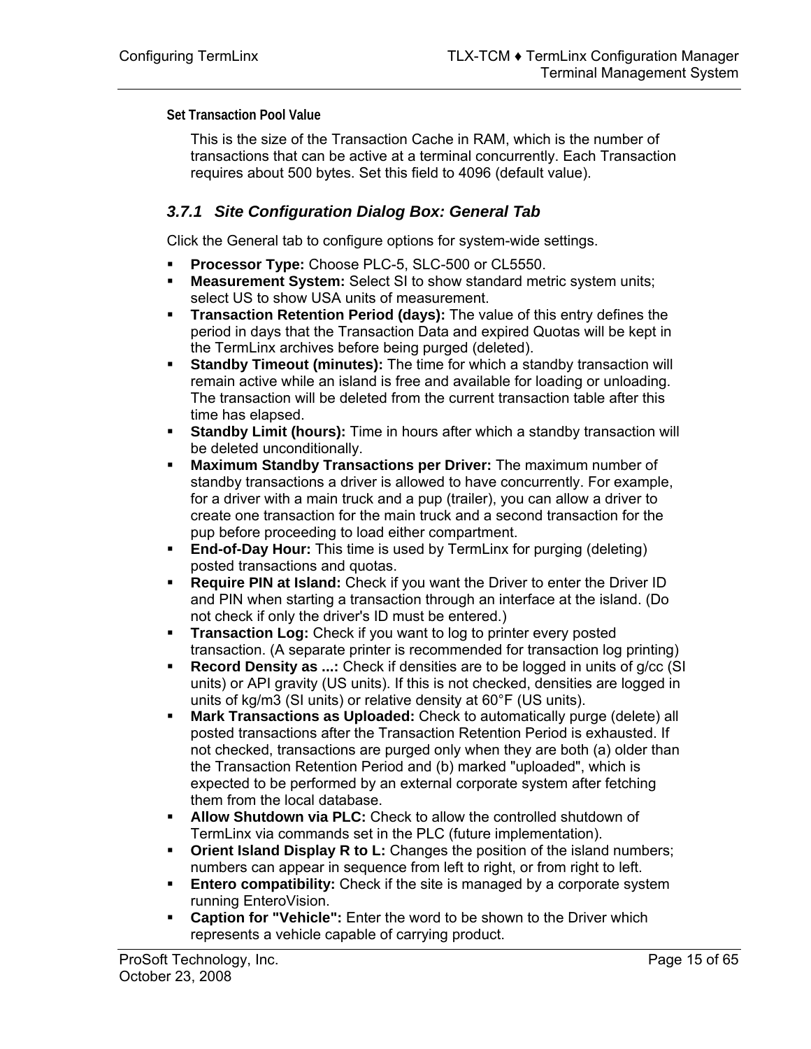**Set Transaction Pool Value** 

This is the size of the Transaction Cache in RAM, which is the number of transactions that can be active at a terminal concurrently. Each Transaction requires about 500 bytes. Set this field to 4096 (default value).

## *3.7.1 Site Configuration Dialog Box: General Tab*

Click the General tab to configure options for system-wide settings.

- **Processor Type:** Choose PLC-5, SLC-500 or CL5550.
- **Measurement System:** Select SI to show standard metric system units; select US to show USA units of measurement.
- **Transaction Retention Period (days):** The value of this entry defines the period in days that the Transaction Data and expired Quotas will be kept in the TermLinx archives before being purged (deleted).
- **Standby Timeout (minutes):** The time for which a standby transaction will remain active while an island is free and available for loading or unloading. The transaction will be deleted from the current transaction table after this time has elapsed.
- **Standby Limit (hours):** Time in hours after which a standby transaction will be deleted unconditionally.
- **Maximum Standby Transactions per Driver:** The maximum number of standby transactions a driver is allowed to have concurrently. For example, for a driver with a main truck and a pup (trailer), you can allow a driver to create one transaction for the main truck and a second transaction for the pup before proceeding to load either compartment.
- **End-of-Day Hour:** This time is used by TermLinx for purging (deleting) posted transactions and quotas.
- **Require PIN at Island:** Check if you want the Driver to enter the Driver ID and PIN when starting a transaction through an interface at the island. (Do not check if only the driver's ID must be entered.)
- **Transaction Log:** Check if you want to log to printer every posted transaction. (A separate printer is recommended for transaction log printing)
- **Record Density as ...:** Check if densities are to be logged in units of g/cc (SI units) or API gravity (US units). If this is not checked, densities are logged in units of kg/m3 (SI units) or relative density at 60°F (US units).
- **Mark Transactions as Uploaded:** Check to automatically purge (delete) all posted transactions after the Transaction Retention Period is exhausted. If not checked, transactions are purged only when they are both (a) older than the Transaction Retention Period and (b) marked "uploaded", which is expected to be performed by an external corporate system after fetching them from the local database.
- **Allow Shutdown via PLC:** Check to allow the controlled shutdown of TermLinx via commands set in the PLC (future implementation).
- **Ciance 1 Orient Island Display R to L:** Changes the position of the island numbers; numbers can appear in sequence from left to right, or from right to left.
- **Entero compatibility:** Check if the site is managed by a corporate system running EnteroVision.
- **Caption for "Vehicle":** Enter the word to be shown to the Driver which represents a vehicle capable of carrying product.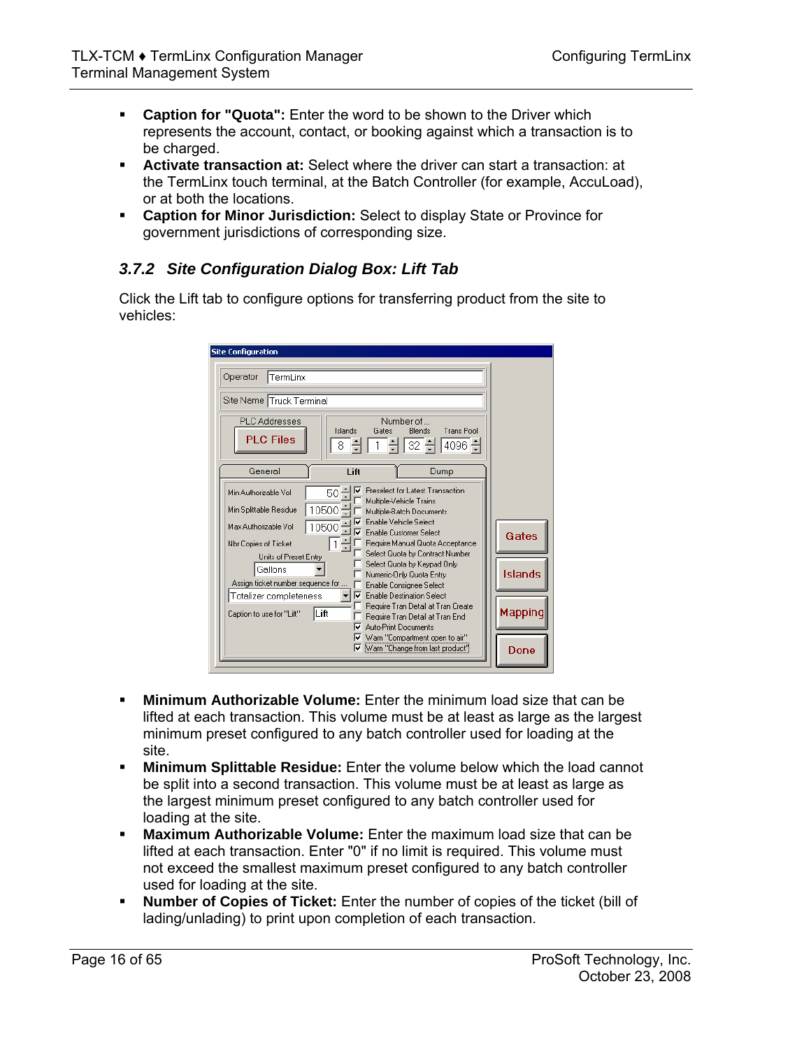- **Caption for "Quota":** Enter the word to be shown to the Driver which represents the account, contact, or booking against which a transaction is to be charged.
- **Activate transaction at:** Select where the driver can start a transaction: at the TermLinx touch terminal, at the Batch Controller (for example, AccuLoad), or at both the locations.
- **Caption for Minor Jurisdiction:** Select to display State or Province for government jurisdictions of corresponding size.

## *3.7.2 Site Configuration Dialog Box: Lift Tab*

Click the Lift tab to configure options for transferring product from the site to vehicles:

| <b>Site Configuration</b>                                     |              |                                                                                               |                      |         |
|---------------------------------------------------------------|--------------|-----------------------------------------------------------------------------------------------|----------------------|---------|
| Operator<br> TermLinx                                         |              |                                                                                               |                      |         |
| Site Name Truck Terminal                                      |              |                                                                                               |                      |         |
| <b>PLC Addresses</b><br><b>PLC Files</b>                      | Islands<br>8 | Number of<br>Blends<br>Gates<br>32 흔                                                          | Trans Pool<br>4096 극 |         |
| General                                                       | Lift         |                                                                                               | Dump                 |         |
| Min Authorizable Vol<br>50<br>10500<br>Min Splittable Residue |              | Preselect for Latest Transaction<br>Multiple-Vehicle Trains<br>Multiple-Batch Documents       |                      |         |
| $10500 -$<br>Max Authorizable Vol.<br>Nbr Copies of Ticket    |              | Enable Vehicle Select<br><b>Enable Customer Select</b><br>Require Manual Quota Acceptance     |                      | Gates   |
| Units of Preset Entry<br>Gallons                              |              | Select Quota by Contract Number<br>Select Quota by Keypad Only<br>Numeric-Only Quota Entry    |                      | Islands |
| Assign ticket number sequence for<br>Totalizer completeness   | ⊽            | Enable Consignee Select<br><b>Enable Destination Select</b>                                   |                      |         |
| Lift<br>Caption to use for "Lift"                             | v            | Require Tran Detail at Tran Create<br>Require Tran Detail at Tran End<br>Auto-Print Documents |                      | Mapping |
|                                                               |              | Ⅳ Warn "Compartment open to air"<br>Warn "Change from last product"                           |                      | Done    |

- **Minimum Authorizable Volume:** Enter the minimum load size that can be lifted at each transaction. This volume must be at least as large as the largest minimum preset configured to any batch controller used for loading at the site.
- **Minimum Splittable Residue:** Enter the volume below which the load cannot be split into a second transaction. This volume must be at least as large as the largest minimum preset configured to any batch controller used for loading at the site.
- **Maximum Authorizable Volume:** Enter the maximum load size that can be lifted at each transaction. Enter "0" if no limit is required. This volume must not exceed the smallest maximum preset configured to any batch controller used for loading at the site.
- **Number of Copies of Ticket:** Enter the number of copies of the ticket (bill of lading/unlading) to print upon completion of each transaction.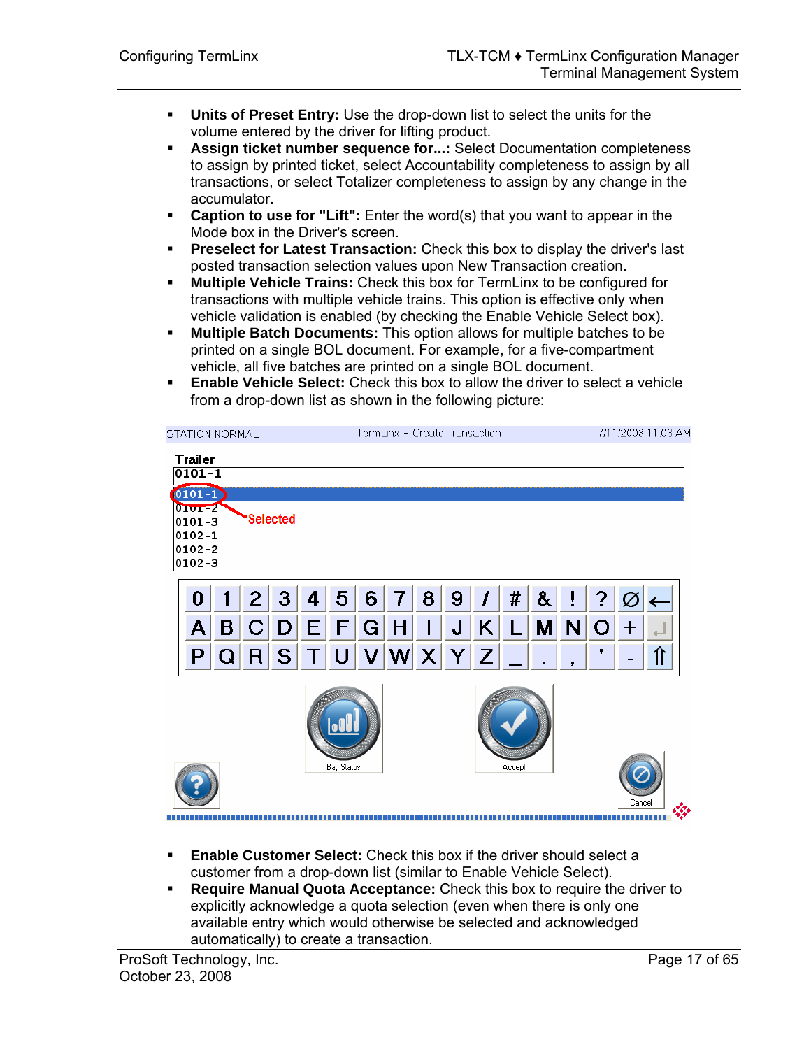- **Units of Preset Entry:** Use the drop-down list to select the units for the volume entered by the driver for lifting product.
- **Assign ticket number sequence for...:** Select Documentation completeness to assign by printed ticket, select Accountability completeness to assign by all transactions, or select Totalizer completeness to assign by any change in the accumulator.
- **Caption to use for "Lift":** Enter the word(s) that you want to appear in the Mode box in the Driver's screen.
- **Preselect for Latest Transaction:** Check this box to display the driver's last posted transaction selection values upon New Transaction creation.
- **Multiple Vehicle Trains:** Check this box for TermLinx to be configured for transactions with multiple vehicle trains. This option is effective only when vehicle validation is enabled (by checking the Enable Vehicle Select box).
- **Multiple Batch Documents:** This option allows for multiple batches to be printed on a single BOL document. For example, for a five-compartment vehicle, all five batches are printed on a single BOL document.
- **Enable Vehicle Select:** Check this box to allow the driver to select a vehicle from a drop-down list as shown in the following picture:

|                              | <b>STATION NORMAL</b> |              |                 |        |                   |   | TermLinx - Create Transaction |   |      |   |        |   |              |          |             | 7/11/2008 11:03 AM |
|------------------------------|-----------------------|--------------|-----------------|--------|-------------------|---|-------------------------------|---|------|---|--------|---|--------------|----------|-------------|--------------------|
| <b>Trailer</b><br>$0101 - 1$ |                       |              |                 |        |                   |   |                               |   |      |   |        |   |              |          |             |                    |
| $(0101 - 1)$<br>$0101 - 2$   |                       |              |                 |        |                   |   |                               |   |      |   |        |   |              |          |             |                    |
| 0101-3<br>$0102 - 1$         |                       |              | <b>Selected</b> |        |                   |   |                               |   |      |   |        |   |              |          |             |                    |
| $0102 - 2$<br>0102-3         |                       |              |                 |        |                   |   |                               |   |      |   |        |   |              |          |             |                    |
| 0                            | 1                     | $\mathbf{2}$ | 3               | 4      | 5                 | 6 |                               | 8 | 9    |   | #      | & | Ī            | ?        |             |                    |
| Α                            | B                     | $\mathbf C$  | $\vert D \vert$ | E.     | F                 | G | H                             |   | J    | K | L      | M | $\mathsf{N}$ | $\Omega$ | $\mathbf +$ |                    |
| P                            | Q                     | R            | <sub>S</sub>    | $\top$ | U                 | V |                               |   | WX Y | Z |        |   | ,            | ۷        |             | ⇑                  |
|                              |                       |              |                 |        | <b>Bay Status</b> |   |                               |   |      |   | Accept |   |              |          | Cancel      |                    |
|                              |                       |              |                 |        |                   |   |                               |   |      |   |        |   |              |          |             |                    |

- **Enable Customer Select:** Check this box if the driver should select a customer from a drop-down list (similar to Enable Vehicle Select).
- **Require Manual Quota Acceptance:** Check this box to require the driver to explicitly acknowledge a quota selection (even when there is only one available entry which would otherwise be selected and acknowledged automatically) to create a transaction.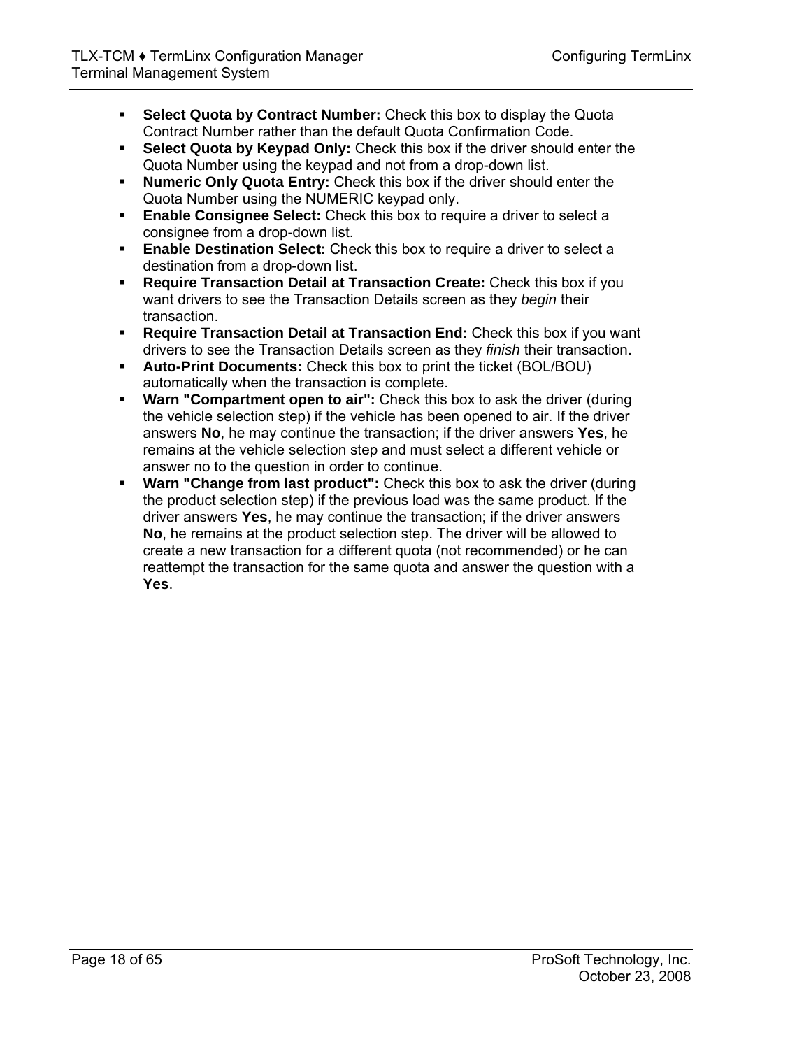- **Select Quota by Contract Number:** Check this box to display the Quota Contract Number rather than the default Quota Confirmation Code.
- **Select Quota by Keypad Only:** Check this box if the driver should enter the Quota Number using the keypad and not from a drop-down list.
- **Numeric Only Quota Entry:** Check this box if the driver should enter the Quota Number using the NUMERIC keypad only.
- **Enable Consignee Select:** Check this box to require a driver to select a consignee from a drop-down list.
- **Enable Destination Select:** Check this box to require a driver to select a destination from a drop-down list.
- **Require Transaction Detail at Transaction Create:** Check this box if you want drivers to see the Transaction Details screen as they *begin* their transaction.
- **Require Transaction Detail at Transaction End:** Check this box if you want drivers to see the Transaction Details screen as they *finish* their transaction.
- **Auto-Print Documents:** Check this box to print the ticket (BOL/BOU) automatically when the transaction is complete.
- **Warn "Compartment open to air":** Check this box to ask the driver (during the vehicle selection step) if the vehicle has been opened to air. If the driver answers **No**, he may continue the transaction; if the driver answers **Yes**, he remains at the vehicle selection step and must select a different vehicle or answer no to the question in order to continue.
- **Warn "Change from last product":** Check this box to ask the driver (during the product selection step) if the previous load was the same product. If the driver answers **Yes**, he may continue the transaction; if the driver answers **No**, he remains at the product selection step. The driver will be allowed to create a new transaction for a different quota (not recommended) or he can reattempt the transaction for the same quota and answer the question with a **Yes**.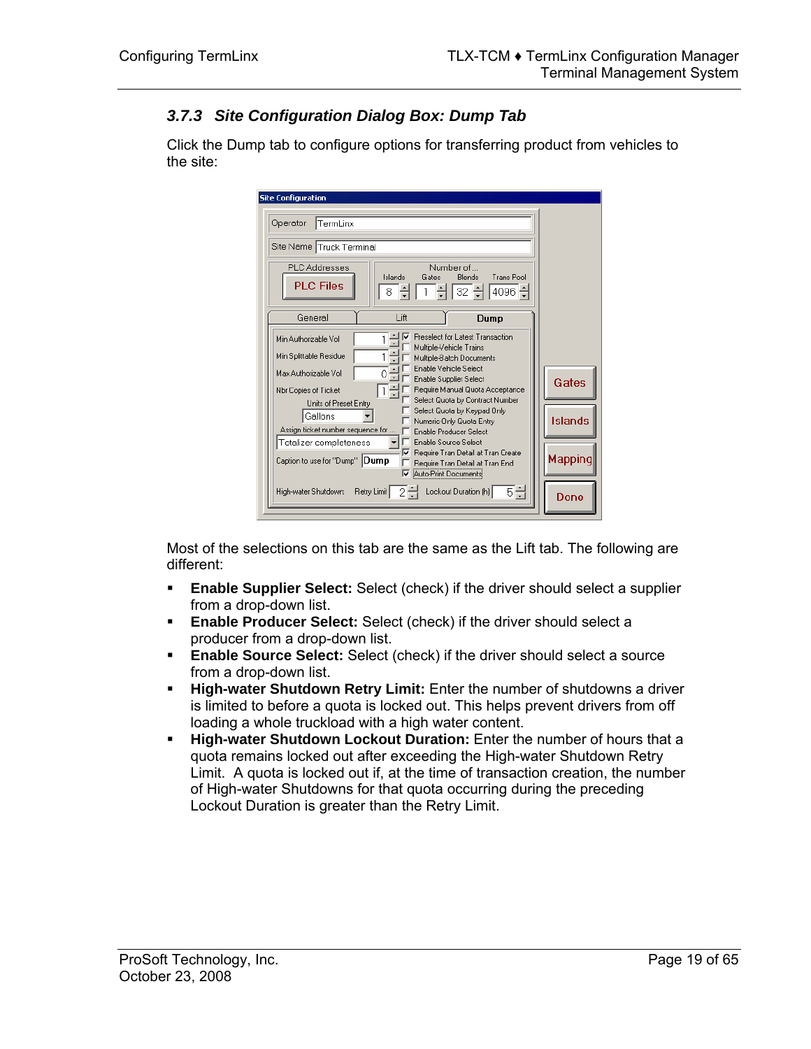## *3.7.3 Site Configuration Dialog Box: Dump Tab*

Click the Dump tab to configure options for transferring product from vehicles to the site:

| <b>Site Configuration</b>                                                                                                                                                                   |                |
|---------------------------------------------------------------------------------------------------------------------------------------------------------------------------------------------|----------------|
| Operator<br>TermLinx                                                                                                                                                                        |                |
| Site Name Truck Terminal                                                                                                                                                                    |                |
| Numher of<br><b>PLC</b> Addresses<br>Islands<br>Trans Pool<br>Blends<br>Gates<br><b>PLC Files</b><br>4096 ÷<br>32.<br>8                                                                     |                |
| Lift<br>General<br>Dump                                                                                                                                                                     |                |
| Preselect for Latest Transaction<br>M<br>Min Authorizable Vol<br>Multiple-Vehicle Trains                                                                                                    |                |
| Min Splittable Residue<br>Multiple-Batch Documents                                                                                                                                          |                |
| Enable Vehicle Select<br>Max Authorizable Vol.<br>0<br>Enable Supplier Select<br>Require Manual Quota Acceptance<br>Nbr Copies of Ticket<br>Select Quota by Contract Number                 | Gates          |
| Units of Preset Entry<br>Select Quota by Keypad Only<br>Gallons<br>Numeric-Only Quota Entry<br>Assign ticket number sequence for<br>Enable Producer Select                                  | <b>Islands</b> |
| Enable Source Select<br>Totalizer completeness<br>Require Tran Detail at Tran Create<br>▽<br>Caption to use for "Dump" Dump<br>Require Tran Detail at Tran End<br>⊽<br>Auto-Print Documents | <b>Mapping</b> |
| 하러<br>Lockout Duration [h]<br>Retry Limit<br>2극<br>High-water Shutdown:                                                                                                                     | Done           |

Most of the selections on this tab are the same as the Lift tab. The following are different:

- **Enable Supplier Select:** Select (check) if the driver should select a supplier from a drop-down list.
- **Enable Producer Select:** Select (check) if the driver should select a producer from a drop-down list.
- **Enable Source Select:** Select (check) if the driver should select a source from a drop-down list.
- **High-water Shutdown Retry Limit:** Enter the number of shutdowns a driver is limited to before a quota is locked out. This helps prevent drivers from off loading a whole truckload with a high water content.
- **High-water Shutdown Lockout Duration:** Enter the number of hours that a quota remains locked out after exceeding the High-water Shutdown Retry Limit. A quota is locked out if, at the time of transaction creation, the number of High-water Shutdowns for that quota occurring during the preceding Lockout Duration is greater than the Retry Limit.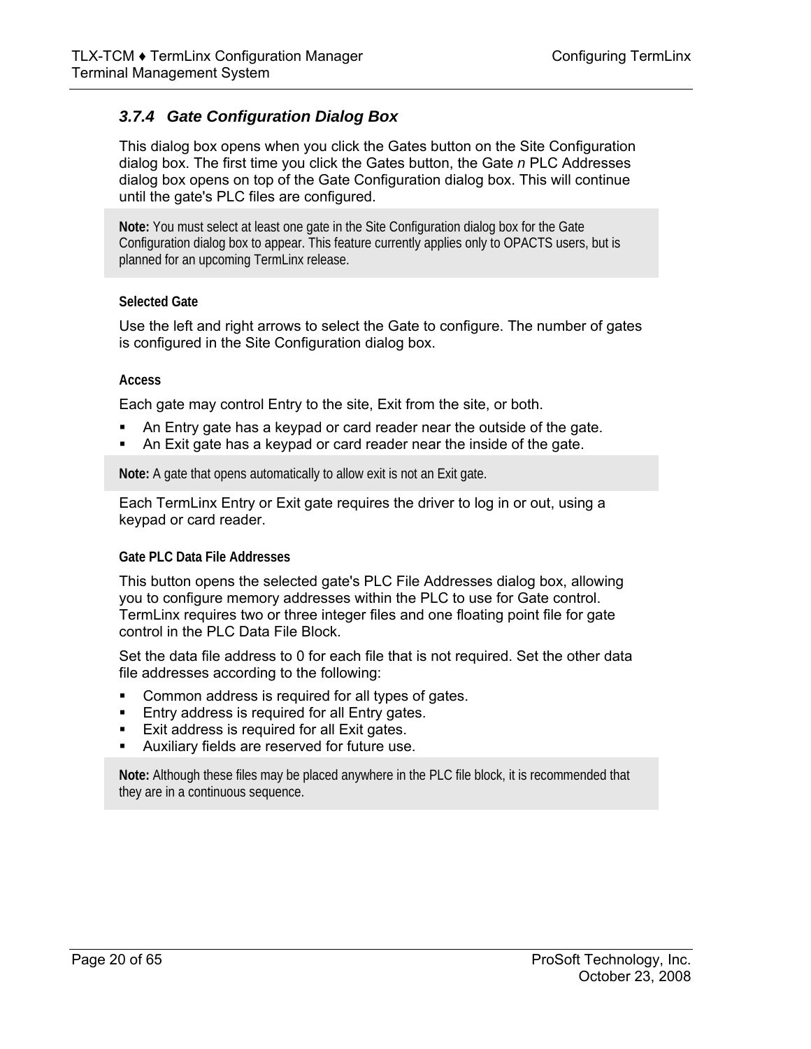## *3.7.4 Gate Configuration Dialog Box*

This dialog box opens when you click the Gates button on the Site Configuration dialog box. The first time you click the Gates button, the Gate *n* PLC Addresses dialog box opens on top of the Gate Configuration dialog box. This will continue until the gate's PLC files are configured.

**Note:** You must select at least one gate in the Site Configuration dialog box for the Gate Configuration dialog box to appear. This feature currently applies only to OPACTS users, but is planned for an upcoming TermLinx release.

#### **Selected Gate**

Use the left and right arrows to select the Gate to configure. The number of gates is configured in the Site Configuration dialog box.

#### **Access**

Each gate may control Entry to the site, Exit from the site, or both.

- An Entry gate has a keypad or card reader near the outside of the gate.
- An Exit gate has a keypad or card reader near the inside of the gate.

**Note:** A gate that opens automatically to allow exit is not an Exit gate.

Each TermLinx Entry or Exit gate requires the driver to log in or out, using a keypad or card reader.

#### **Gate PLC Data File Addresses**

This button opens the selected gate's PLC File Addresses dialog box, allowing you to configure memory addresses within the PLC to use for Gate control. TermLinx requires two or three integer files and one floating point file for gate control in the PLC Data File Block.

Set the data file address to 0 for each file that is not required. Set the other data file addresses according to the following:

- Common address is required for all types of gates.
- **Entry address is required for all Entry gates.**
- **Exit address is required for all Exit gates.**
- Auxiliary fields are reserved for future use.

**Note:** Although these files may be placed anywhere in the PLC file block, it is recommended that they are in a continuous sequence.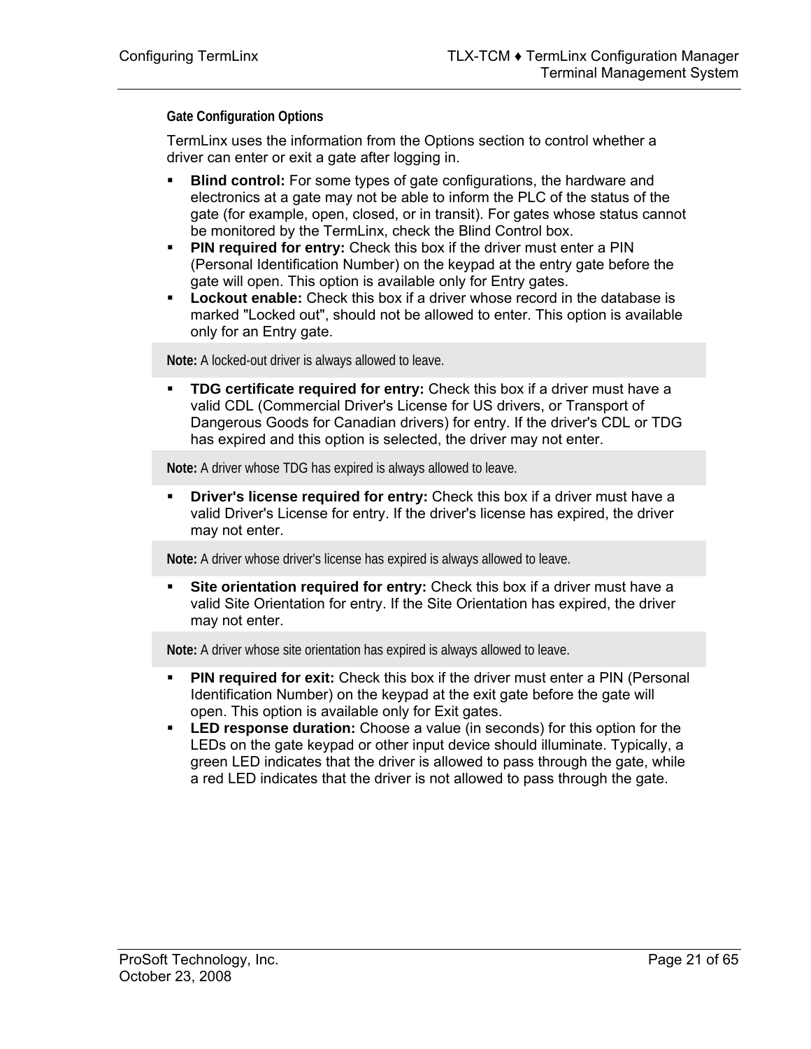#### **Gate Configuration Options**

TermLinx uses the information from the Options section to control whether a driver can enter or exit a gate after logging in.

- **Blind control:** For some types of gate configurations, the hardware and electronics at a gate may not be able to inform the PLC of the status of the gate (for example, open, closed, or in transit). For gates whose status cannot be monitored by the TermLinx, check the Blind Control box.
- **PIN required for entry:** Check this box if the driver must enter a PIN (Personal Identification Number) on the keypad at the entry gate before the gate will open. This option is available only for Entry gates.
- **Lockout enable:** Check this box if a driver whose record in the database is marked "Locked out", should not be allowed to enter. This option is available only for an Entry gate.

**Note:** A locked-out driver is always allowed to leave.

 **TDG certificate required for entry:** Check this box if a driver must have a valid CDL (Commercial Driver's License for US drivers, or Transport of Dangerous Goods for Canadian drivers) for entry. If the driver's CDL or TDG has expired and this option is selected, the driver may not enter.

**Note:** A driver whose TDG has expired is always allowed to leave.

 **Driver's license required for entry:** Check this box if a driver must have a valid Driver's License for entry. If the driver's license has expired, the driver may not enter.

**Note:** A driver whose driver's license has expired is always allowed to leave.

 **Site orientation required for entry:** Check this box if a driver must have a valid Site Orientation for entry. If the Site Orientation has expired, the driver may not enter.

**Note:** A driver whose site orientation has expired is always allowed to leave.

- **PIN required for exit:** Check this box if the driver must enter a PIN (Personal Identification Number) on the keypad at the exit gate before the gate will open. This option is available only for Exit gates.
- **LED response duration:** Choose a value (in seconds) for this option for the LEDs on the gate keypad or other input device should illuminate. Typically, a green LED indicates that the driver is allowed to pass through the gate, while a red LED indicates that the driver is not allowed to pass through the gate.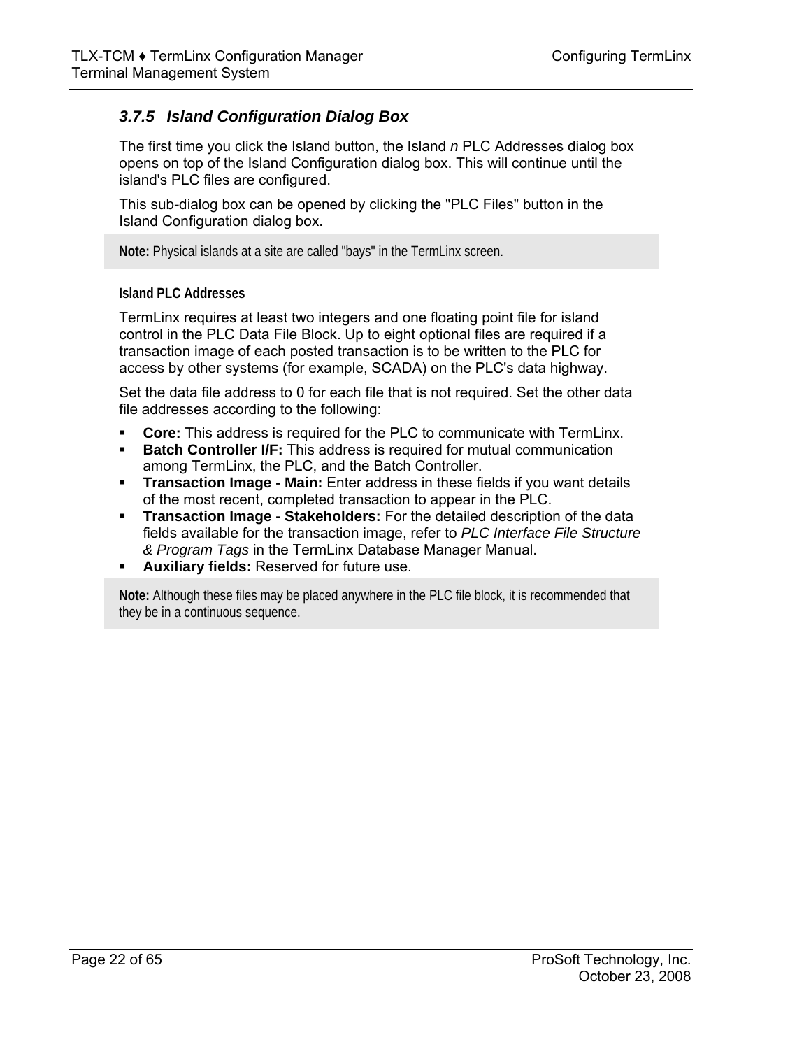## *3.7.5 Island Configuration Dialog Box*

The first time you click the Island button, the Island *n* PLC Addresses dialog box opens on top of the Island Configuration dialog box. This will continue until the island's PLC files are configured.

This sub-dialog box can be opened by clicking the "PLC Files" button in the Island Configuration dialog box.

**Note:** Physical islands at a site are called "bays" in the TermLinx screen.

#### **Island PLC Addresses**

TermLinx requires at least two integers and one floating point file for island control in the PLC Data File Block. Up to eight optional files are required if a transaction image of each posted transaction is to be written to the PLC for access by other systems (for example, SCADA) on the PLC's data highway.

Set the data file address to 0 for each file that is not required. Set the other data file addresses according to the following:

- **Core:** This address is required for the PLC to communicate with TermLinx.
- **Batch Controller I/F:** This address is required for mutual communication among TermLinx, the PLC, and the Batch Controller.
- **Transaction Image Main:** Enter address in these fields if you want details of the most recent, completed transaction to appear in the PLC.
- **Transaction Image Stakeholders:** For the detailed description of the data fields available for the transaction image, refer to *PLC Interface File Structure & Program Tags* in the TermLinx Database Manager Manual.
- **Auxiliary fields:** Reserved for future use.

**Note:** Although these files may be placed anywhere in the PLC file block, it is recommended that they be in a continuous sequence.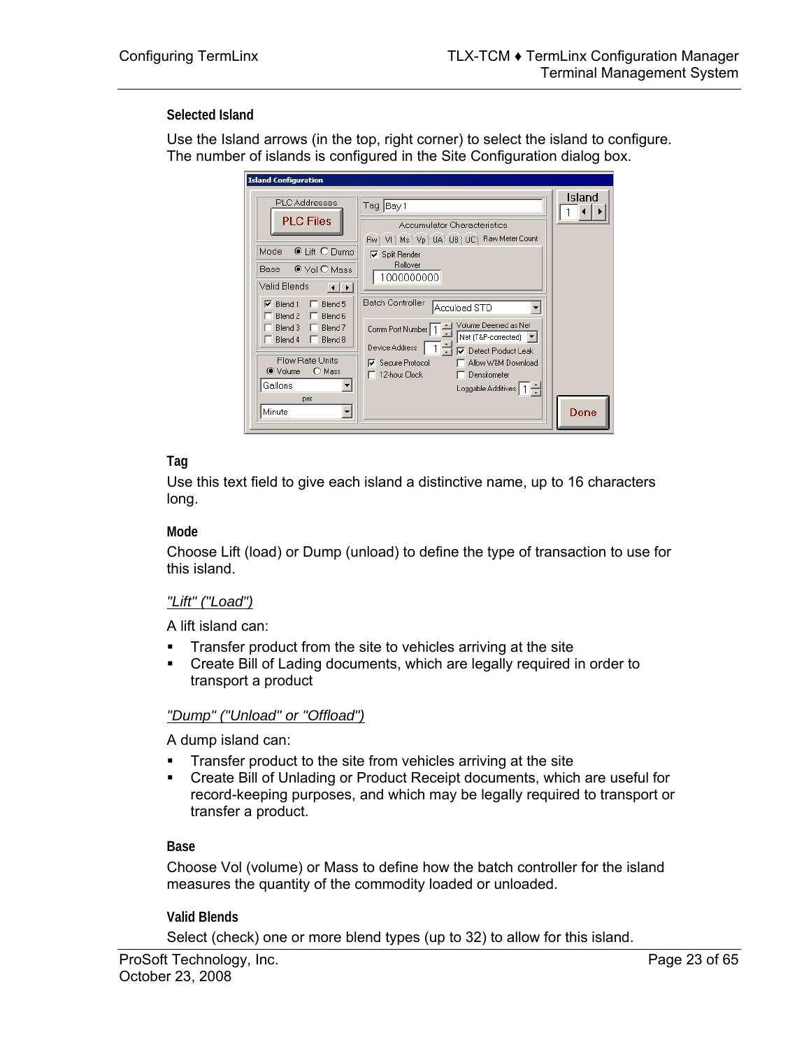#### **Selected Island**

Use the Island arrows (in the top, right corner) to select the island to configure. The number of islands is configured in the Site Configuration dialog box.

| <b>PLC</b> Addresses<br><b>PLC Files</b>                                                                                                                                                                                                                                                            | Tag Bay 1<br><b>Accumulator Characteristics</b><br>Rw   VI   Ms   Vp   UA   UB   UC   Raw Meter Count                                                                                                                                                                                                                              | Island |
|-----------------------------------------------------------------------------------------------------------------------------------------------------------------------------------------------------------------------------------------------------------------------------------------------------|------------------------------------------------------------------------------------------------------------------------------------------------------------------------------------------------------------------------------------------------------------------------------------------------------------------------------------|--------|
| <b>© Lift O Dump</b><br>Mode<br>● Vol O Mass<br>Base<br>Valid Blends<br>$\vert \cdot \vert$<br>Blend 1<br>Blend 5<br>⊽<br>Blend <sub>2</sub><br>Blend 6<br>Blend 3<br>Blend <sub>7</sub><br>$\Box$ Blend 4<br>Blend 8<br>Flow Rate Units<br>● Volume<br>$\bigcirc$ Mass<br>Gallons<br>per<br>Minute | $\nabla$ Split Render<br>Rollover<br>1000000000<br><b>Batch Controller</b><br>Accuload STD<br>Volume Deemed as Net<br>Comm Port Number   1<br>Net (T&P-corrected) ▼<br>Device Address<br><b>▽</b> Detect Product Leak<br>Secure Protocol<br>Allow W&M Download<br>ঢ়<br>$\Box$ 12-hour Clock<br>Densitometer<br>Loggable Additives | Done   |

## **Tag**

Use this text field to give each island a distinctive name, up to 16 characters long.

#### **Mode**

Choose Lift (load) or Dump (unload) to define the type of transaction to use for this island.

#### *"Lift" ("Load")*

A lift island can:

- Transfer product from the site to vehicles arriving at the site<br>Create Bill of Lading documents, which are legally required i
- Create Bill of Lading documents, which are legally required in order to transport a product

#### *"Dump" ("Unload" or "Offload")*

A dump island can:

- **Transfer product to the site from vehicles arriving at the site**
- Create Bill of Unlading or Product Receipt documents, which are useful for record-keeping purposes, and which may be legally required to transport or transfer a product.

#### **Base**

Choose Vol (volume) or Mass to define how the batch controller for the island measures the quantity of the commodity loaded or unloaded.

**Valid Blends** 

Select (check) one or more blend types (up to 32) to allow for this island.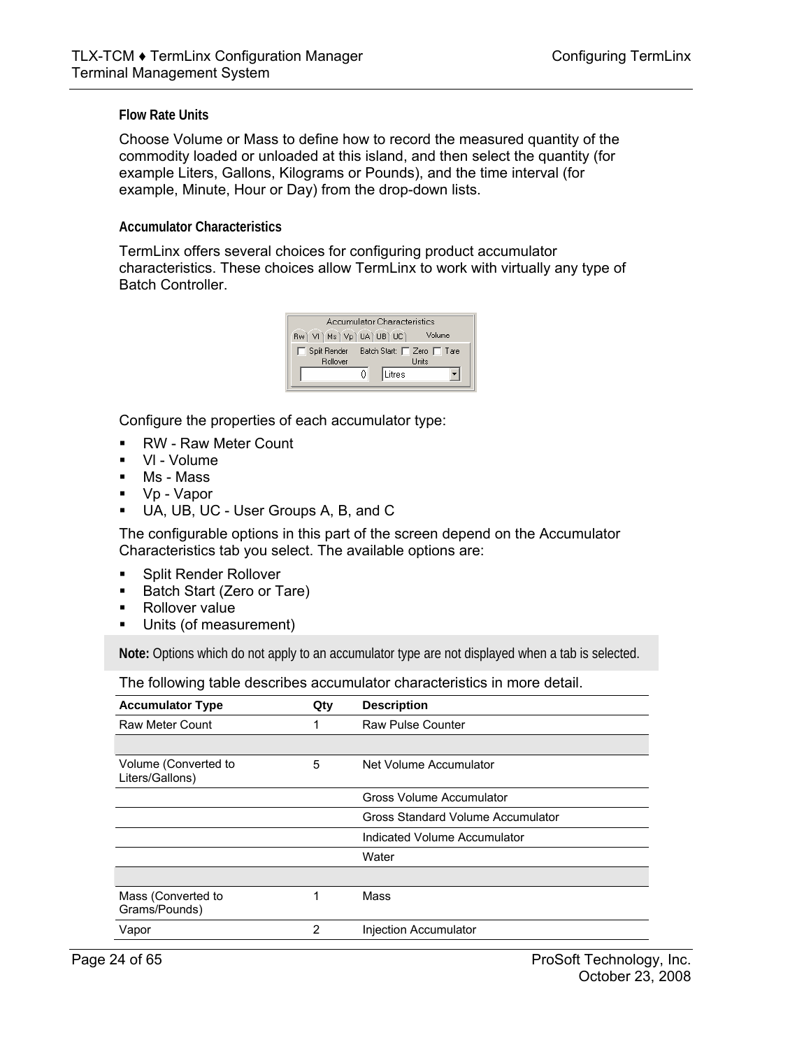#### **Flow Rate Units**

Choose Volume or Mass to define how to record the measured quantity of the commodity loaded or unloaded at this island, and then select the quantity (for example Liters, Gallons, Kilograms or Pounds), and the time interval (for example, Minute, Hour or Day) from the drop-down lists.

#### **Accumulator Characteristics**

TermLinx offers several choices for configuring product accumulator characteristics. These choices allow TermLinx to work with virtually any type of Batch Controller.

| Accumulator Characteristics                                         |        |  |  |  |  |  |
|---------------------------------------------------------------------|--------|--|--|--|--|--|
| Rw   VI   Ms   Vp   UA   UB   UC  <br>Volume                        |        |  |  |  |  |  |
| Split Render Batch Start: □ Zero □ Tare<br>Bollover<br><b>Units</b> |        |  |  |  |  |  |
|                                                                     | Litres |  |  |  |  |  |

Configure the properties of each accumulator type:

- RW Raw Meter Count
- VI Volume
- Ms Mass
- Vp Vapor
- UA, UB, UC User Groups A, B, and C

The configurable options in this part of the screen depend on the Accumulator Characteristics tab you select. The available options are:

- **Split Render Rollover**
- **Batch Start (Zero or Tare)**
- **Rollover value**
- Units (of measurement)

**Note:** Options which do not apply to an accumulator type are not displayed when a tab is selected.

The following table describes accumulator characteristics in more detail.

| <b>Accumulator Type</b>                 | Qty            | <b>Description</b>                |
|-----------------------------------------|----------------|-----------------------------------|
| <b>Raw Meter Count</b>                  | 1              | <b>Raw Pulse Counter</b>          |
|                                         |                |                                   |
| Volume (Converted to<br>Liters/Gallons) | 5              | Net Volume Accumulator            |
|                                         |                | Gross Volume Accumulator          |
|                                         |                | Gross Standard Volume Accumulator |
|                                         |                | Indicated Volume Accumulator      |
|                                         |                | Water                             |
|                                         |                |                                   |
| Mass (Converted to<br>Grams/Pounds)     | 1              | Mass                              |
| Vapor                                   | $\overline{2}$ | Injection Accumulator             |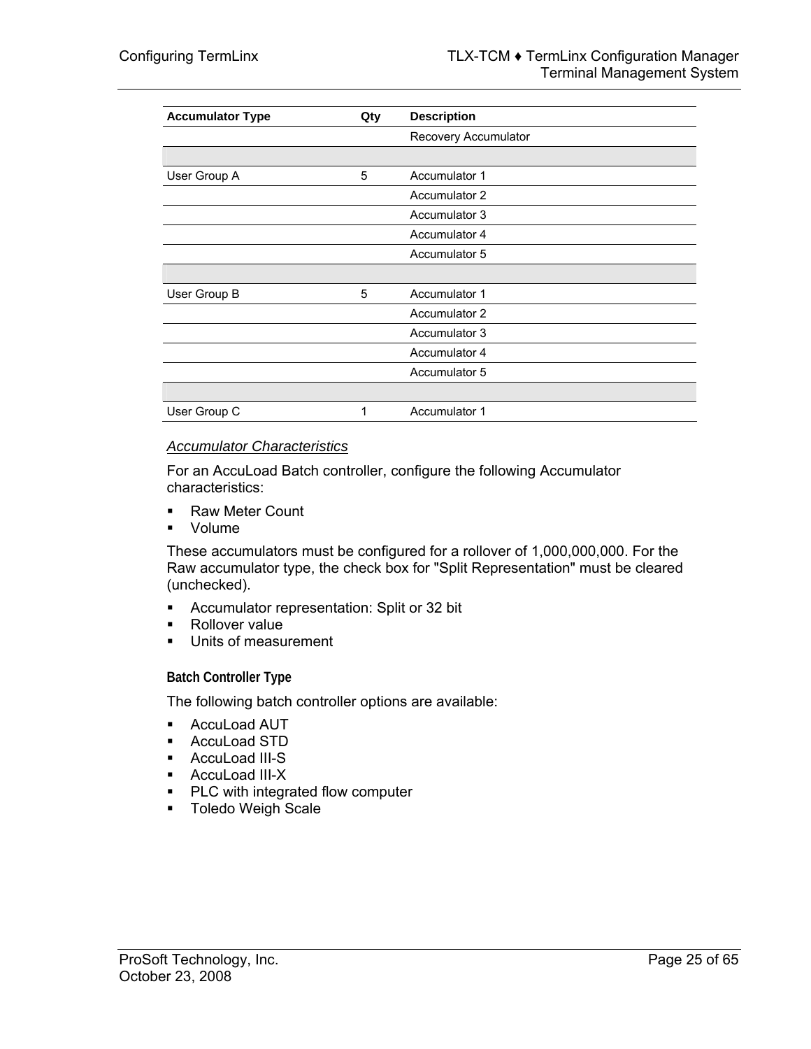| <b>Accumulator Type</b> | Qty | <b>Description</b>   |
|-------------------------|-----|----------------------|
|                         |     | Recovery Accumulator |
|                         |     |                      |
| User Group A            | 5   | Accumulator 1        |
|                         |     | Accumulator 2        |
|                         |     | Accumulator 3        |
|                         |     | Accumulator 4        |
|                         |     | Accumulator 5        |
|                         |     |                      |
| User Group B            | 5   | Accumulator 1        |
|                         |     | Accumulator 2        |
|                         |     | Accumulator 3        |
|                         |     | Accumulator 4        |
|                         |     | Accumulator 5        |
|                         |     |                      |
| User Group C            | 1   | Accumulator 1        |

#### *Accumulator Characteristics*

For an AccuLoad Batch controller, configure the following Accumulator characteristics:

- Raw Meter Count
- **volume**

These accumulators must be configured for a rollover of 1,000,000,000. For the Raw accumulator type, the check box for "Split Representation" must be cleared (unchecked).

- Accumulator representation: Split or 32 bit
- Rollover value
- **Units of measurement**

**Batch Controller Type** 

The following batch controller options are available:

- **AccuLoad AUT**
- AccuLoad STD
- AccuLoad III-S
- AccuLoad III-X
- **PLC** with integrated flow computer
- **Toledo Weigh Scale**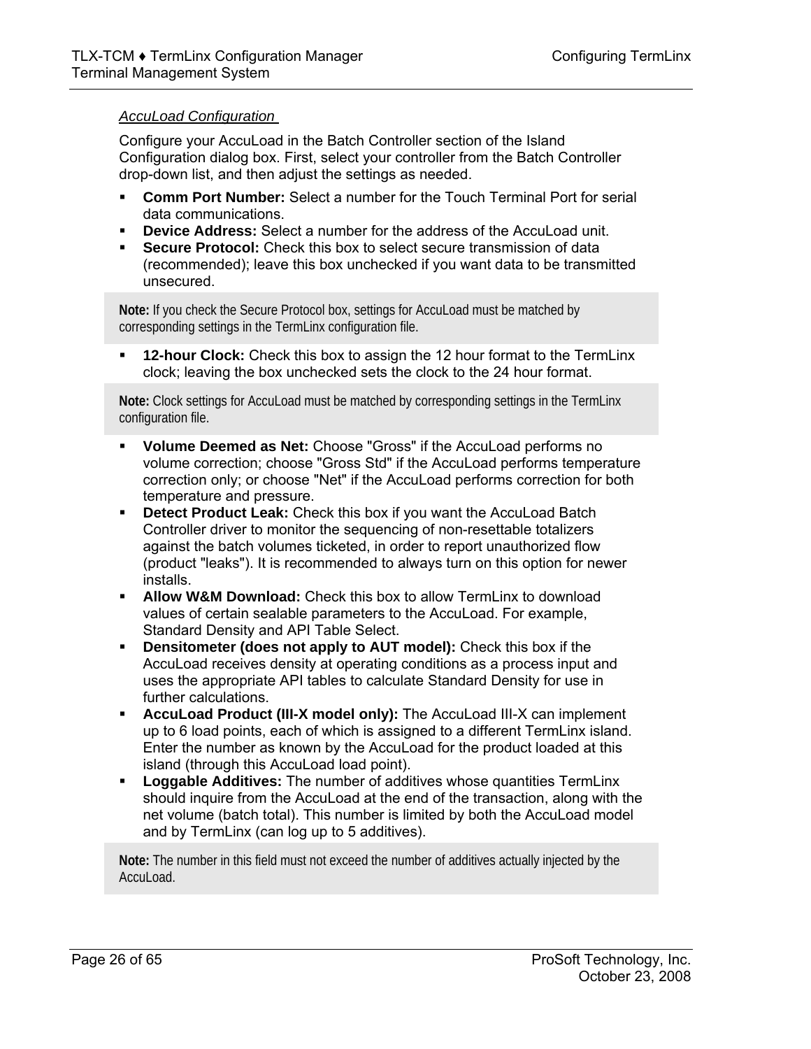## *AccuLoad Configuration*

Configure your AccuLoad in the Batch Controller section of the Island Configuration dialog box. First, select your controller from the Batch Controller drop-down list, and then adjust the settings as needed.

- **Comm Port Number:** Select a number for the Touch Terminal Port for serial data communications.
- **Device Address:** Select a number for the address of the AccuLoad unit.
- **Secure Protocol:** Check this box to select secure transmission of data (recommended); leave this box unchecked if you want data to be transmitted unsecured.

**Note:** If you check the Secure Protocol box, settings for AccuLoad must be matched by corresponding settings in the TermLinx configuration file.

 **12-hour Clock:** Check this box to assign the 12 hour format to the TermLinx clock; leaving the box unchecked sets the clock to the 24 hour format.

**Note:** Clock settings for AccuLoad must be matched by corresponding settings in the TermLinx configuration file.

- **Volume Deemed as Net:** Choose "Gross" if the AccuLoad performs no volume correction; choose "Gross Std" if the AccuLoad performs temperature correction only; or choose "Net" if the AccuLoad performs correction for both temperature and pressure.
- **Detect Product Leak:** Check this box if you want the AccuLoad Batch Controller driver to monitor the sequencing of non-resettable totalizers against the batch volumes ticketed, in order to report unauthorized flow (product "leaks"). It is recommended to always turn on this option for newer installs.
- **Allow W&M Download:** Check this box to allow TermLinx to download values of certain sealable parameters to the AccuLoad. For example, Standard Density and API Table Select.
- **Densitometer (does not apply to AUT model):** Check this box if the AccuLoad receives density at operating conditions as a process input and uses the appropriate API tables to calculate Standard Density for use in further calculations.
- **AccuLoad Product (III-X model only):** The AccuLoad III-X can implement up to 6 load points, each of which is assigned to a different TermLinx island. Enter the number as known by the AccuLoad for the product loaded at this island (through this AccuLoad load point).
- **Loggable Additives:** The number of additives whose quantities TermLinx should inquire from the AccuLoad at the end of the transaction, along with the net volume (batch total). This number is limited by both the AccuLoad model and by TermLinx (can log up to 5 additives).

**Note:** The number in this field must not exceed the number of additives actually injected by the AccuLoad.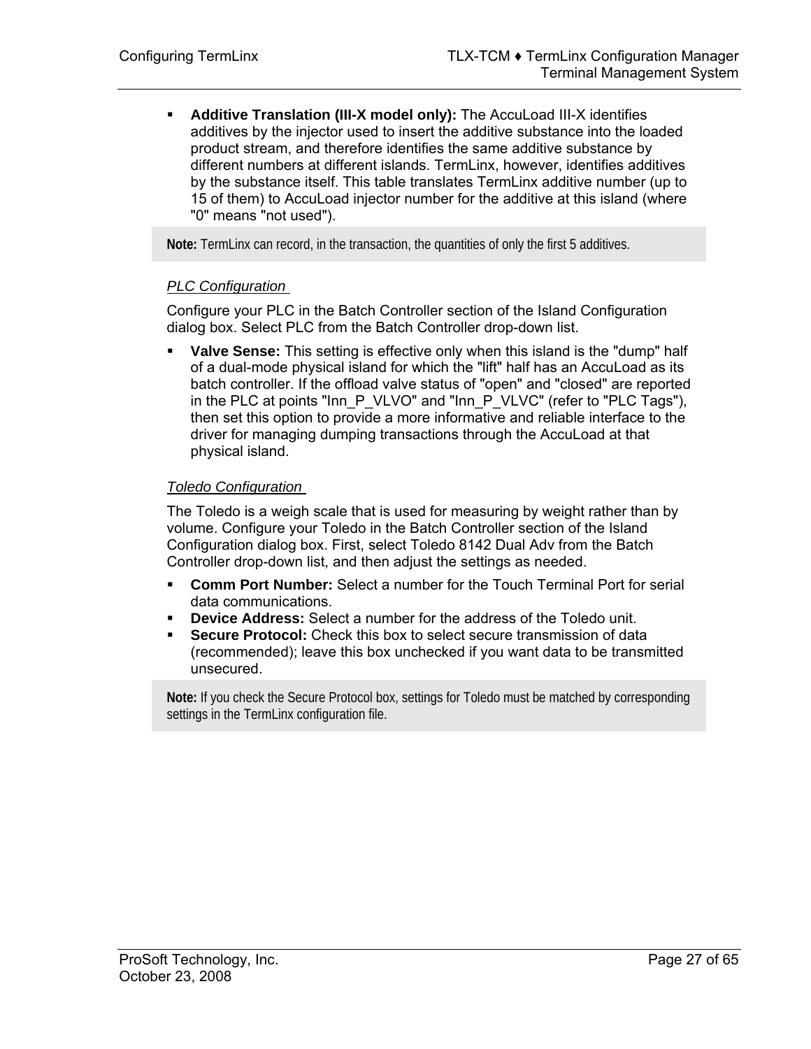**Additive Translation (III-X model only):** The AccuLoad III-X identifies additives by the injector used to insert the additive substance into the loaded product stream, and therefore identifies the same additive substance by different numbers at different islands. TermLinx, however, identifies additives by the substance itself. This table translates TermLinx additive number (up to 15 of them) to AccuLoad injector number for the additive at this island (where "0" means "not used").

**Note:** TermLinx can record, in the transaction, the quantities of only the first 5 additives.

#### *PLC Configuration*

Configure your PLC in the Batch Controller section of the Island Configuration dialog box. Select PLC from the Batch Controller drop-down list.

 **Valve Sense:** This setting is effective only when this island is the "dump" half of a dual-mode physical island for which the "lift" half has an AccuLoad as its batch controller. If the offload valve status of "open" and "closed" are reported in the PLC at points "Inn\_P\_VLVO" and "Inn\_P\_VLVC" (refer to "PLC Tags"), then set this option to provide a more informative and reliable interface to the driver for managing dumping transactions through the AccuLoad at that physical island.

#### *Toledo Configuration*

The Toledo is a weigh scale that is used for measuring by weight rather than by volume. Configure your Toledo in the Batch Controller section of the Island Configuration dialog box. First, select Toledo 8142 Dual Adv from the Batch Controller drop-down list, and then adjust the settings as needed.

- **Comm Port Number:** Select a number for the Touch Terminal Port for serial data communications.
- **Device Address:** Select a number for the address of the Toledo unit.
- **Secure Protocol:** Check this box to select secure transmission of data (recommended); leave this box unchecked if you want data to be transmitted unsecured.

**Note:** If you check the Secure Protocol box, settings for Toledo must be matched by corresponding settings in the TermLinx configuration file.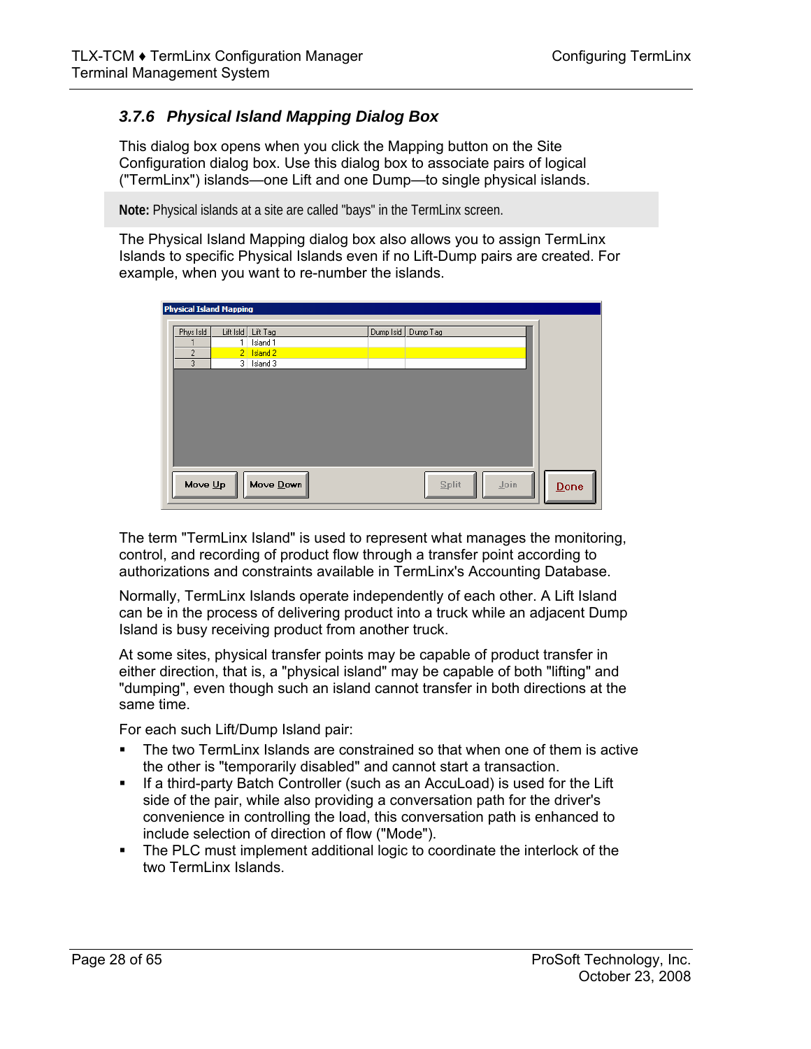## *3.7.6 Physical Island Mapping Dialog Box*

This dialog box opens when you click the Mapping button on the Site Configuration dialog box. Use this dialog box to associate pairs of logical ("TermLinx") islands—one Lift and one Dump—to single physical islands.

**Note:** Physical islands at a site are called "bays" in the TermLinx screen.

The Physical Island Mapping dialog box also allows you to assign TermLinx Islands to specific Physical Islands even if no Lift-Dump pairs are created. For example, when you want to re-number the islands.

| <b>Physical Island Mapping</b> |           |                      |           |               |      |
|--------------------------------|-----------|----------------------|-----------|---------------|------|
|                                |           |                      |           |               |      |
| Phys Isld                      | Lift Isld | Lift Tag             | Dump Isld | Dump Tag      |      |
|                                |           | Island 1             |           |               |      |
| $\overline{2}$                 |           | 2 Island 2           |           |               |      |
| 3                              |           | 3 Island 3           |           |               |      |
|                                |           |                      |           |               |      |
|                                |           |                      |           |               |      |
|                                |           |                      |           |               |      |
|                                |           |                      |           |               |      |
|                                |           |                      |           |               |      |
|                                |           |                      |           |               |      |
|                                |           |                      |           |               |      |
|                                |           |                      |           |               |      |
|                                |           |                      |           |               |      |
|                                |           |                      |           |               |      |
| Move $Up$                      |           | Move $\mathbf{Down}$ |           | Join<br>Split |      |
|                                |           |                      |           |               | Done |
|                                |           |                      |           |               |      |

The term "TermLinx Island" is used to represent what manages the monitoring, control, and recording of product flow through a transfer point according to authorizations and constraints available in TermLinx's Accounting Database.

Normally, TermLinx Islands operate independently of each other. A Lift Island can be in the process of delivering product into a truck while an adjacent Dump Island is busy receiving product from another truck.

At some sites, physical transfer points may be capable of product transfer in either direction, that is, a "physical island" may be capable of both "lifting" and "dumping", even though such an island cannot transfer in both directions at the same time.

For each such Lift/Dump Island pair:

- The two TermLinx Islands are constrained so that when one of them is active the other is "temporarily disabled" and cannot start a transaction.
- If a third-party Batch Controller (such as an AccuLoad) is used for the Lift side of the pair, while also providing a conversation path for the driver's convenience in controlling the load, this conversation path is enhanced to include selection of direction of flow ("Mode").
- The PLC must implement additional logic to coordinate the interlock of the two TermLinx Islands.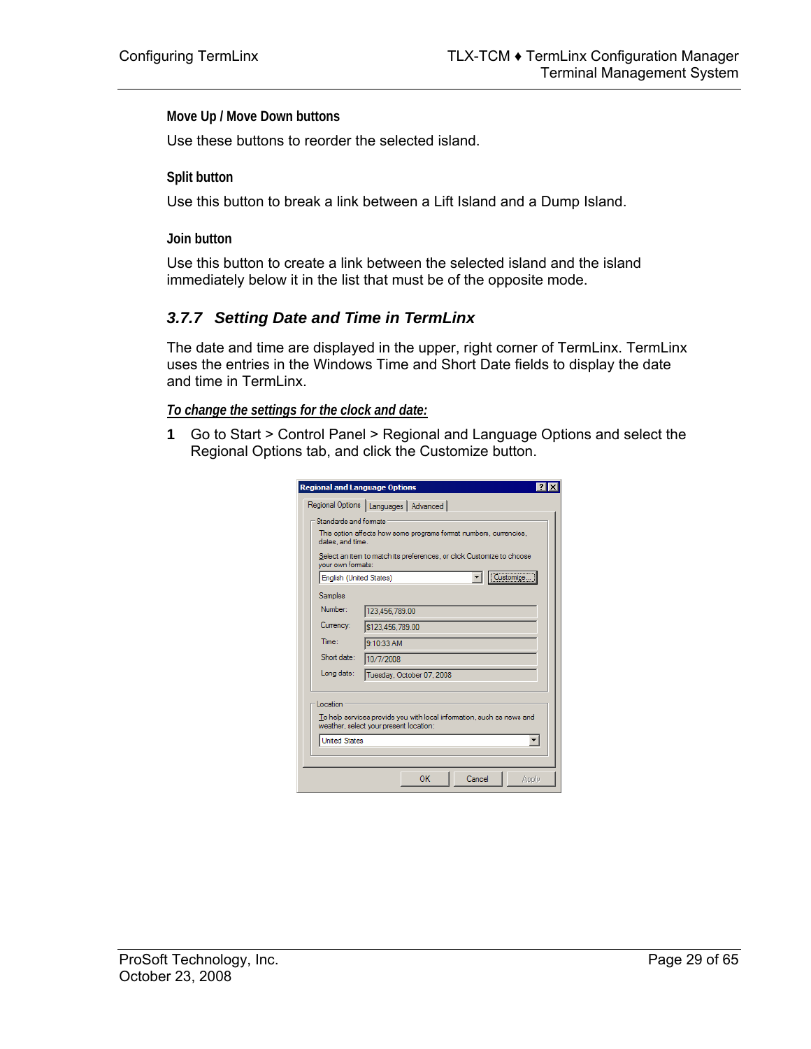**Move Up / Move Down buttons** 

Use these buttons to reorder the selected island.

**Split button** 

Use this button to break a link between a Lift Island and a Dump Island.

**Join button** 

Use this button to create a link between the selected island and the island immediately below it in the list that must be of the opposite mode.

#### *3.7.7 Setting Date and Time in TermLinx*

The date and time are displayed in the upper, right corner of TermLinx. TermLinx uses the entries in the Windows Time and Short Date fields to display the date and time in TermLinx.

#### *To change the settings for the clock and date:*

**1** Go to Start > Control Panel > Regional and Language Options and select the Regional Options tab, and click the Customize button.

|                                         | Regional Options   Languages   Advanced                                                                         |  |  |  |  |  |  |
|-----------------------------------------|-----------------------------------------------------------------------------------------------------------------|--|--|--|--|--|--|
| Standards and formats                   |                                                                                                                 |  |  |  |  |  |  |
| dates, and time.                        | This option affects how some programs format numbers, currencies,                                               |  |  |  |  |  |  |
| vour own formats:                       | Select an item to match its preferences, or click Customize to choose                                           |  |  |  |  |  |  |
| English (United States)                 | Customize                                                                                                       |  |  |  |  |  |  |
| Samples                                 |                                                                                                                 |  |  |  |  |  |  |
| Number:                                 | 123.456.789.00                                                                                                  |  |  |  |  |  |  |
| Currency:                               | \$123,456,789.00                                                                                                |  |  |  |  |  |  |
| Time:                                   | 9:10:33 AM                                                                                                      |  |  |  |  |  |  |
| Short date:<br>10/7/2008                |                                                                                                                 |  |  |  |  |  |  |
| Long date:<br>Tuesday, October 07, 2008 |                                                                                                                 |  |  |  |  |  |  |
| Location<br><b>United States</b>        | To help services provide you with local information, such as news and<br>weather, select your present location: |  |  |  |  |  |  |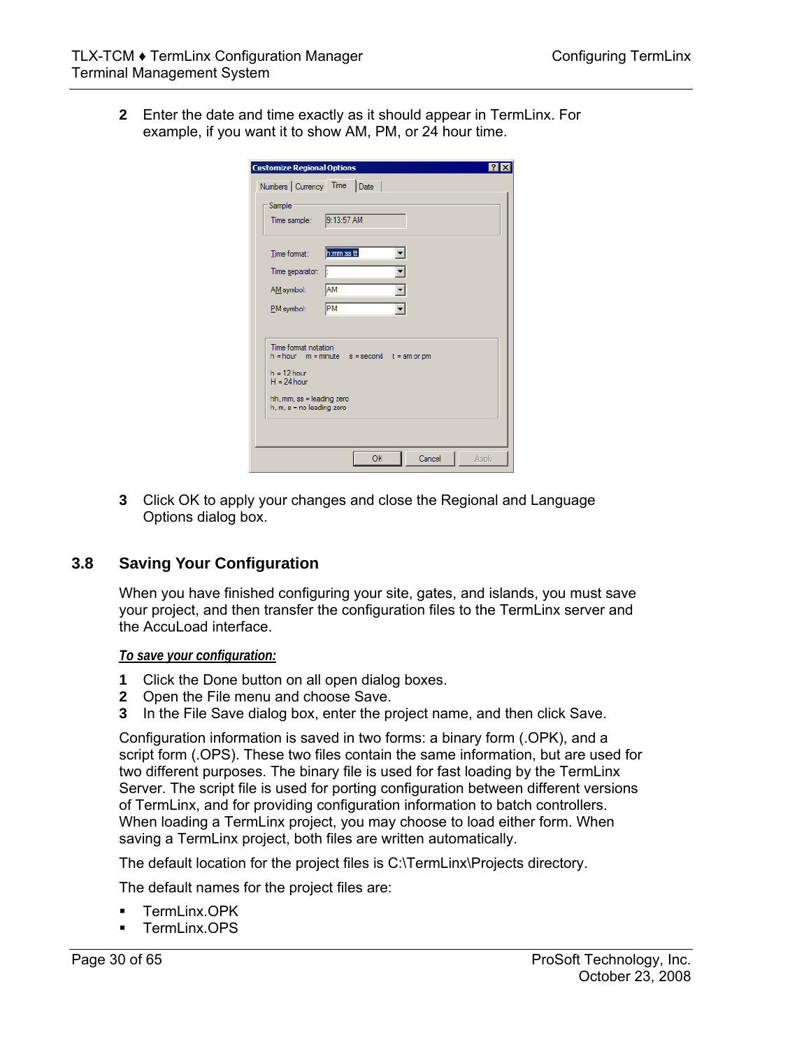**2** Enter the date and time exactly as it should appear in TermLinx. For example, if you want it to show AM, PM, or 24 hour time.

| <b>Customize Regional Options</b>                                                                                                                                            |
|------------------------------------------------------------------------------------------------------------------------------------------------------------------------------|
| Numbers Currency Time Date                                                                                                                                                   |
| Sample<br>9:13:57 AM<br>Time sample:                                                                                                                                         |
| h:mm:ss tt<br>Time format:                                                                                                                                                   |
| Time separator:<br>Ŀ                                                                                                                                                         |
| <b>AM</b><br>AM symbol:                                                                                                                                                      |
| PM<br>PM symbol:                                                                                                                                                             |
| Time format notation<br>$h = hour$ $m = minute$ $s = second$<br>$t = am or pm$<br>$h = 12$ hour<br>$H = 24$ hour<br>hh, mm, ss = leading zero<br>$h, m, s = no$ leading zero |
| OK<br>Cancel<br>Apply                                                                                                                                                        |

**3** Click OK to apply your changes and close the Regional and Language Options dialog box.

## **3.8 Saving Your Configuration**

<span id="page-29-0"></span>When you have finished configuring your site, gates, and islands, you must save your project, and then transfer the configuration files to the TermLinx server and the AccuLoad interface.

*To save your configuration:*

- **1** Click the Done button on all open dialog boxes.
- **2** Open the File menu and choose Save.
- **3** In the File Save dialog box, enter the project name, and then click Save.

Configuration information is saved in two forms: a binary form (.OPK), and a script form (.OPS). These two files contain the same information, but are used for two different purposes. The binary file is used for fast loading by the TermLinx Server. The script file is used for porting configuration between different versions of TermLinx, and for providing configuration information to batch controllers. When loading a TermLinx project, you may choose to load either form. When saving a TermLinx project, both files are written automatically.

The default location for the project files is C:\TermLinx\Projects directory.

The default names for the project files are:

- **TermLinx.OPK**
- $\blacksquare$  TermLinx OPS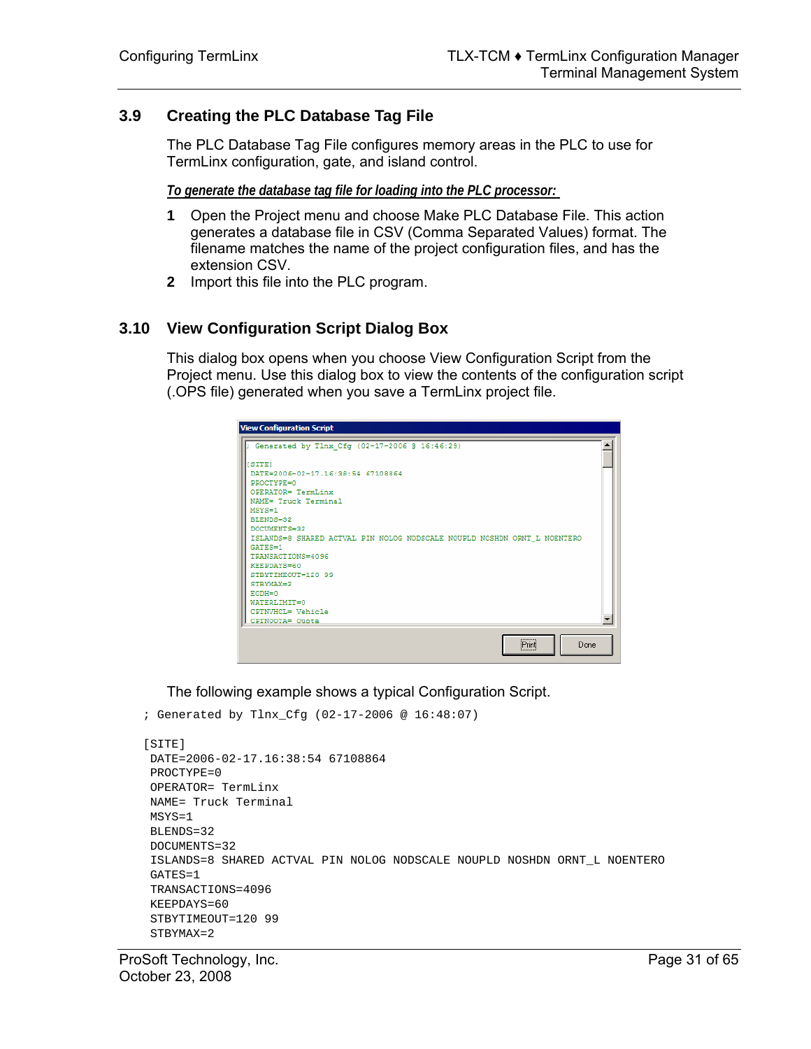## **3.9 Creating the PLC Database Tag File**

<span id="page-30-0"></span>The PLC Database Tag File configures memory areas in the PLC to use for TermLinx configuration, gate, and island control.

*To generate the database tag file for loading into the PLC processor:* 

- **1** Open the Project menu and choose Make PLC Database File. This action generates a database file in CSV (Comma Separated Values) format. The filename matches the name of the project configuration files, and has the extension CSV.
- **2** Import this file into the PLC program.

## **3.10 View Configuration Script Dialog Box**

<span id="page-30-1"></span>This dialog box opens when you choose View Configuration Script from the Project menu. Use this dialog box to view the contents of the configuration script (.OPS file) generated when you save a TermLinx project file.

| <b>View Configuration Script</b>                                         |  |
|--------------------------------------------------------------------------|--|
| ; Generated by Tlnx Cfg (02-17-2006 @ 16:46:29)                          |  |
| [SITE]                                                                   |  |
| DATE=2006-02-17.16:38:54 67108864                                        |  |
| PROCTYPE=0                                                               |  |
| OPERATOR= TermLinx                                                       |  |
| NAME= Truck Terminal                                                     |  |
| $MSVS = 1$                                                               |  |
| BLENDS=32                                                                |  |
| DOCUMENTS=32                                                             |  |
| ISLANDS=8 SHARED ACTVAL PIN NOLOG NODSCALE NOUPLD NOSHDN ORNT L NOENTERO |  |
| $CATES=1$                                                                |  |
| TRANSACTIONS=4096                                                        |  |
| KEEPDAYS=60                                                              |  |
| STRYTIMEOUT=120 99                                                       |  |
| STRYMAX=2<br>$EODH=0$                                                    |  |
| WATERLIMIT=0                                                             |  |
| CPTNVHCL= Vehicle                                                        |  |
| CPTNOOTA= Ouota                                                          |  |
|                                                                          |  |
|                                                                          |  |
| Print<br>Done                                                            |  |

The following example shows a typical Configuration Script.

```
; Generated by Tlnx_Cfg (02-17-2006 @ 16:48:07)
```

```
[SITE] 
 DATE=2006-02-17.16:38:54 67108864 
 PROCTYPE=0 
 OPERATOR= TermLinx 
 NAME= Truck Terminal 
 MSYS=1 
 BLENDS=32 
 DOCUMENTS=32 
 ISLANDS=8 SHARED ACTVAL PIN NOLOG NODSCALE NOUPLD NOSHDN ORNT_L NOENTERO 
 GATES=1 
 TRANSACTIONS=4096 
 KEEPDAYS=60 
 STBYTIMEOUT=120 99 
 STBYMAX=2
```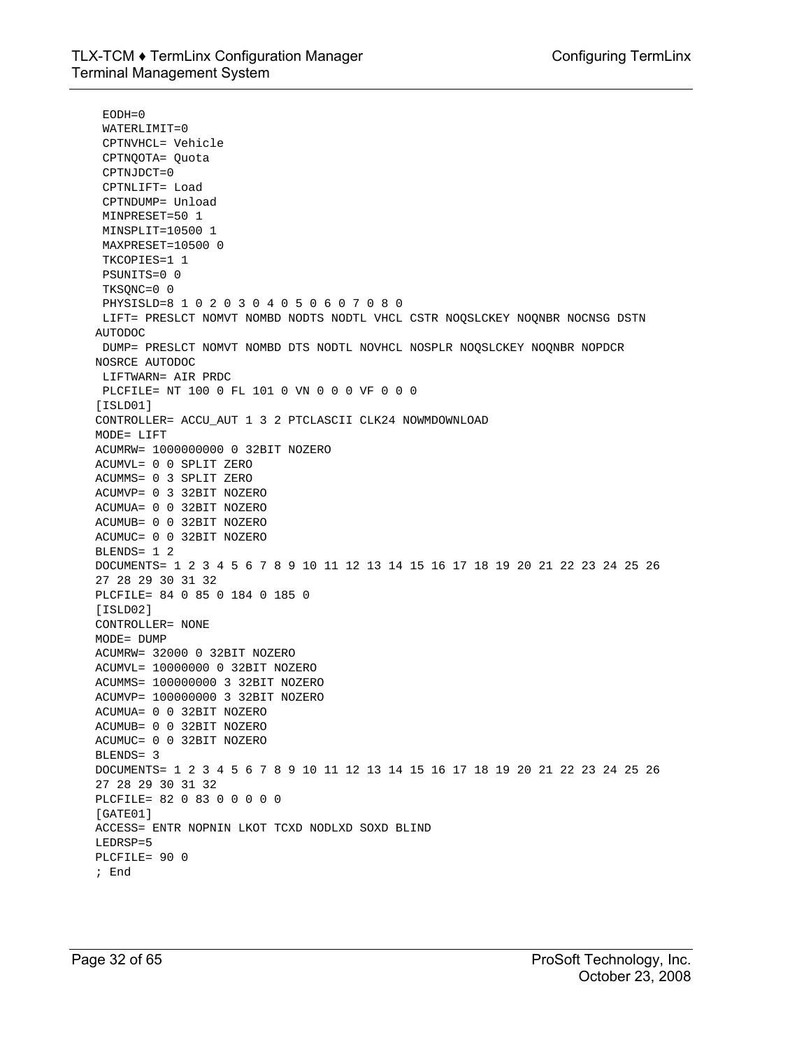EODH=0 WATERLIMIT=0 CPTNVHCL= Vehicle CPTNQOTA= Quota CPTNJDCT=0 CPTNLIFT= Load CPTNDUMP= Unload MINPRESET=50 1 MINSPLIT=10500 1 MAXPRESET=10500 0 TKCOPIES=1 1 PSUNITS=0 0 TKSQNC=0 0 PHYSISLD=8 1 0 2 0 3 0 4 0 5 0 6 0 7 0 8 0 LIFT= PRESLCT NOMVT NOMBD NODTS NODTL VHCL CSTR NOQSLCKEY NOQNBR NOCNSG DSTN AUTODOC DUMP= PRESLCT NOMVT NOMBD DTS NODTL NOVHCL NOSPLR NOQSLCKEY NOQNBR NOPDCR NOSRCE AUTODOC LIFTWARN= AIR PRDC PLCFILE= NT 100 0 FL 101 0 VN 0 0 0 VF 0 0 0 [ISLD01] CONTROLLER= ACCU\_AUT 1 3 2 PTCLASCII CLK24 NOWMDOWNLOAD MODE= LIFT ACUMRW= 1000000000 0 32BIT NOZERO ACUMVL= 0 0 SPLIT ZERO ACUMMS= 0 3 SPLIT ZERO ACUMVP= 0 3 32BIT NOZERO ACUMUA= 0 0 32BIT NOZERO ACUMUB= 0 0 32BIT NOZERO ACUMUC= 0 0 32BIT NOZERO BLENDS= 1 2 DOCUMENTS= 1 2 3 4 5 6 7 8 9 10 11 12 13 14 15 16 17 18 19 20 21 22 23 24 25 26 27 28 29 30 31 32 PLCFILE= 84 0 85 0 184 0 185 0 [ISLD02] CONTROLLER= NONE MODE= DUMP ACUMRW= 32000 0 32BIT NOZERO ACUMVL= 10000000 0 32BIT NOZERO ACUMMS= 100000000 3 32BIT NOZERO ACUMVP= 100000000 3 32BIT NOZERO ACUMUA= 0 0 32BIT NOZERO ACUMUB= 0 0 32BIT NOZERO ACUMUC= 0 0 32BIT NOZERO  $B$ LENDS $=$  3 DOCUMENTS= 1 2 3 4 5 6 7 8 9 10 11 12 13 14 15 16 17 18 19 20 21 22 23 24 25 26 27 28 29 30 31 32 PLCFILE= 82 0 83 0 0 0 0 0 [GATE01] ACCESS= ENTR NOPNIN LKOT TCXD NODLXD SOXD BLIND LEDRSP=5 PLCFILE= 90 0 ; End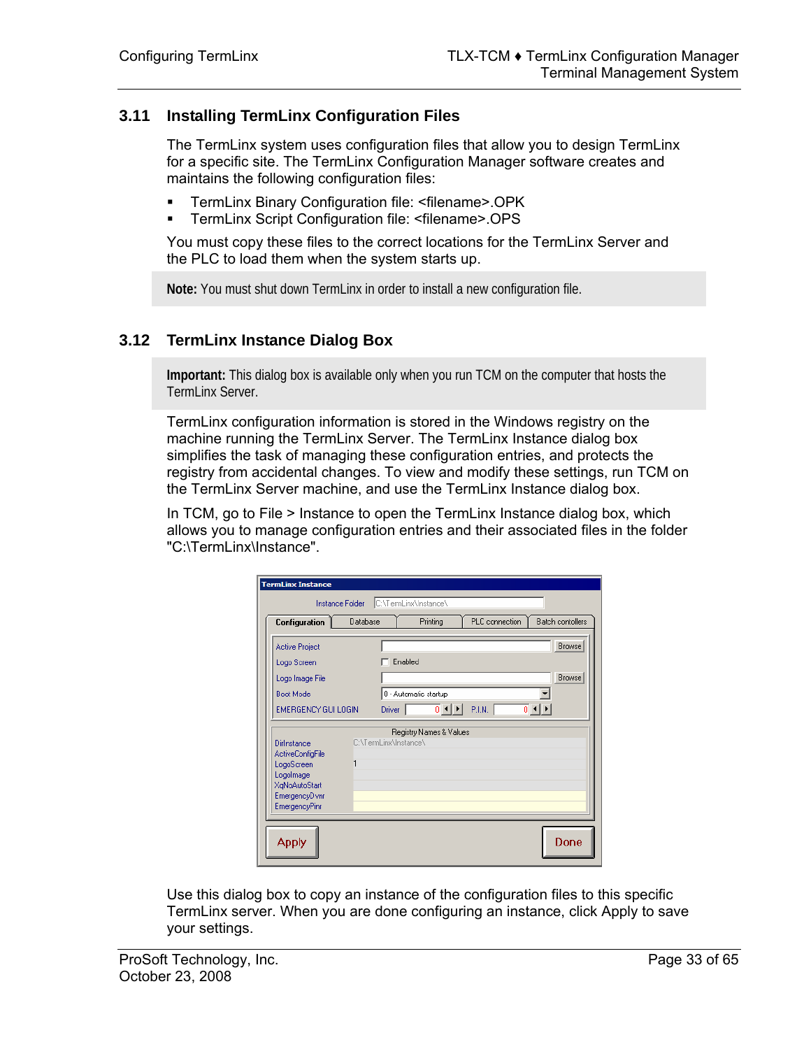## **3.11 Installing TermLinx Configuration Files**

<span id="page-32-0"></span>The TermLinx system uses configuration files that allow you to design TermLinx for a specific site. The TermLinx Configuration Manager software creates and maintains the following configuration files:

- TermLinx Binary Configuration file: <filename>.OPK<br>■ TermLinx Script Configuration file: <filename> OPS
- TermLinx Script Configuration file: <filename>.OPS

You must copy these files to the correct locations for the TermLinx Server and the PLC to load them when the system starts up.

**Note:** You must shut down TermLinx in order to install a new configuration file.

#### **3.12 TermLinx Instance Dialog Box**

<span id="page-32-1"></span>**Important:** This dialog box is available only when you run TCM on the computer that hosts the TermLinx Server.

TermLinx configuration information is stored in the Windows registry on the machine running the TermLinx Server. The TermLinx Instance dialog box simplifies the task of managing these configuration entries, and protects the registry from accidental changes. To view and modify these settings, run TCM on the TermLinx Server machine, and use the TermLinx Instance dialog box.

In TCM, go to File > Instance to open the TermLinx Instance dialog box, which allows you to manage configuration entries and their associated files in the folder "C:\TermLinx\Instance".

| Configuration           | Database |                       | Printing                                | PLC connection |               | <b>Batch contollers</b> |
|-------------------------|----------|-----------------------|-----------------------------------------|----------------|---------------|-------------------------|
| <b>Active Project</b>   |          |                       |                                         |                |               | <b>Browse</b>           |
| Logo Screen             |          | Enabled               |                                         |                |               |                         |
| Logo Image File         |          |                       |                                         |                |               | Browse                  |
| <b>Boot Mode</b>        |          |                       | 0 - Automatic startup                   |                |               |                         |
| EMERGENCY GUI LOGIN     |          | Driver                | $\overline{0}$ $\left  \bullet \right $ | P.I.N.         | $\frac{1}{1}$ |                         |
|                         |          |                       |                                         |                |               |                         |
|                         |          |                       | Registry Names & Values                 |                |               |                         |
| Dirlnstance             |          | C:\TermLinx\Instance\ |                                         |                |               |                         |
| ActiveConfigFile        |          |                       |                                         |                |               |                         |
| LogoScreen<br>Logolmage |          |                       |                                         |                |               |                         |
| XqNoAutoStart           |          |                       |                                         |                |               |                         |
| EmergencyD vnr          |          |                       |                                         |                |               |                         |
| EmergencyPinr           |          |                       |                                         |                |               |                         |
|                         |          |                       |                                         |                |               |                         |

Use this dialog box to copy an instance of the configuration files to this specific TermLinx server. When you are done configuring an instance, click Apply to save your settings.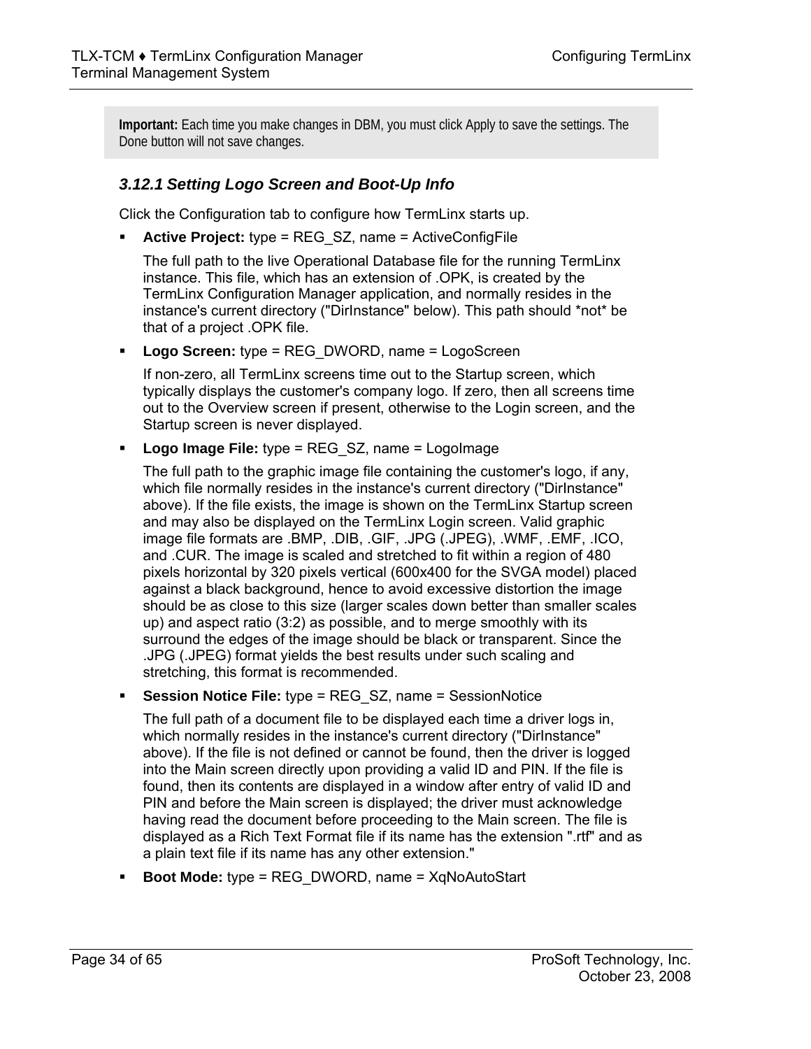**Important:** Each time you make changes in DBM, you must click Apply to save the settings. The Done button will not save changes.

## *3.12.1 Setting Logo Screen and Boot-Up Info*

Click the Configuration tab to configure how TermLinx starts up.

**Active Project:** type = REG SZ, name = ActiveConfigFile

The full path to the live Operational Database file for the running TermLinx instance. This file, which has an extension of .OPK, is created by the TermLinx Configuration Manager application, and normally resides in the instance's current directory ("DirInstance" below). This path should \*not\* be that of a project .OPK file.

**Logo Screen:** type = REG DWORD, name = LogoScreen

If non-zero, all TermLinx screens time out to the Startup screen, which typically displays the customer's company logo. If zero, then all screens time out to the Overview screen if present, otherwise to the Login screen, and the Startup screen is never displayed.

**Logo Image File:** type = REG\_SZ, name = LogoImage

The full path to the graphic image file containing the customer's logo, if any, which file normally resides in the instance's current directory ("DirInstance" above). If the file exists, the image is shown on the TermLinx Startup screen and may also be displayed on the TermLinx Login screen. Valid graphic image file formats are .BMP, .DIB, .GIF, .JPG (.JPEG), .WMF, .EMF, .ICO, and .CUR. The image is scaled and stretched to fit within a region of 480 pixels horizontal by 320 pixels vertical (600x400 for the SVGA model) placed against a black background, hence to avoid excessive distortion the image should be as close to this size (larger scales down better than smaller scales up) and aspect ratio (3:2) as possible, and to merge smoothly with its surround the edges of the image should be black or transparent. Since the .JPG (.JPEG) format yields the best results under such scaling and stretching, this format is recommended.

**Session Notice File:** type = REG\_SZ, name = SessionNotice

The full path of a document file to be displayed each time a driver logs in, which normally resides in the instance's current directory ("DirInstance" above). If the file is not defined or cannot be found, then the driver is logged into the Main screen directly upon providing a valid ID and PIN. If the file is found, then its contents are displayed in a window after entry of valid ID and PIN and before the Main screen is displayed; the driver must acknowledge having read the document before proceeding to the Main screen. The file is displayed as a Rich Text Format file if its name has the extension ".rtf" and as a plain text file if its name has any other extension."

**Boot Mode:** type = REG DWORD, name = XqNoAutoStart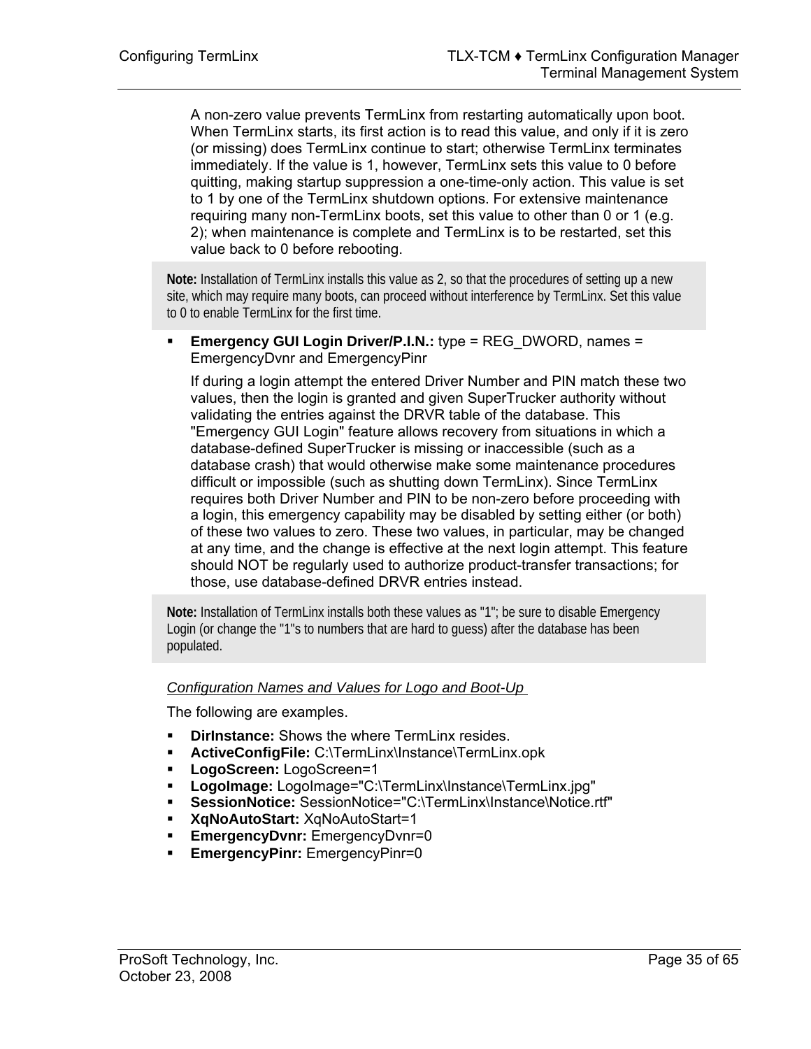A non-zero value prevents TermLinx from restarting automatically upon boot. When TermLinx starts, its first action is to read this value, and only if it is zero (or missing) does TermLinx continue to start; otherwise TermLinx terminates immediately. If the value is 1, however, TermLinx sets this value to 0 before quitting, making startup suppression a one-time-only action. This value is set to 1 by one of the TermLinx shutdown options. For extensive maintenance requiring many non-TermLinx boots, set this value to other than 0 or 1 (e.g. 2); when maintenance is complete and TermLinx is to be restarted, set this value back to 0 before rebooting.

**Note:** Installation of TermLinx installs this value as 2, so that the procedures of setting up a new site, which may require many boots, can proceed without interference by TermLinx. Set this value to 0 to enable TermLinx for the first time.

**Emergency GUI Login Driver/P.I.N.:** type = REG DWORD, names = EmergencyDvnr and EmergencyPinr

If during a login attempt the entered Driver Number and PIN match these two values, then the login is granted and given SuperTrucker authority without validating the entries against the DRVR table of the database. This "Emergency GUI Login" feature allows recovery from situations in which a database-defined SuperTrucker is missing or inaccessible (such as a database crash) that would otherwise make some maintenance procedures difficult or impossible (such as shutting down TermLinx). Since TermLinx requires both Driver Number and PIN to be non-zero before proceeding with a login, this emergency capability may be disabled by setting either (or both) of these two values to zero. These two values, in particular, may be changed at any time, and the change is effective at the next login attempt. This feature should NOT be regularly used to authorize product-transfer transactions; for those, use database-defined DRVR entries instead.

**Note:** Installation of TermLinx installs both these values as "1"; be sure to disable Emergency Login (or change the "1"s to numbers that are hard to guess) after the database has been populated.

#### *Configuration Names and Values for Logo and Boot-Up*

The following are examples.

- **DirInstance:** Shows the where TermLinx resides.
- **ActiveConfigFile:** C:\TermLinx\Instance\TermLinx.opk
- **LogoScreen:** LogoScreen=1
- **LogoImage:** LogoImage="C:\TermLinx\Instance\TermLinx.jpg"
- **SessionNotice:** SessionNotice="C:\TermLinx\Instance\Notice.rtf"
- **XqNoAutoStart:** XqNoAutoStart=1
- **EmergencyDvnr:** EmergencyDvnr=0
- **EmergencyPinr:** EmergencyPinr=0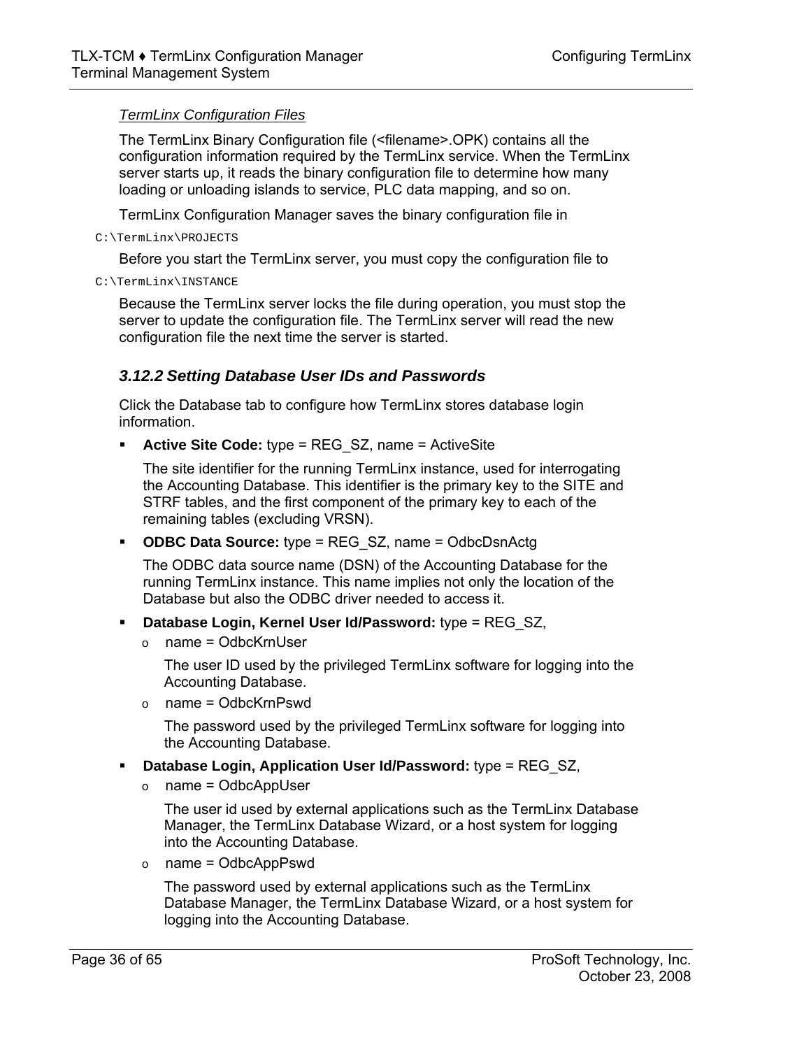#### *TermLinx Configuration Files*

The TermLinx Binary Configuration file (<filename>.OPK) contains all the configuration information required by the TermLinx service. When the TermLinx server starts up, it reads the binary configuration file to determine how many loading or unloading islands to service, PLC data mapping, and so on.

TermLinx Configuration Manager saves the binary configuration file in

C:\TermLinx\PROJECTS

Before you start the TermLinx server, you must copy the configuration file to

C:\TermLinx\INSTANCE

Because the TermLinx server locks the file during operation, you must stop the server to update the configuration file. The TermLinx server will read the new configuration file the next time the server is started.

## *3.12.2 Setting Database User IDs and Passwords*

Click the Database tab to configure how TermLinx stores database login information.

**Active Site Code:** type = REG SZ, name = ActiveSite

The site identifier for the running TermLinx instance, used for interrogating the Accounting Database. This identifier is the primary key to the SITE and STRF tables, and the first component of the primary key to each of the remaining tables (excluding VRSN).

**ODBC Data Source:** type = REG\_SZ, name = OdbcDsnActg

The ODBC data source name (DSN) of the Accounting Database for the running TermLinx instance. This name implies not only the location of the Database but also the ODBC driver needed to access it.

- **Database Login, Kernel User Id/Password:** type = REG\_SZ,
	- $\circ$  name = OdbcKrnUser

The user ID used by the privileged TermLinx software for logging into the Accounting Database.

 $\circ$  name = OdbcKrnPswd

The password used by the privileged TermLinx software for logging into the Accounting Database.

- **Database Login, Application User Id/Password:** type = REG\_SZ,
	- $o$  name = OdbcAppUser

The user id used by external applications such as the TermLinx Database Manager, the TermLinx Database Wizard, or a host system for logging into the Accounting Database.

 $o$  name = OdbcAppPswd

The password used by external applications such as the TermLinx Database Manager, the TermLinx Database Wizard, or a host system for logging into the Accounting Database.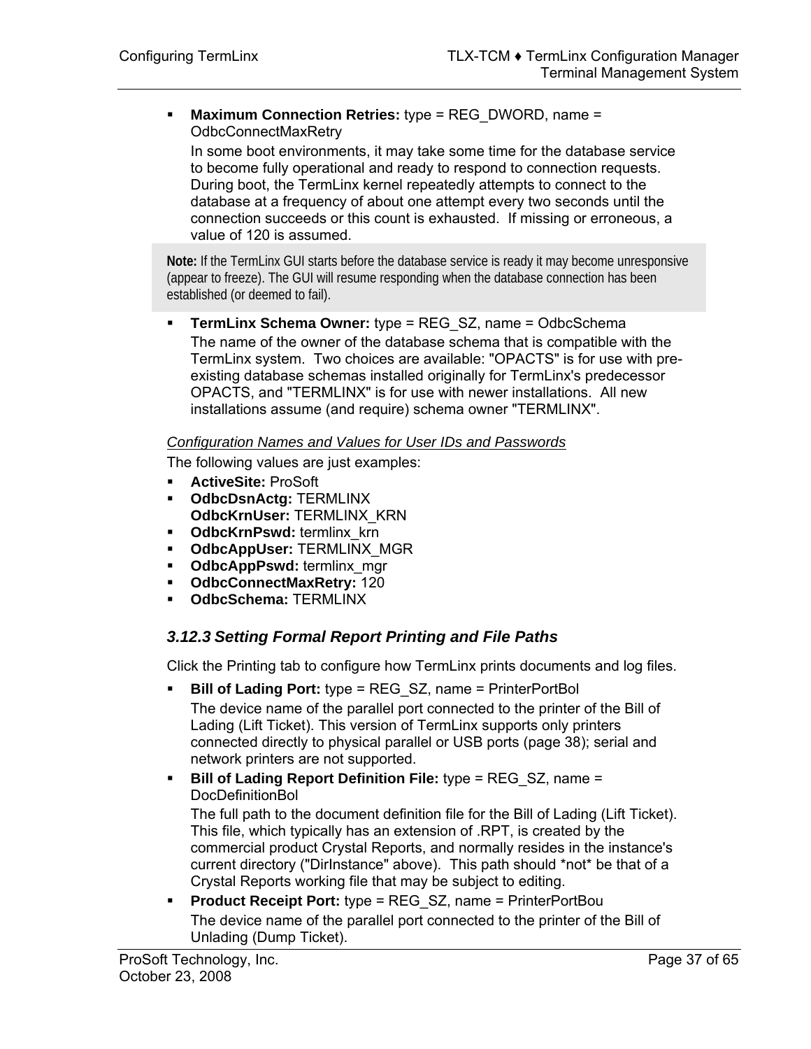**Maximum Connection Retries:** type = REG\_DWORD, name = OdbcConnectMaxRetry

In some boot environments, it may take some time for the database service to become fully operational and ready to respond to connection requests. During boot, the TermLinx kernel repeatedly attempts to connect to the database at a frequency of about one attempt every two seconds until the connection succeeds or this count is exhausted. If missing or erroneous, a value of 120 is assumed.

**Note:** If the TermLinx GUI starts before the database service is ready it may become unresponsive (appear to freeze). The GUI will resume responding when the database connection has been established (or deemed to fail).

**TermLinx Schema Owner:** type = REG SZ, name = OdbcSchema The name of the owner of the database schema that is compatible with the TermLinx system. Two choices are available: "OPACTS" is for use with preexisting database schemas installed originally for TermLinx's predecessor OPACTS, and "TERMLINX" is for use with newer installations. All new installations assume (and require) schema owner "TERMLINX".

#### *Configuration Names and Values for User IDs and Passwords*

The following values are just examples:

- **ActiveSite:** ProSoft
- **OdbcDsnActg:** TERMLINX **OdbcKrnUser:** TERMLINX\_KRN
- **-** OdbcKrnPswd: termlinx krn
- **OdbcAppUser: TERMLINX MGR**
- **OdbcAppPswd:** termlinx mgr
- **OdbcConnectMaxRetry:** 120
- **OdbcSchema:** TERMLINX

## <span id="page-36-0"></span>*3.12.3 Setting Formal Report Printing and File Paths*

Click the Printing tab to configure how TermLinx prints documents and log files.

- **Bill of Lading Port:** type = REG SZ, name = PrinterPortBol The device name of the parallel port connected to the printer of the Bill of Lading (Lift Ticket). This version of TermLinx supports only printers connected directly to physical parallel or USB ports (page [38\)](#page-37-0); serial and network printers are not supported.
- **Bill of Lading Report Definition File:** type = REG SZ, name = **DocDefinitionBol**

The full path to the document definition file for the Bill of Lading (Lift Ticket). This file, which typically has an extension of .RPT, is created by the commercial product Crystal Reports, and normally resides in the instance's current directory ("DirInstance" above). This path should \*not\* be that of a Crystal Reports working file that may be subject to editing.

**Product Receipt Port:** type = REG SZ, name = PrinterPortBou The device name of the parallel port connected to the printer of the Bill of Unlading (Dump Ticket).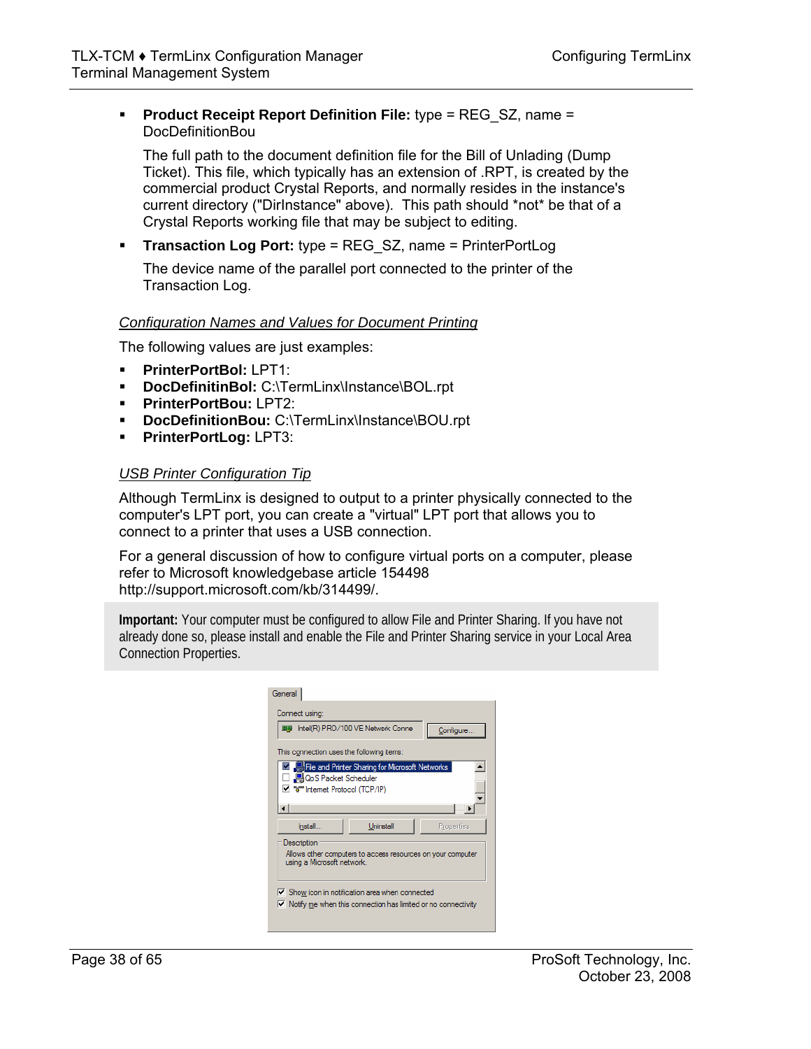#### **Product Receipt Report Definition File:** type = REG SZ, name = DocDefinitionBou

The full path to the document definition file for the Bill of Unlading (Dump Ticket). This file, which typically has an extension of .RPT, is created by the commercial product Crystal Reports, and normally resides in the instance's current directory ("DirInstance" above). This path should \*not\* be that of a Crystal Reports working file that may be subject to editing.

**Transaction Log Port:** type = REG SZ, name = PrinterPortLog

The device name of the parallel port connected to the printer of the Transaction Log.

#### *Configuration Names and Values for Document Printing*

The following values are just examples:

- **PrinterPortBol:** LPT1:
- **DocDefinitinBol:** C:\TermLinx\Instance\BOL.rpt
- **PrinterPortBou:** LPT2:
- **DocDefinitionBou:** C:\TermLinx\Instance\BOU.rpt
- **PrinterPortLog:** LPT3:

#### <span id="page-37-0"></span>*USB Printer Configuration Tip*

Although TermLinx is designed to output to a printer physically connected to the computer's LPT port, you can create a "virtual" LPT port that allows you to connect to a printer that uses a USB connection.

For a general discussion of how to configure virtual ports on a computer, please refer to Microsoft knowledgebase article 154498 [http://support.microsoft.com/kb/314499/.](http://support.microsoft.com/kb/314499/) 

**Important:** Your computer must be configured to allow File and Printer Sharing. If you have not already done so, please install and enable the File and Printer Sharing service in your Local Area Connection Properties.

| General                                                                                                                           |  |  |  |  |  |
|-----------------------------------------------------------------------------------------------------------------------------------|--|--|--|--|--|
| Connect using:                                                                                                                    |  |  |  |  |  |
| ■■ Intel(R) PRO/100 VE Network Conne<br>Configure                                                                                 |  |  |  |  |  |
| This connection uses the following items:                                                                                         |  |  |  |  |  |
| File and Printer Sharing for Microsoft Networks<br>□ 粵QoS Packet Scheduler<br>Del "allemet Protocol (TCP/IP)                      |  |  |  |  |  |
| Uninstall<br><b>Install</b><br>Properties                                                                                         |  |  |  |  |  |
| Description<br>Allows other computers to access resources on your computer<br>using a Microsoft network.                          |  |  |  |  |  |
| IV Show icon in notification area when connected<br>$\triangledown$ Notify me when this connection has limited or no connectivity |  |  |  |  |  |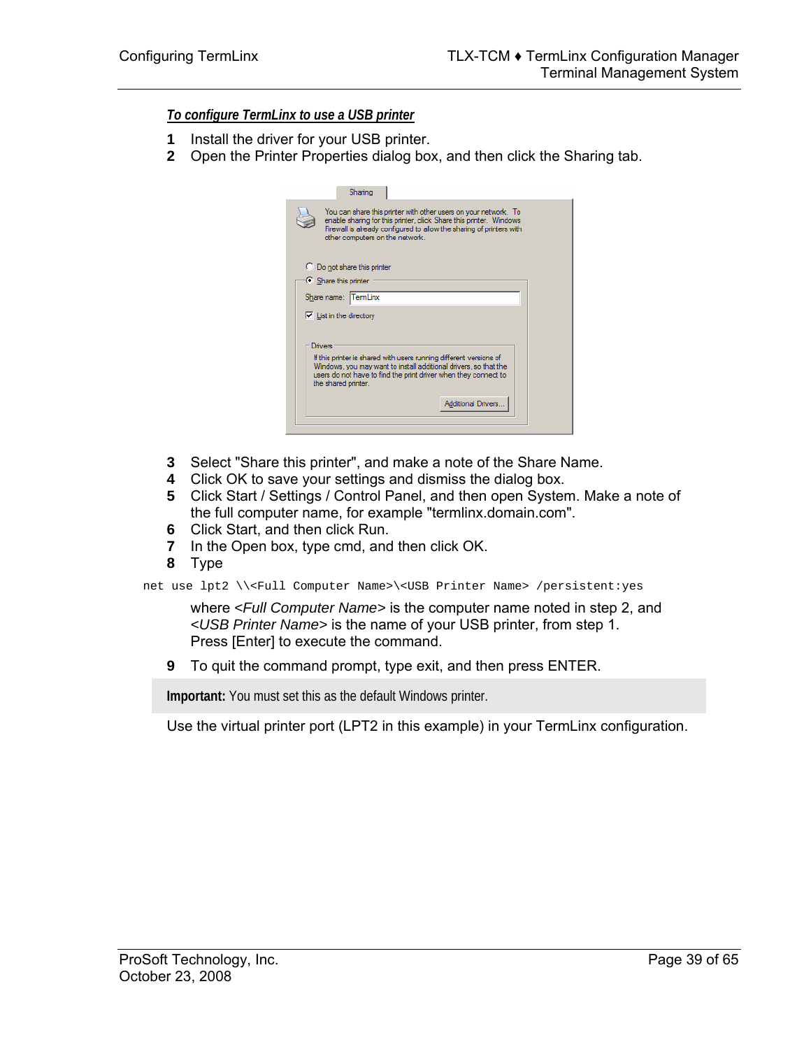*To configure TermLinx to use a USB printer*

- **1** Install the driver for your USB printer.
- **2** Open the Printer Properties dialog box, and then click the Sharing tab.

| Sharing                                                                                                                                                                                                                                                            |
|--------------------------------------------------------------------------------------------------------------------------------------------------------------------------------------------------------------------------------------------------------------------|
| You can share this printer with other users on your network. To<br>enable sharing for this printer, click Share this printer. Windows<br>Firewall is already configured to allow the sharing of printers with<br>other computers on the network.                   |
| C Do not share this printer                                                                                                                                                                                                                                        |
| Share this printer                                                                                                                                                                                                                                                 |
| Share name: TermLinx                                                                                                                                                                                                                                               |
| $\triangleright$ List in the directory                                                                                                                                                                                                                             |
| Drivers<br>If this printer is shared with users running different versions of<br>Windows, you may want to install additional drivers, so that the<br>users do not have to find the print driver when they connect to<br>the shared printer.<br>Additional Drivers. |
|                                                                                                                                                                                                                                                                    |

- **3** Select "Share this printer", and make a note of the Share Name.
- **4** Click OK to save your settings and dismiss the dialog box.
- **5** Click Start / Settings / Control Panel, and then open System. Make a note of the full computer name, for example "termlinx.domain.com".
- **6** Click Start, and then click Run.
- **7** In the Open box, type cmd, and then click OK.
- **8** Type

net use lpt2 \\<Full Computer Name>\<USB Printer Name> /persistent:yes

where *<Full Computer Name>* is the computer name noted in step 2, and *<USB Printer Name>* is the name of your USB printer, from step 1. Press [Enter] to execute the command.

**9** To quit the command prompt, type exit, and then press ENTER.

**Important:** You must set this as the default Windows printer.

Use the virtual printer port (LPT2 in this example) in your TermLinx configuration.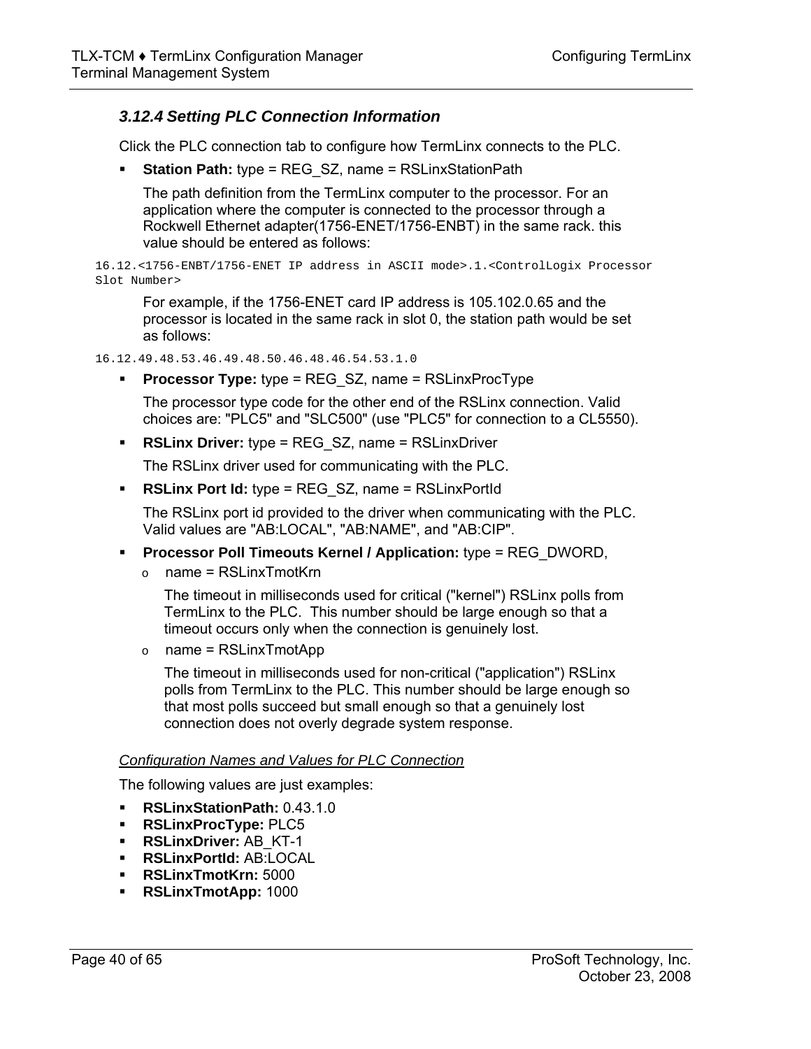## *3.12.4 Setting PLC Connection Information*

Click the PLC connection tab to configure how TermLinx connects to the PLC.

**Station Path:** type = REG SZ, name = RSLinxStationPath

The path definition from the TermLinx computer to the processor. For an application where the computer is connected to the processor through a Rockwell Ethernet adapter(1756-ENET/1756-ENBT) in the same rack. this value should be entered as follows:

16.12.<1756-ENBT/1756-ENET IP address in ASCII mode>.1.<ControlLogix Processor Slot Number>

For example, if the 1756-ENET card IP address is 105.102.0.65 and the processor is located in the same rack in slot 0, the station path would be set as follows:

16.12.49.48.53.46.49.48.50.46.48.46.54.53.1.0

**Processor Type:** type = REG\_SZ, name = RSLinxProcType

The processor type code for the other end of the RSLinx connection. Valid choices are: "PLC5" and "SLC500" (use "PLC5" for connection to a CL5550).

**RSLinx Driver:** type = REG\_SZ, name = RSLinxDriver

The RSLinx driver used for communicating with the PLC.

**RSLinx Port Id:** type = REG SZ, name = RSLinxPortId

The RSLinx port id provided to the driver when communicating with the PLC. Valid values are "AB:LOCAL", "AB:NAME", and "AB:CIP".

- **Processor Poll Timeouts Kernel / Application:** type = REG\_DWORD,
	- $\circ$  name = RSLinxTmotKrn

The timeout in milliseconds used for critical ("kernel") RSLinx polls from TermLinx to the PLC. This number should be large enough so that a timeout occurs only when the connection is genuinely lost.

 $\circ$  name = RSLinxTmotApp

The timeout in milliseconds used for non-critical ("application") RSLinx polls from TermLinx to the PLC. This number should be large enough so that most polls succeed but small enough so that a genuinely lost connection does not overly degrade system response.

#### *Configuration Names and Values for PLC Connection*

The following values are just examples:

- **RSLinxStationPath:** 0.43.1.0
- **RSLinxProcType:** PLC5
- **RSLinxDriver:** AB\_KT-1
- **RSLinxPortId:** AB:LOCAL
- **RSLinxTmotKrn:** 5000
- **RSLinxTmotApp:** 1000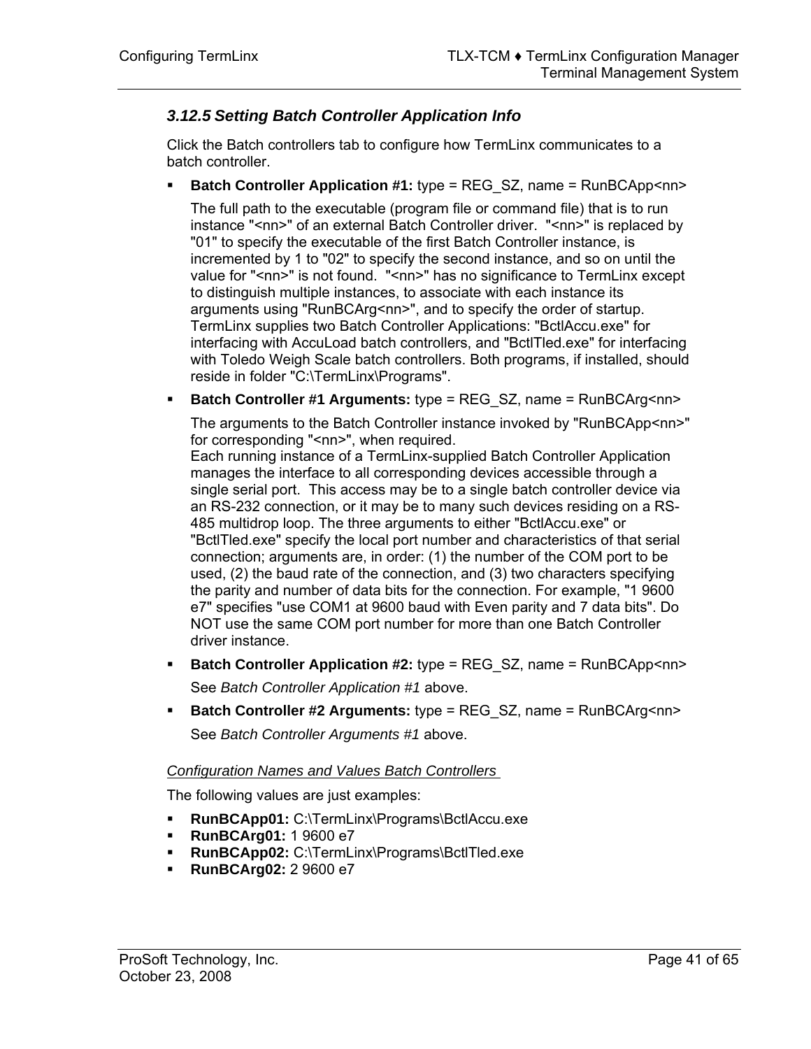## *3.12.5 Setting Batch Controller Application Info*

Click the Batch controllers tab to configure how TermLinx communicates to a batch controller.

**Batch Controller Application #1:** type = REG SZ, name = RunBCApp<nn>

The full path to the executable (program file or command file) that is to run instance "<nn>" of an external Batch Controller driver. "<nn>" is replaced by "01" to specify the executable of the first Batch Controller instance, is incremented by 1 to "02" to specify the second instance, and so on until the value for "<nn>" is not found. "<nn>" has no significance to TermLinx except to distinguish multiple instances, to associate with each instance its arguments using "RunBCArg<nn>", and to specify the order of startup. TermLinx supplies two Batch Controller Applications: "BctlAccu.exe" for interfacing with AccuLoad batch controllers, and "BctlTled.exe" for interfacing with Toledo Weigh Scale batch controllers. Both programs, if installed, should reside in folder "C:\TermLinx\Programs".

**Batch Controller #1 Arguments:** type = REG\_SZ, name = RunBCArg<nn>

The arguments to the Batch Controller instance invoked by "RunBCApp<nn>" for corresponding "<nn>", when required.

Each running instance of a TermLinx-supplied Batch Controller Application manages the interface to all corresponding devices accessible through a single serial port. This access may be to a single batch controller device via an RS-232 connection, or it may be to many such devices residing on a RS-485 multidrop loop. The three arguments to either "BctlAccu.exe" or "BctlTled.exe" specify the local port number and characteristics of that serial connection; arguments are, in order: (1) the number of the COM port to be used, (2) the baud rate of the connection, and (3) two characters specifying the parity and number of data bits for the connection. For example, "1 9600 e7" specifies "use COM1 at 9600 baud with Even parity and 7 data bits". Do NOT use the same COM port number for more than one Batch Controller driver instance.

- **Batch Controller Application #2:** type = REG SZ, name = RunBCApp<nn> See *Batch Controller Application #1* above.
- **Batch Controller #2 Arguments:** type = REG\_SZ, name = RunBCArg<nn> See *Batch Controller Arguments #1* above.

#### *Configuration Names and Values Batch Controllers*

The following values are just examples:

- **RunBCApp01:** C:\TermLinx\Programs\BctlAccu.exe
- **RunBCArg01:** 1 9600 e7
- **RunBCApp02:** C:\TermLinx\Programs\BctlTled.exe
- **RunBCArg02:** 2 9600 e7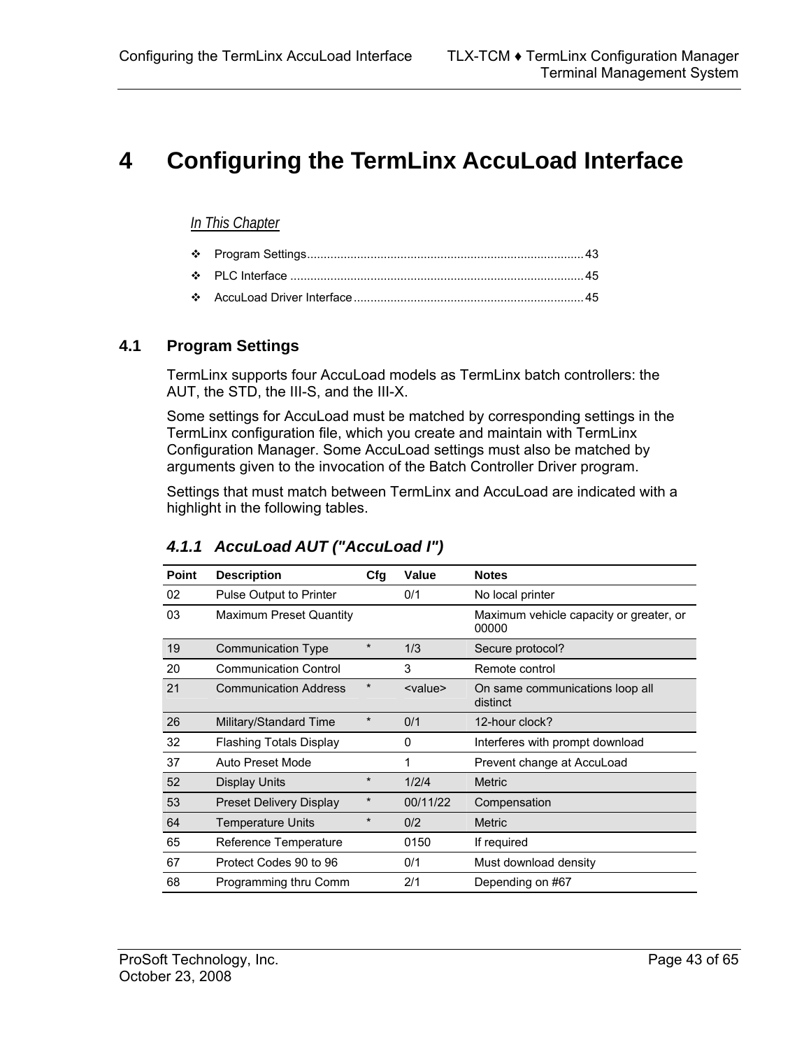# <span id="page-42-0"></span>**4 Configuring the TermLinx AccuLoad Interface**

#### *In This Chapter*

[AccuLoad Driver Interface.](#page-44-1)....................................................................[45](#page-44-1) 

### **4.1 Program Settings**

<span id="page-42-1"></span>TermLinx supports four AccuLoad models as TermLinx batch controllers: the AUT, the STD, the III-S, and the III-X.

Some settings for AccuLoad must be matched by corresponding settings in the TermLinx configuration file, which you create and maintain with TermLinx Configuration Manager. Some AccuLoad settings must also be matched by arguments given to the invocation of the Batch Controller Driver program.

Settings that must match between TermLinx and AccuLoad are indicated with a highlight in the following tables.

| Point | <b>Description</b>             | Cfq     | Value           | <b>Notes</b>                                     |
|-------|--------------------------------|---------|-----------------|--------------------------------------------------|
| 02    | Pulse Output to Printer        |         | 0/1             | No local printer                                 |
| 03    | <b>Maximum Preset Quantity</b> |         |                 | Maximum vehicle capacity or greater, or<br>00000 |
| 19    | Communication Type             | $\star$ | 1/3             | Secure protocol?                                 |
| 20    | <b>Communication Control</b>   |         | 3               | Remote control                                   |
| 21    | <b>Communication Address</b>   | $\ast$  | <value></value> | On same communications loop all<br>distinct      |
| 26    | Military/Standard Time         | $\star$ | 0/1             | 12-hour clock?                                   |
| 32    | <b>Flashing Totals Display</b> |         | 0               | Interferes with prompt download                  |
| 37    | Auto Preset Mode               |         | 1               | Prevent change at AccuLoad                       |
| 52    | <b>Display Units</b>           | $\star$ | 1/2/4           | <b>Metric</b>                                    |
| 53    | <b>Preset Delivery Display</b> | $\star$ | 00/11/22        | Compensation                                     |
| 64    | <b>Temperature Units</b>       | $\star$ | 0/2             | <b>Metric</b>                                    |
| 65    | Reference Temperature          |         | 0150            | If required                                      |
| 67    | Protect Codes 90 to 96         |         | 0/1             | Must download density                            |
| 68    | Programming thru Comm          |         | 2/1             | Depending on #67                                 |

## *4.1.1 AccuLoad AUT ("AccuLoad I")*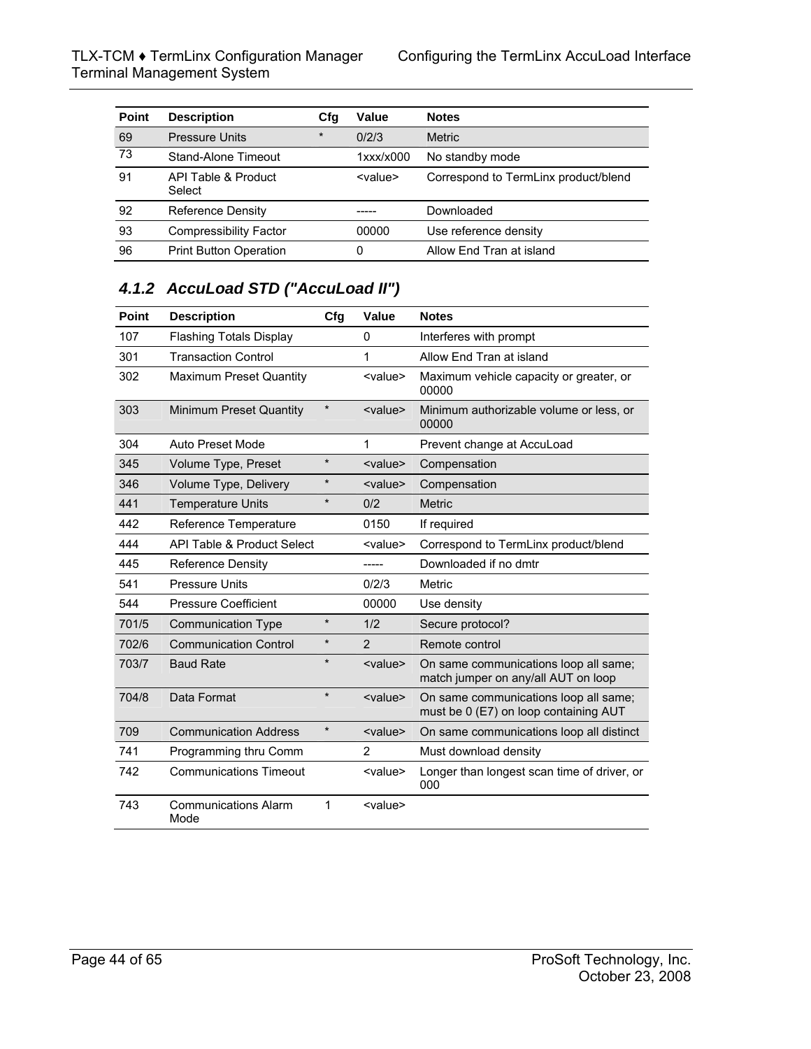| Point | <b>Description</b>            | Cfg     | Value           | <b>Notes</b>                         |
|-------|-------------------------------|---------|-----------------|--------------------------------------|
| 69    | <b>Pressure Units</b>         | $\star$ | 0/2/3           | <b>Metric</b>                        |
| 73    | Stand-Alone Timeout           |         | $1$ xxx/x000    | No standby mode                      |
| 91    | API Table & Product<br>Select |         | <value></value> | Correspond to TermLinx product/blend |
| 92    | <b>Reference Density</b>      |         |                 | Downloaded                           |
| 93    | <b>Compressibility Factor</b> |         | 00000           | Use reference density                |
| 96    | <b>Print Button Operation</b> |         | 0               | Allow End Tran at island             |

## *4.1.2 AccuLoad STD ("AccuLoad II")*

| <b>Point</b> | <b>Description</b>                  | Cfg     | Value           | <b>Notes</b>                                                                   |
|--------------|-------------------------------------|---------|-----------------|--------------------------------------------------------------------------------|
| 107          | <b>Flashing Totals Display</b>      |         | 0               | Interferes with prompt                                                         |
| 301          | <b>Transaction Control</b>          |         | 1               | Allow End Tran at island                                                       |
| 302          | <b>Maximum Preset Quantity</b>      |         | <value></value> | Maximum vehicle capacity or greater, or<br>00000                               |
| 303          | Minimum Preset Quantity             |         | <value></value> | Minimum authorizable volume or less, or<br>00000                               |
| 304          | Auto Preset Mode                    |         | 1               | Prevent change at AccuLoad                                                     |
| 345          | Volume Type, Preset                 | $\star$ | <value></value> | Compensation                                                                   |
| 346          | Volume Type, Delivery               | $\star$ | <value></value> | Compensation                                                                   |
| 441          | <b>Temperature Units</b>            | $\star$ | 0/2             | <b>Metric</b>                                                                  |
| 442          | Reference Temperature               |         | 0150            | If required                                                                    |
| 444          | API Table & Product Select          |         | <value></value> | Correspond to TermLinx product/blend                                           |
| 445          | <b>Reference Density</b>            |         |                 | Downloaded if no dmtr                                                          |
| 541          | <b>Pressure Units</b>               |         | 0/2/3           | Metric                                                                         |
| 544          | <b>Pressure Coefficient</b>         |         | 00000           | Use density                                                                    |
| 701/5        | <b>Communication Type</b>           | $\star$ | 1/2             | Secure protocol?                                                               |
| 702/6        | <b>Communication Control</b>        | $\star$ | $\overline{2}$  | Remote control                                                                 |
| 703/7        | <b>Baud Rate</b>                    | $\star$ | <value></value> | On same communications loop all same;<br>match jumper on any/all AUT on loop   |
| 704/8        | Data Format                         | $\star$ | <value></value> | On same communications loop all same;<br>must be 0 (E7) on loop containing AUT |
| 709          | <b>Communication Address</b>        | $\star$ | <value></value> | On same communications loop all distinct                                       |
| 741          | Programming thru Comm               |         | $\overline{2}$  | Must download density                                                          |
| 742          | <b>Communications Timeout</b>       |         | <value></value> | Longer than longest scan time of driver, or<br>000                             |
| 743          | <b>Communications Alarm</b><br>Mode | 1       | <value></value> |                                                                                |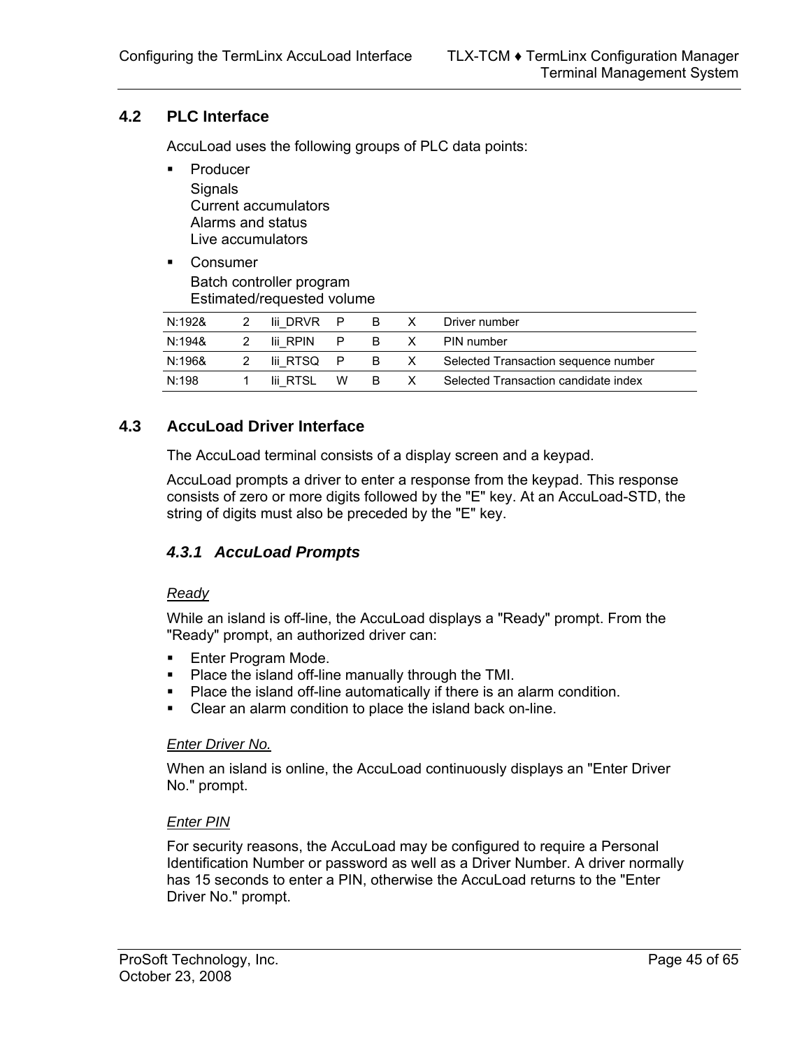## **4.2 PLC Interface**

<span id="page-44-0"></span>AccuLoad uses the following groups of PLC data points:

- Producer **Signals** Current accumulators Alarms and status Live accumulators
- **Consumer** Batch controller program Estimated/requested volume

| N:1928 | lii DRVR P |    | B.  |     | Driver number                        |
|--------|------------|----|-----|-----|--------------------------------------|
| N:194& | lii RPIN   | P. | B.  |     | PIN number                           |
| N:196& | lii RTSOP  |    |     | B X | Selected Transaction sequence number |
| N:198  | lii RTSL   | w  | - B | X.  | Selected Transaction candidate index |

## **4.3 AccuLoad Driver Interface**

<span id="page-44-1"></span>The AccuLoad terminal consists of a display screen and a keypad.

AccuLoad prompts a driver to enter a response from the keypad. This response consists of zero or more digits followed by the "E" key. At an AccuLoad-STD, the string of digits must also be preceded by the "E" key.

## *4.3.1 AccuLoad Prompts*

#### *Ready*

While an island is off-line, the AccuLoad displays a "Ready" prompt. From the "Ready" prompt, an authorized driver can:

- **Enter Program Mode.**
- **Place the island off-line manually through the TMI.**
- **Place the island off-line automatically if there is an alarm condition.**
- Clear an alarm condition to place the island back on-line.

#### *Enter Driver No.*

When an island is online, the AccuLoad continuously displays an "Enter Driver No." prompt.

#### *Enter PIN*

For security reasons, the AccuLoad may be configured to require a Personal Identification Number or password as well as a Driver Number. A driver normally has 15 seconds to enter a PIN, otherwise the AccuLoad returns to the "Enter Driver No." prompt.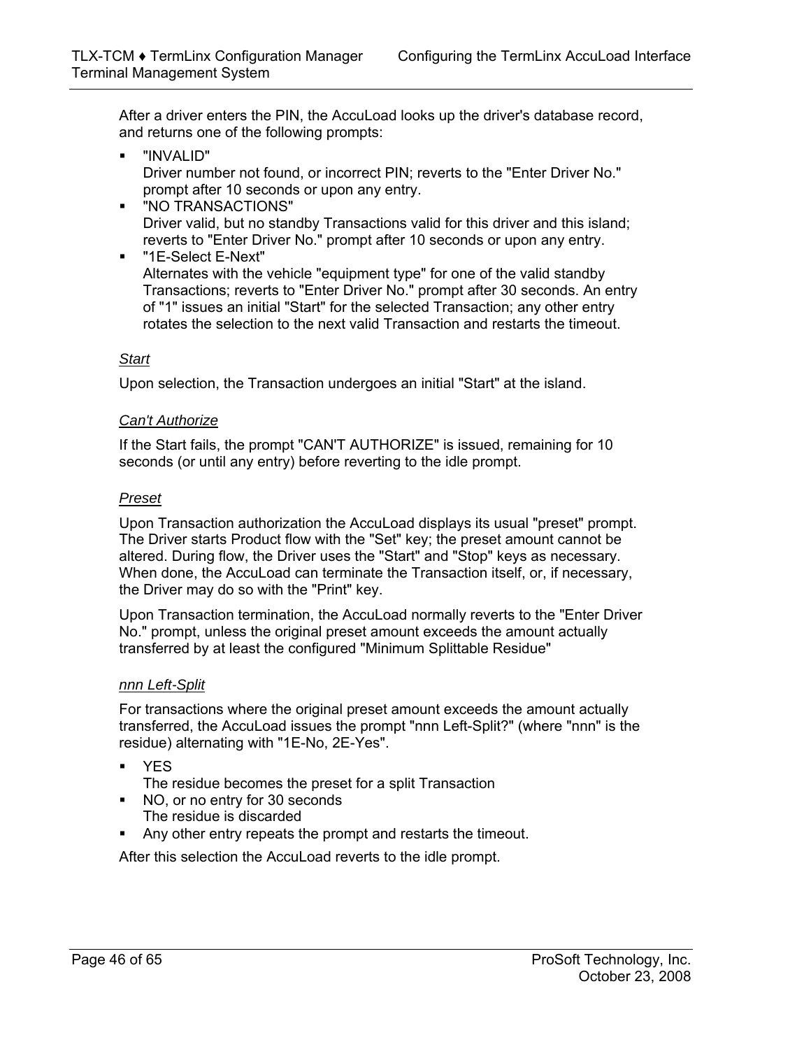After a driver enters the PIN, the AccuLoad looks up the driver's database record, and returns one of the following prompts:

- "INVALID" Driver number not found, or incorrect PIN; reverts to the "Enter Driver No." prompt after 10 seconds or upon any entry.
- "NO TRANSACTIONS" Driver valid, but no standby Transactions valid for this driver and this island; reverts to "Enter Driver No." prompt after 10 seconds or upon any entry.
- "1E-Select E-Next" Alternates with the vehicle "equipment type" for one of the valid standby Transactions; reverts to "Enter Driver No." prompt after 30 seconds. An entry of "1" issues an initial "Start" for the selected Transaction; any other entry rotates the selection to the next valid Transaction and restarts the timeout.

#### *Start*

Upon selection, the Transaction undergoes an initial "Start" at the island.

#### *Can't Authorize*

If the Start fails, the prompt "CAN'T AUTHORIZE" is issued, remaining for 10 seconds (or until any entry) before reverting to the idle prompt.

#### *Preset*

Upon Transaction authorization the AccuLoad displays its usual "preset" prompt. The Driver starts Product flow with the "Set" key; the preset amount cannot be altered. During flow, the Driver uses the "Start" and "Stop" keys as necessary. When done, the AccuLoad can terminate the Transaction itself, or, if necessary, the Driver may do so with the "Print" key.

Upon Transaction termination, the AccuLoad normally reverts to the "Enter Driver No." prompt, unless the original preset amount exceeds the amount actually transferred by at least the configured "Minimum Splittable Residue"

#### *nnn Left-Split*

For transactions where the original preset amount exceeds the amount actually transferred, the AccuLoad issues the prompt "nnn Left-Split?" (where "nnn" is the residue) alternating with "1E-No, 2E-Yes".

- YES
	- The residue becomes the preset for a split Transaction
- NO, or no entry for 30 seconds The residue is discarded
- Any other entry repeats the prompt and restarts the timeout.

After this selection the AccuLoad reverts to the idle prompt.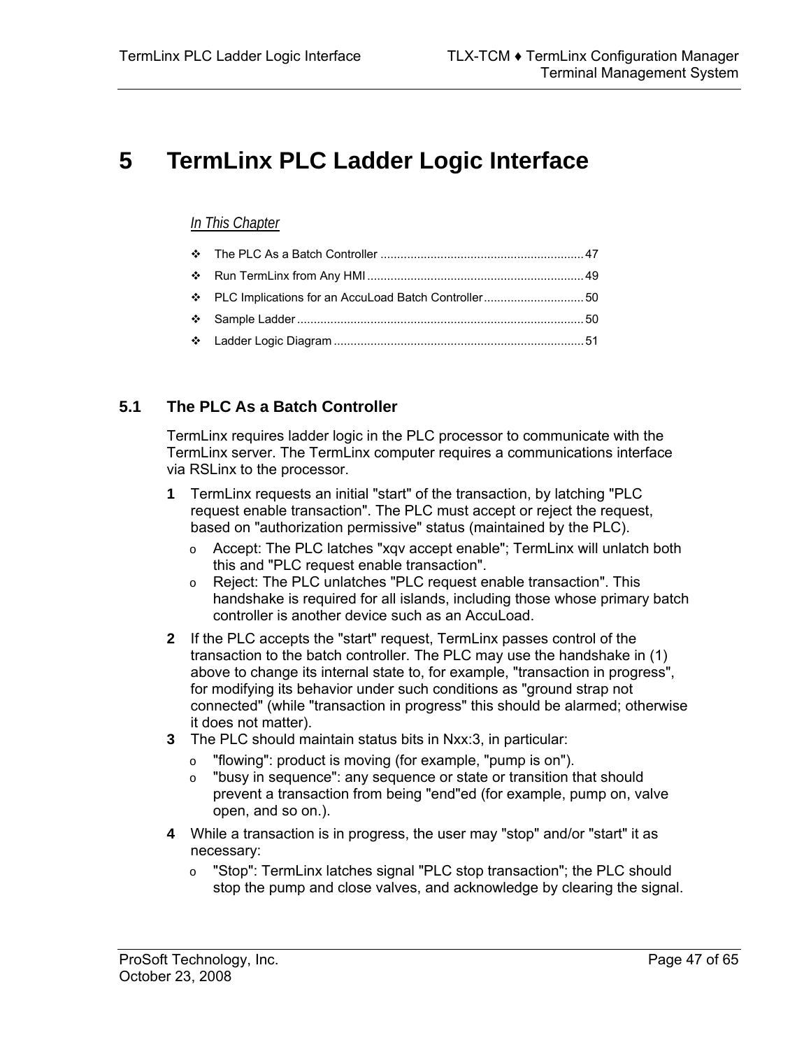# <span id="page-46-0"></span>**5 TermLinx PLC Ladder Logic Interface**

### *In This Chapter*

## **5.1 The PLC As a Batch Controller**

<span id="page-46-1"></span>TermLinx requires ladder logic in the PLC processor to communicate with the TermLinx server. The TermLinx computer requires a communications interface via RSLinx to the processor.

- **1** TermLinx requests an initial "start" of the transaction, by latching "PLC request enable transaction". The PLC must accept or reject the request, based on "authorization permissive" status (maintained by the PLC).
	- o Accept: The PLC latches "xqv accept enable"; TermLinx will unlatch both this and "PLC request enable transaction".
	- o Reject: The PLC unlatches "PLC request enable transaction". This handshake is required for all islands, including those whose primary batch controller is another device such as an AccuLoad.
- **2** If the PLC accepts the "start" request, TermLinx passes control of the transaction to the batch controller. The PLC may use the handshake in (1) above to change its internal state to, for example, "transaction in progress", for modifying its behavior under such conditions as "ground strap not connected" (while "transaction in progress" this should be alarmed; otherwise it does not matter).
- **3** The PLC should maintain status bits in Nxx:3, in particular:
	- o "flowing": product is moving (for example, "pump is on").<br>
	o "busy in sequence": any sequence or state or transition t
	- "busy in sequence": any sequence or state or transition that should prevent a transaction from being "end"ed (for example, pump on, valve open, and so on.).
- **4** While a transaction is in progress, the user may "stop" and/or "start" it as necessary:
	- o "Stop": TermLinx latches signal "PLC stop transaction"; the PLC should stop the pump and close valves, and acknowledge by clearing the signal.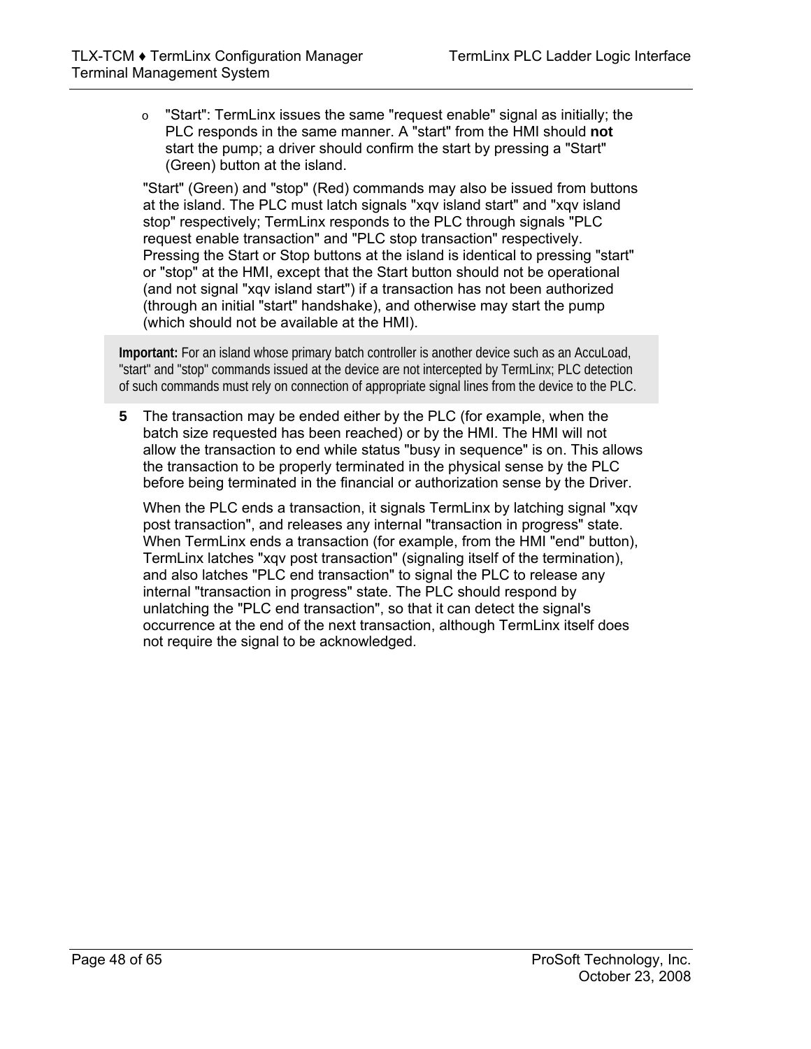o "Start": TermLinx issues the same "request enable" signal as initially; the PLC responds in the same manner. A "start" from the HMI should **not** start the pump; a driver should confirm the start by pressing a "Start" (Green) button at the island.

"Start" (Green) and "stop" (Red) commands may also be issued from buttons at the island. The PLC must latch signals "xqv island start" and "xqv island stop" respectively; TermLinx responds to the PLC through signals "PLC request enable transaction" and "PLC stop transaction" respectively. Pressing the Start or Stop buttons at the island is identical to pressing "start" or "stop" at the HMI, except that the Start button should not be operational (and not signal "xqv island start") if a transaction has not been authorized (through an initial "start" handshake), and otherwise may start the pump (which should not be available at the HMI).

**Important:** For an island whose primary batch controller is another device such as an AccuLoad, "start" and "stop" commands issued at the device are not intercepted by TermLinx; PLC detection of such commands must rely on connection of appropriate signal lines from the device to the PLC.

**5** The transaction may be ended either by the PLC (for example, when the batch size requested has been reached) or by the HMI. The HMI will not allow the transaction to end while status "busy in sequence" is on. This allows the transaction to be properly terminated in the physical sense by the PLC before being terminated in the financial or authorization sense by the Driver.

When the PLC ends a transaction, it signals TermLinx by latching signal "xqv post transaction", and releases any internal "transaction in progress" state. When TermLinx ends a transaction (for example, from the HMI "end" button), TermLinx latches "xqv post transaction" (signaling itself of the termination), and also latches "PLC end transaction" to signal the PLC to release any internal "transaction in progress" state. The PLC should respond by unlatching the "PLC end transaction", so that it can detect the signal's occurrence at the end of the next transaction, although TermLinx itself does not require the signal to be acknowledged.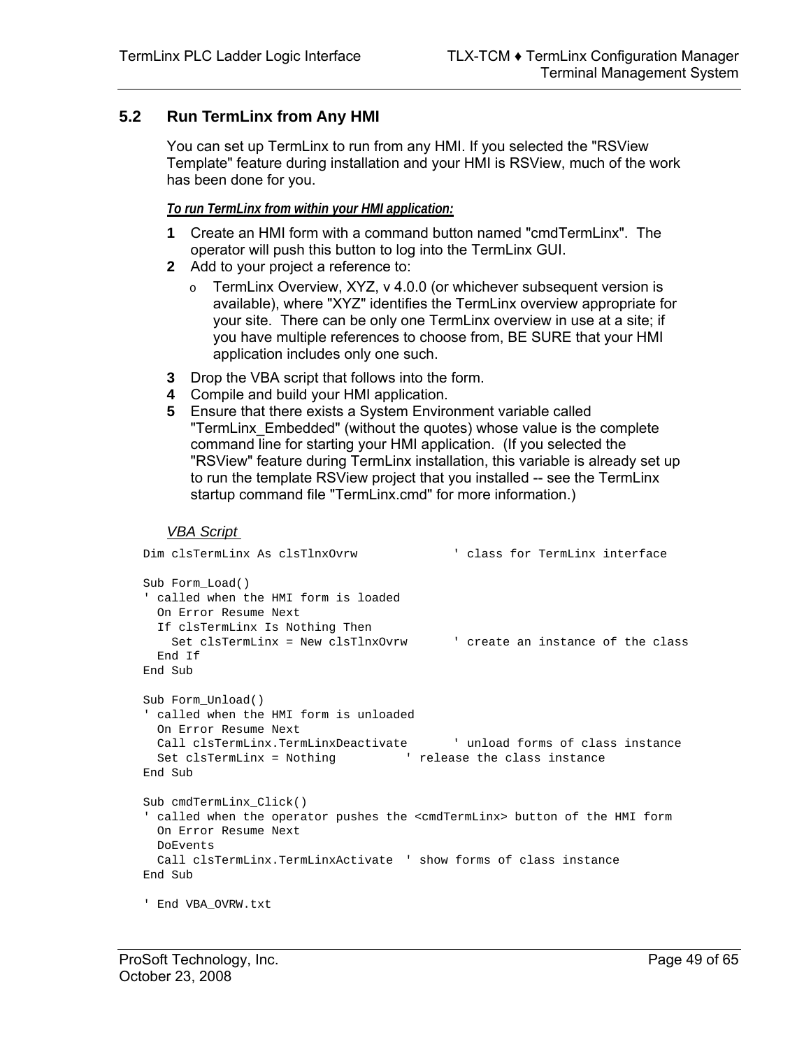## **5.2 Run TermLinx from Any HMI**

<span id="page-48-0"></span>You can set up TermLinx to run from any HMI. If you selected the "RSView Template" feature during installation and your HMI is RSView, much of the work has been done for you.

#### *To run TermLinx from within your HMI application:*

- **1** Create an HMI form with a command button named "cmdTermLinx". The operator will push this button to log into the TermLinx GUI.
- **2** Add to your project a reference to:
	- o TermLinx Overview, XYZ, v 4.0.0 (or whichever subsequent version is available), where "XYZ" identifies the TermLinx overview appropriate for your site. There can be only one TermLinx overview in use at a site; if you have multiple references to choose from, BE SURE that your HMI application includes only one such.
- **3** Drop the VBA script that follows into the form.
- **4** Compile and build your HMI application.
- **5** Ensure that there exists a System Environment variable called "TermLinx\_Embedded" (without the quotes) whose value is the complete command line for starting your HMI application. (If you selected the "RSView" feature during TermLinx installation, this variable is already set up to run the template RSView project that you installed -- see the TermLinx startup command file "TermLinx.cmd" for more information.)

#### *VBA Script*

```
Dim clsTermLinx As clsTlnxOvrw ' class for TermLinx interface 
Sub Form_Load() 
' called when the HMI form is loaded 
  On Error Resume Next 
  If clsTermLinx Is Nothing Then 
    Set clsTermLinx = New clsTlnxOvrw ' create an instance of the class 
  End If 
End Sub 
Sub Form_Unload() 
' called when the HMI form is unloaded 
  On Error Resume Next 
  Call clsTermLinx.TermLinxDeactivate ' unload forms of class instance 
 Set clsTermLinx = Nothing ' release the class instance
End Sub 
Sub cmdTermLinx_Click() 
' called when the operator pushes the <cmdTermLinx> button of the HMI form 
  On Error Resume Next 
  DoEvents 
  Call clsTermLinx.TermLinxActivate ' show forms of class instance 
End Sub 
' End VBA_OVRW.txt
```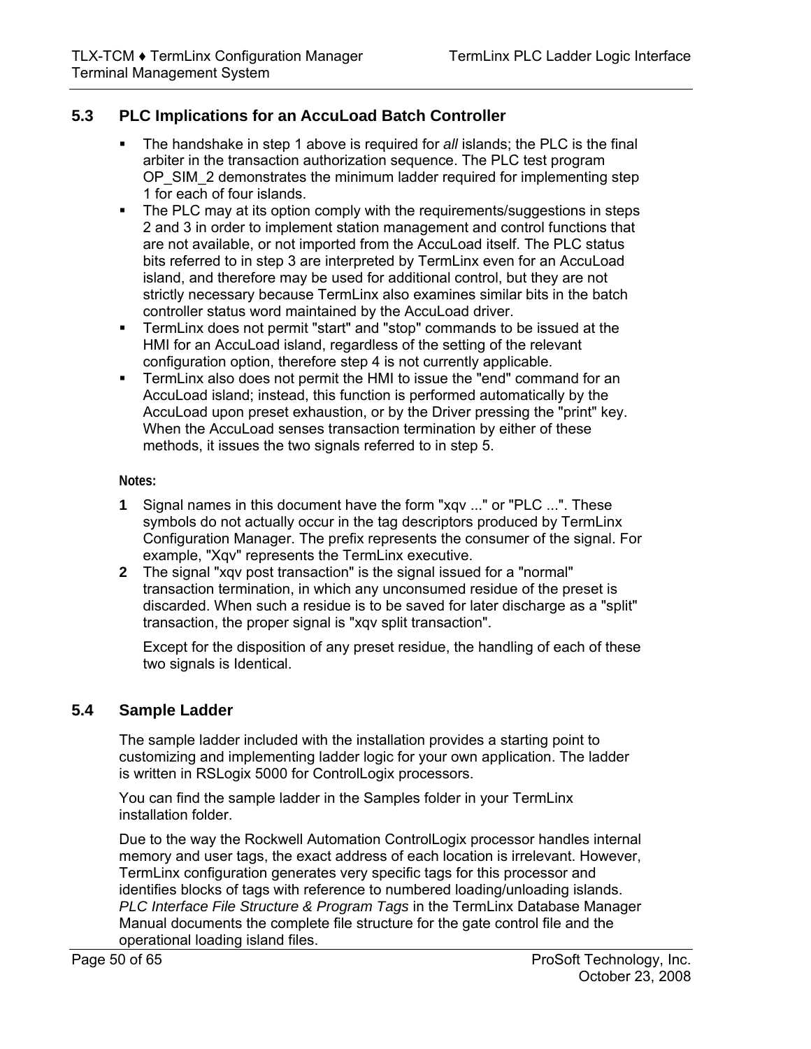## **5.3 PLC Implications for an AccuLoad Batch Controller**

- <span id="page-49-0"></span> The handshake in step 1 above is required for *all* islands; the PLC is the final arbiter in the transaction authorization sequence. The PLC test program OP SIM 2 demonstrates the minimum ladder required for implementing step 1 for each of four islands.
- The PLC may at its option comply with the requirements/suggestions in steps 2 and 3 in order to implement station management and control functions that are not available, or not imported from the AccuLoad itself. The PLC status bits referred to in step 3 are interpreted by TermLinx even for an AccuLoad island, and therefore may be used for additional control, but they are not strictly necessary because TermLinx also examines similar bits in the batch controller status word maintained by the AccuLoad driver.
- TermLinx does not permit "start" and "stop" commands to be issued at the HMI for an AccuLoad island, regardless of the setting of the relevant configuration option, therefore step 4 is not currently applicable.
- **TermLinx also does not permit the HMI to issue the "end" command for an** AccuLoad island; instead, this function is performed automatically by the AccuLoad upon preset exhaustion, or by the Driver pressing the "print" key. When the AccuLoad senses transaction termination by either of these methods, it issues the two signals referred to in step 5.

#### **Notes:**

- **1** Signal names in this document have the form "xqv ..." or "PLC ...". These symbols do not actually occur in the tag descriptors produced by TermLinx Configuration Manager. The prefix represents the consumer of the signal. For example, "Xqv" represents the TermLinx executive.
- **2** The signal "xqv post transaction" is the signal issued for a "normal" transaction termination, in which any unconsumed residue of the preset is discarded. When such a residue is to be saved for later discharge as a "split" transaction, the proper signal is "xqv split transaction".

Except for the disposition of any preset residue, the handling of each of these two signals is Identical.

## **5.4 Sample Ladder**

<span id="page-49-1"></span>The sample ladder included with the installation provides a starting point to customizing and implementing ladder logic for your own application. The ladder is written in RSLogix 5000 for ControlLogix processors.

You can find the sample ladder in the Samples folder in your TermLinx installation folder.

Due to the way the Rockwell Automation ControlLogix processor handles internal memory and user tags, the exact address of each location is irrelevant. However, TermLinx configuration generates very specific tags for this processor and identifies blocks of tags with reference to numbered loading/unloading islands. *PLC Interface File Structure & Program Tags* in the TermLinx Database Manager Manual documents the complete file structure for the gate control file and the operational loading island files.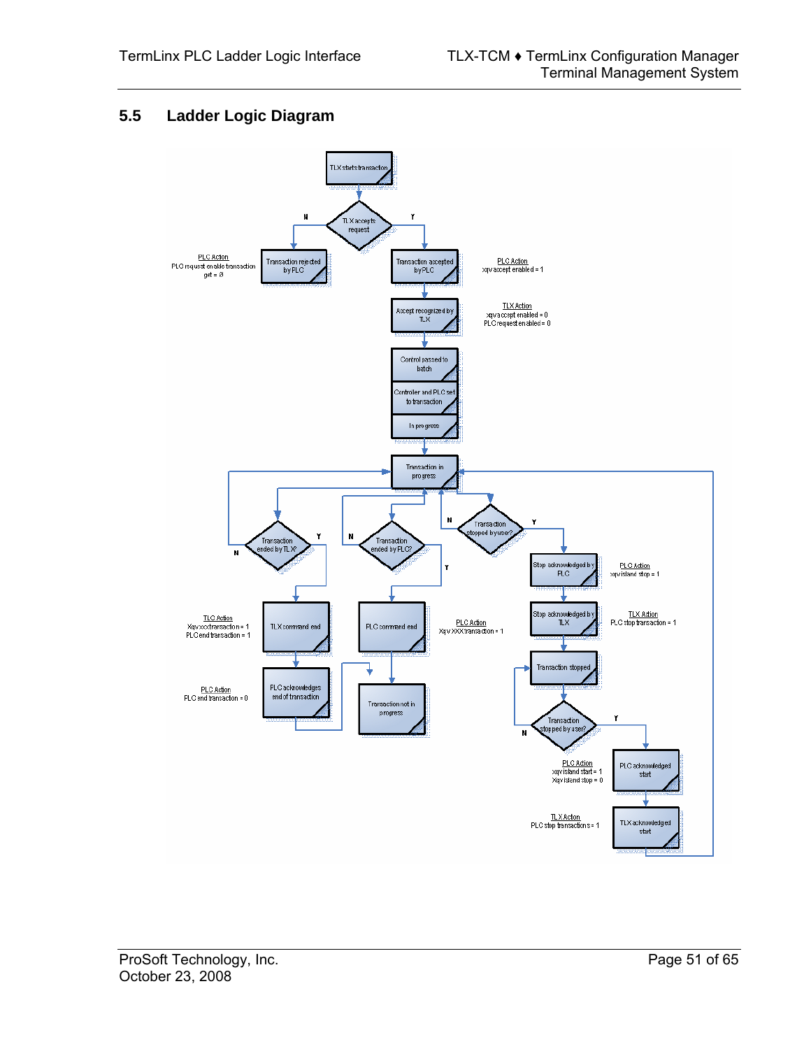## **5.5 Ladder Logic Diagram**

<span id="page-50-0"></span>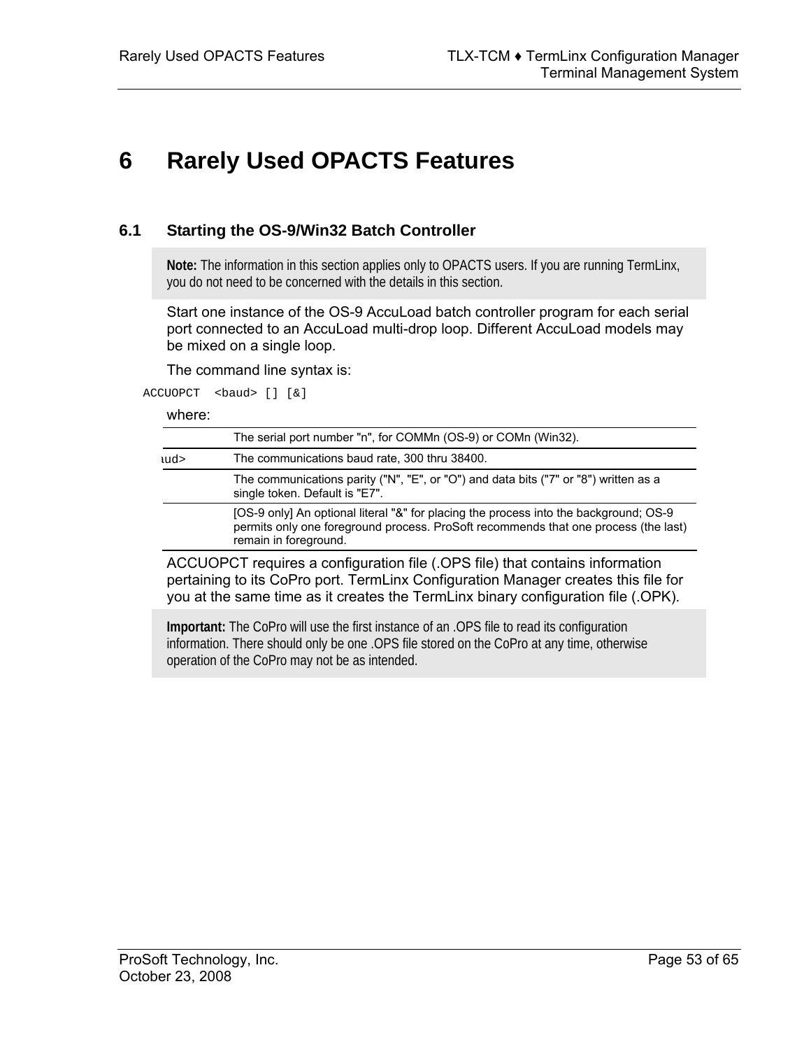# <span id="page-52-0"></span>**6 Rarely Used OPACTS Features**

### **6.1 Starting the OS-9/Win32 Batch Controller**

<span id="page-52-1"></span>**Note:** The information in this section applies only to OPACTS users. If you are running TermLinx, you do not need to be concerned with the details in this section.

Start one instance of the OS-9 AccuLoad batch controller program for each serial port connected to an AccuLoad multi-drop loop. Different AccuLoad models may be mixed on a single loop.

The command line syntax is:

ACCUOPCT <br/>baud> [] [&]

where:

|     | The serial port number "n", for COMMn (OS-9) or COMn (Win32).                                                                                                                                         |  |  |  |  |
|-----|-------------------------------------------------------------------------------------------------------------------------------------------------------------------------------------------------------|--|--|--|--|
| ud> | The communications baud rate, 300 thru 38400.                                                                                                                                                         |  |  |  |  |
|     | The communications parity ("N", "E", or "O") and data bits ("7" or "8") written as a<br>single token. Default is "E7".                                                                                |  |  |  |  |
|     | [OS-9 only] An optional literal "&" for placing the process into the background; OS-9<br>permits only one foreground process. ProSoft recommends that one process (the last)<br>remain in foreground. |  |  |  |  |

ACCUOPCT requires a configuration file (.OPS file) that contains information pertaining to its CoPro port. TermLinx Configuration Manager creates this file for you at the same time as it creates the TermLinx binary configuration file (.OPK).

**Important:** The CoPro will use the first instance of an .OPS file to read its configuration information. There should only be one .OPS file stored on the CoPro at any time, otherwise operation of the CoPro may not be as intended.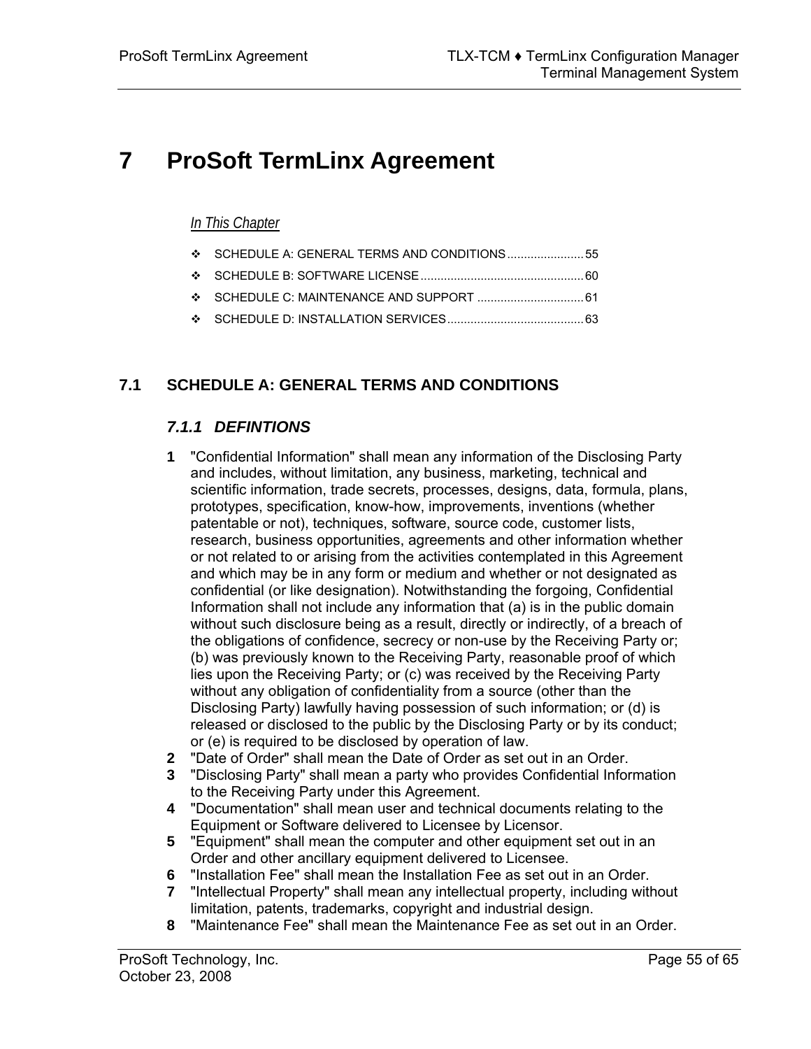# <span id="page-54-0"></span>**7 ProSoft TermLinx Agreement**

## *In This Chapter*

- [SCHEDULE A: GENERAL TERMS AND CONDITIONS.](#page-54-1)......................[55](#page-54-1)
- [SCHEDULE B: SOFTWARE LICENSE.](#page-59-0)................................................[60](#page-59-0)
- [SCHEDULE C: MAINTENANCE AND SUPPORT .](#page-60-0)...............................[61](#page-60-0)
- [SCHEDULE D: INSTALLATION SERVICES.](#page-62-0)........................................[63](#page-62-0)

## **7.1 SCHEDULE A: GENERAL TERMS AND CONDITIONS**

## <span id="page-54-1"></span>*7.1.1 DEFINTIONS*

- **1** "Confidential Information" shall mean any information of the Disclosing Party and includes, without limitation, any business, marketing, technical and scientific information, trade secrets, processes, designs, data, formula, plans, prototypes, specification, know-how, improvements, inventions (whether patentable or not), techniques, software, source code, customer lists, research, business opportunities, agreements and other information whether or not related to or arising from the activities contemplated in this Agreement and which may be in any form or medium and whether or not designated as confidential (or like designation). Notwithstanding the forgoing, Confidential Information shall not include any information that (a) is in the public domain without such disclosure being as a result, directly or indirectly, of a breach of the obligations of confidence, secrecy or non-use by the Receiving Party or; (b) was previously known to the Receiving Party, reasonable proof of which lies upon the Receiving Party; or (c) was received by the Receiving Party without any obligation of confidentiality from a source (other than the Disclosing Party) lawfully having possession of such information; or (d) is released or disclosed to the public by the Disclosing Party or by its conduct; or (e) is required to be disclosed by operation of law.
- **2** "Date of Order" shall mean the Date of Order as set out in an Order.
- **3** "Disclosing Party" shall mean a party who provides Confidential Information to the Receiving Party under this Agreement.
- **4** "Documentation" shall mean user and technical documents relating to the Equipment or Software delivered to Licensee by Licensor.
- **5** "Equipment" shall mean the computer and other equipment set out in an Order and other ancillary equipment delivered to Licensee.
- **6** "Installation Fee" shall mean the Installation Fee as set out in an Order.
- **7** "Intellectual Property" shall mean any intellectual property, including without limitation, patents, trademarks, copyright and industrial design.
- **8** "Maintenance Fee" shall mean the Maintenance Fee as set out in an Order.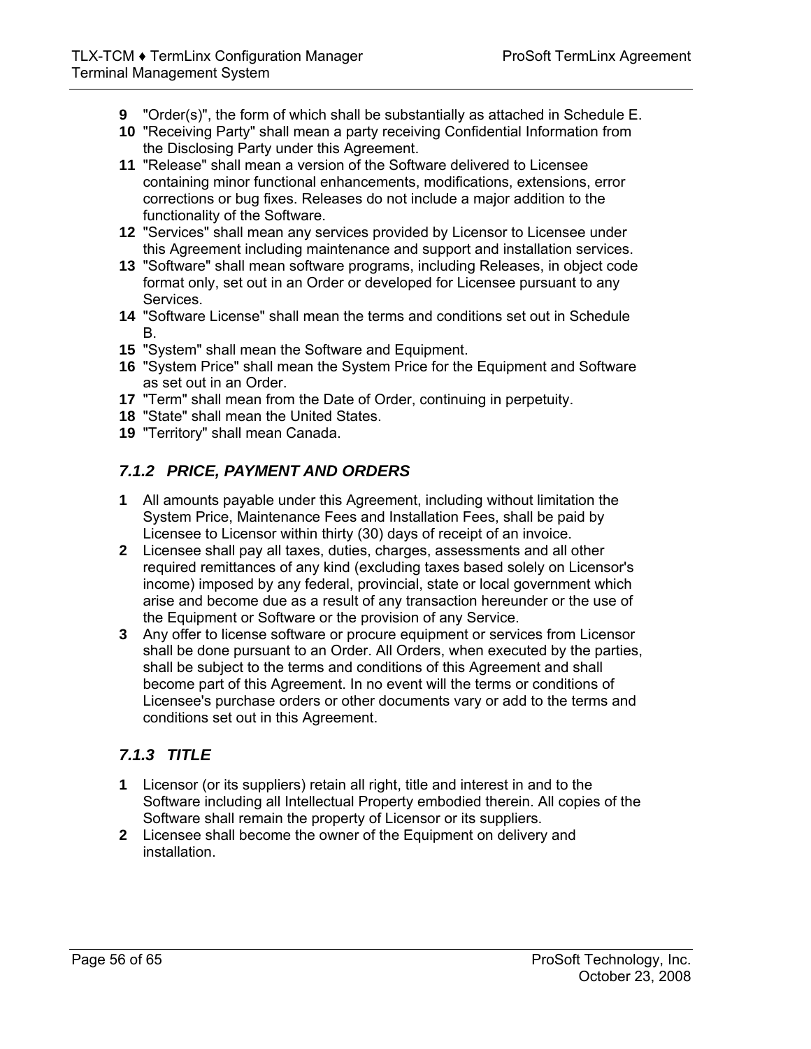- **9** "Order(s)", the form of which shall be substantially as attached in Schedule E.
- **10** "Receiving Party" shall mean a party receiving Confidential Information from the Disclosing Party under this Agreement.
- **11** "Release" shall mean a version of the Software delivered to Licensee containing minor functional enhancements, modifications, extensions, error corrections or bug fixes. Releases do not include a major addition to the functionality of the Software.
- **12** "Services" shall mean any services provided by Licensor to Licensee under this Agreement including maintenance and support and installation services.
- **13** "Software" shall mean software programs, including Releases, in object code format only, set out in an Order or developed for Licensee pursuant to any Services.
- **14** "Software License" shall mean the terms and conditions set out in Schedule B.
- **15** "System" shall mean the Software and Equipment.
- **16** "System Price" shall mean the System Price for the Equipment and Software as set out in an Order.
- **17** "Term" shall mean from the Date of Order, continuing in perpetuity.
- **18** "State" shall mean the United States.
- **19** "Territory" shall mean Canada.

## *7.1.2 PRICE, PAYMENT AND ORDERS*

- **1** All amounts payable under this Agreement, including without limitation the System Price, Maintenance Fees and Installation Fees, shall be paid by Licensee to Licensor within thirty (30) days of receipt of an invoice.
- **2** Licensee shall pay all taxes, duties, charges, assessments and all other required remittances of any kind (excluding taxes based solely on Licensor's income) imposed by any federal, provincial, state or local government which arise and become due as a result of any transaction hereunder or the use of the Equipment or Software or the provision of any Service.
- **3** Any offer to license software or procure equipment or services from Licensor shall be done pursuant to an Order. All Orders, when executed by the parties, shall be subject to the terms and conditions of this Agreement and shall become part of this Agreement. In no event will the terms or conditions of Licensee's purchase orders or other documents vary or add to the terms and conditions set out in this Agreement.

## *7.1.3 TITLE*

- **1** Licensor (or its suppliers) retain all right, title and interest in and to the Software including all Intellectual Property embodied therein. All copies of the Software shall remain the property of Licensor or its suppliers.
- **2** Licensee shall become the owner of the Equipment on delivery and installation.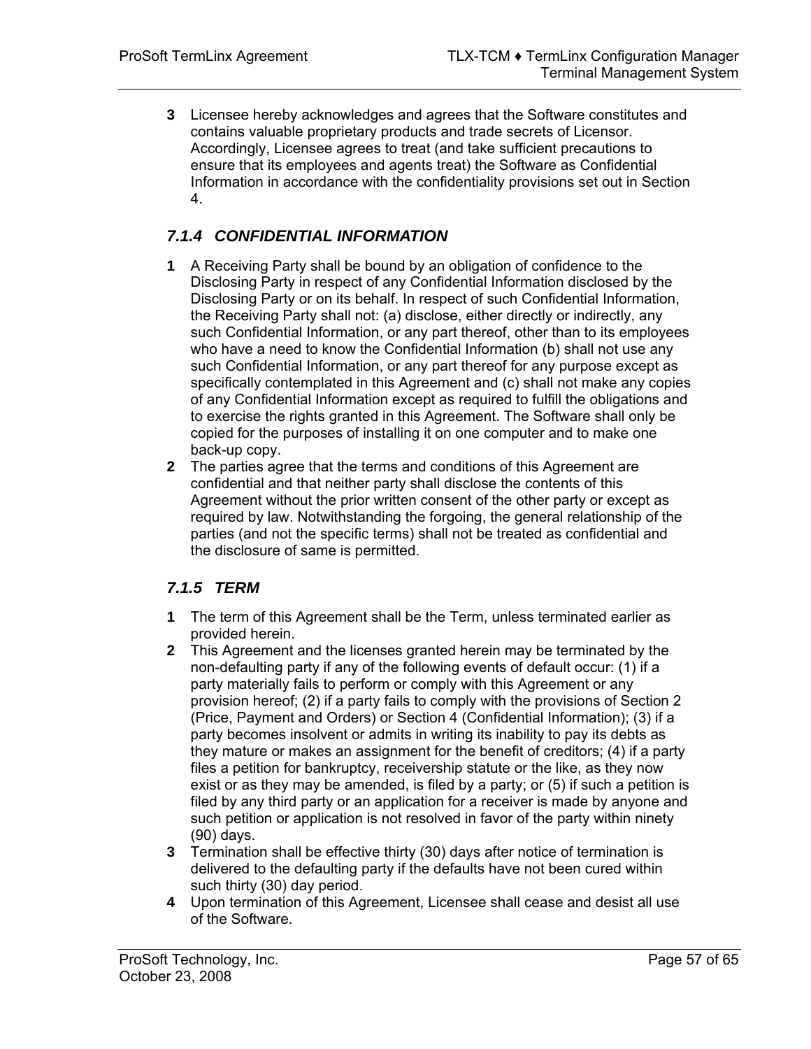**3** Licensee hereby acknowledges and agrees that the Software constitutes and contains valuable proprietary products and trade secrets of Licensor. Accordingly, Licensee agrees to treat (and take sufficient precautions to ensure that its employees and agents treat) the Software as Confidential Information in accordance with the confidentiality provisions set out in Section 4.

## *7.1.4 CONFIDENTIAL INFORMATION*

- **1** A Receiving Party shall be bound by an obligation of confidence to the Disclosing Party in respect of any Confidential Information disclosed by the Disclosing Party or on its behalf. In respect of such Confidential Information, the Receiving Party shall not: (a) disclose, either directly or indirectly, any such Confidential Information, or any part thereof, other than to its employees who have a need to know the Confidential Information (b) shall not use any such Confidential Information, or any part thereof for any purpose except as specifically contemplated in this Agreement and (c) shall not make any copies of any Confidential Information except as required to fulfill the obligations and to exercise the rights granted in this Agreement. The Software shall only be copied for the purposes of installing it on one computer and to make one back-up copy.
- **2** The parties agree that the terms and conditions of this Agreement are confidential and that neither party shall disclose the contents of this Agreement without the prior written consent of the other party or except as required by law. Notwithstanding the forgoing, the general relationship of the parties (and not the specific terms) shall not be treated as confidential and the disclosure of same is permitted.

## *7.1.5 TERM*

- **1** The term of this Agreement shall be the Term, unless terminated earlier as provided herein.
- **2** This Agreement and the licenses granted herein may be terminated by the non-defaulting party if any of the following events of default occur: (1) if a party materially fails to perform or comply with this Agreement or any provision hereof; (2) if a party fails to comply with the provisions of Section 2 (Price, Payment and Orders) or Section 4 (Confidential Information); (3) if a party becomes insolvent or admits in writing its inability to pay its debts as they mature or makes an assignment for the benefit of creditors; (4) if a party files a petition for bankruptcy, receivership statute or the like, as they now exist or as they may be amended, is filed by a party; or (5) if such a petition is filed by any third party or an application for a receiver is made by anyone and such petition or application is not resolved in favor of the party within ninety (90) days.
- **3** Termination shall be effective thirty (30) days after notice of termination is delivered to the defaulting party if the defaults have not been cured within such thirty (30) day period.
- **4** Upon termination of this Agreement, Licensee shall cease and desist all use of the Software.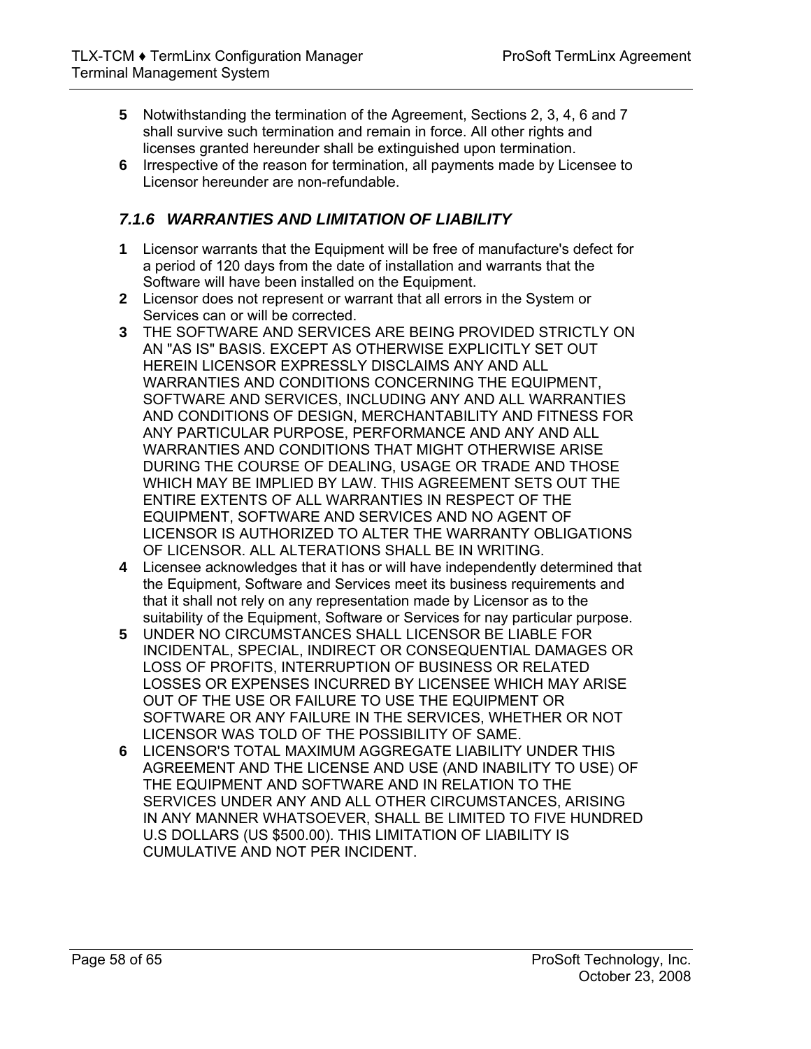- **5** Notwithstanding the termination of the Agreement, Sections 2, 3, 4, 6 and 7 shall survive such termination and remain in force. All other rights and licenses granted hereunder shall be extinguished upon termination.
- **6** Irrespective of the reason for termination, all payments made by Licensee to Licensor hereunder are non-refundable.

## *7.1.6 WARRANTIES AND LIMITATION OF LIABILITY*

- **1** Licensor warrants that the Equipment will be free of manufacture's defect for a period of 120 days from the date of installation and warrants that the Software will have been installed on the Equipment.
- **2** Licensor does not represent or warrant that all errors in the System or Services can or will be corrected.
- **3** THE SOFTWARE AND SERVICES ARE BEING PROVIDED STRICTLY ON AN "AS IS" BASIS. EXCEPT AS OTHERWISE EXPLICITLY SET OUT HEREIN LICENSOR EXPRESSLY DISCLAIMS ANY AND ALL WARRANTIES AND CONDITIONS CONCERNING THE EQUIPMENT, SOFTWARE AND SERVICES, INCLUDING ANY AND ALL WARRANTIES AND CONDITIONS OF DESIGN, MERCHANTABILITY AND FITNESS FOR ANY PARTICULAR PURPOSE, PERFORMANCE AND ANY AND ALL WARRANTIES AND CONDITIONS THAT MIGHT OTHERWISE ARISE DURING THE COURSE OF DEALING, USAGE OR TRADE AND THOSE WHICH MAY BE IMPLIED BY LAW. THIS AGREEMENT SETS OUT THE ENTIRE EXTENTS OF ALL WARRANTIES IN RESPECT OF THE EQUIPMENT, SOFTWARE AND SERVICES AND NO AGENT OF LICENSOR IS AUTHORIZED TO ALTER THE WARRANTY OBLIGATIONS OF LICENSOR. ALL ALTERATIONS SHALL BE IN WRITING.
- **4** Licensee acknowledges that it has or will have independently determined that the Equipment, Software and Services meet its business requirements and that it shall not rely on any representation made by Licensor as to the suitability of the Equipment, Software or Services for nay particular purpose.
- **5** UNDER NO CIRCUMSTANCES SHALL LICENSOR BE LIABLE FOR INCIDENTAL, SPECIAL, INDIRECT OR CONSEQUENTIAL DAMAGES OR LOSS OF PROFITS, INTERRUPTION OF BUSINESS OR RELATED LOSSES OR EXPENSES INCURRED BY LICENSEE WHICH MAY ARISE OUT OF THE USE OR FAILURE TO USE THE EQUIPMENT OR SOFTWARE OR ANY FAILURE IN THE SERVICES, WHETHER OR NOT LICENSOR WAS TOLD OF THE POSSIBILITY OF SAME.
- **6** LICENSOR'S TOTAL MAXIMUM AGGREGATE LIABILITY UNDER THIS AGREEMENT AND THE LICENSE AND USE (AND INABILITY TO USE) OF THE EQUIPMENT AND SOFTWARE AND IN RELATION TO THE SERVICES UNDER ANY AND ALL OTHER CIRCUMSTANCES, ARISING IN ANY MANNER WHATSOEVER, SHALL BE LIMITED TO FIVE HUNDRED U.S DOLLARS (US \$500.00). THIS LIMITATION OF LIABILITY IS CUMULATIVE AND NOT PER INCIDENT.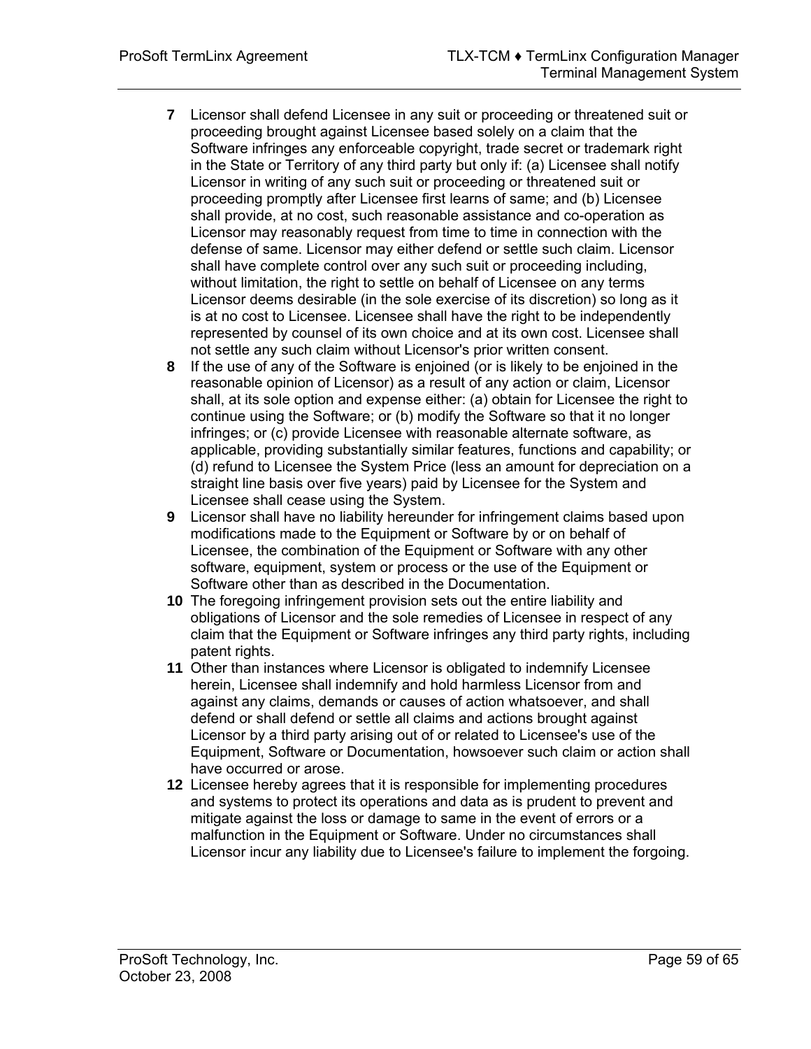- **7** Licensor shall defend Licensee in any suit or proceeding or threatened suit or proceeding brought against Licensee based solely on a claim that the Software infringes any enforceable copyright, trade secret or trademark right in the State or Territory of any third party but only if: (a) Licensee shall notify Licensor in writing of any such suit or proceeding or threatened suit or proceeding promptly after Licensee first learns of same; and (b) Licensee shall provide, at no cost, such reasonable assistance and co-operation as Licensor may reasonably request from time to time in connection with the defense of same. Licensor may either defend or settle such claim. Licensor shall have complete control over any such suit or proceeding including, without limitation, the right to settle on behalf of Licensee on any terms Licensor deems desirable (in the sole exercise of its discretion) so long as it is at no cost to Licensee. Licensee shall have the right to be independently represented by counsel of its own choice and at its own cost. Licensee shall not settle any such claim without Licensor's prior written consent.
- **8** If the use of any of the Software is enjoined (or is likely to be enjoined in the reasonable opinion of Licensor) as a result of any action or claim, Licensor shall, at its sole option and expense either: (a) obtain for Licensee the right to continue using the Software; or (b) modify the Software so that it no longer infringes; or (c) provide Licensee with reasonable alternate software, as applicable, providing substantially similar features, functions and capability; or (d) refund to Licensee the System Price (less an amount for depreciation on a straight line basis over five years) paid by Licensee for the System and Licensee shall cease using the System.
- **9** Licensor shall have no liability hereunder for infringement claims based upon modifications made to the Equipment or Software by or on behalf of Licensee, the combination of the Equipment or Software with any other software, equipment, system or process or the use of the Equipment or Software other than as described in the Documentation.
- **10** The foregoing infringement provision sets out the entire liability and obligations of Licensor and the sole remedies of Licensee in respect of any claim that the Equipment or Software infringes any third party rights, including patent rights.
- **11** Other than instances where Licensor is obligated to indemnify Licensee herein, Licensee shall indemnify and hold harmless Licensor from and against any claims, demands or causes of action whatsoever, and shall defend or shall defend or settle all claims and actions brought against Licensor by a third party arising out of or related to Licensee's use of the Equipment, Software or Documentation, howsoever such claim or action shall have occurred or arose.
- **12** Licensee hereby agrees that it is responsible for implementing procedures and systems to protect its operations and data as is prudent to prevent and mitigate against the loss or damage to same in the event of errors or a malfunction in the Equipment or Software. Under no circumstances shall Licensor incur any liability due to Licensee's failure to implement the forgoing.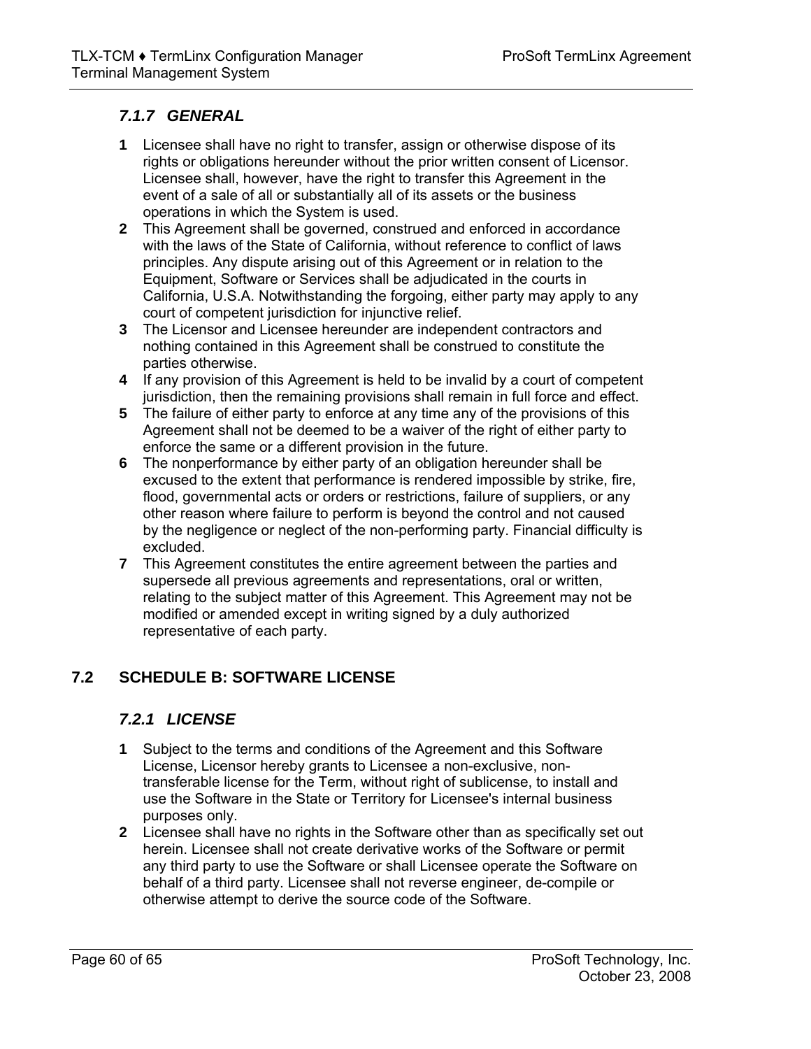## *7.1.7 GENERAL*

- **1** Licensee shall have no right to transfer, assign or otherwise dispose of its rights or obligations hereunder without the prior written consent of Licensor. Licensee shall, however, have the right to transfer this Agreement in the event of a sale of all or substantially all of its assets or the business operations in which the System is used.
- **2** This Agreement shall be governed, construed and enforced in accordance with the laws of the State of California, without reference to conflict of laws principles. Any dispute arising out of this Agreement or in relation to the Equipment, Software or Services shall be adjudicated in the courts in California, U.S.A. Notwithstanding the forgoing, either party may apply to any court of competent jurisdiction for injunctive relief.
- **3** The Licensor and Licensee hereunder are independent contractors and nothing contained in this Agreement shall be construed to constitute the parties otherwise.
- **4** If any provision of this Agreement is held to be invalid by a court of competent jurisdiction, then the remaining provisions shall remain in full force and effect.
- **5** The failure of either party to enforce at any time any of the provisions of this Agreement shall not be deemed to be a waiver of the right of either party to enforce the same or a different provision in the future.
- **6** The nonperformance by either party of an obligation hereunder shall be excused to the extent that performance is rendered impossible by strike, fire, flood, governmental acts or orders or restrictions, failure of suppliers, or any other reason where failure to perform is beyond the control and not caused by the negligence or neglect of the non-performing party. Financial difficulty is excluded.
- **7** This Agreement constitutes the entire agreement between the parties and supersede all previous agreements and representations, oral or written, relating to the subject matter of this Agreement. This Agreement may not be modified or amended except in writing signed by a duly authorized representative of each party.

## **7.2 SCHEDULE B: SOFTWARE LICENSE**

## <span id="page-59-0"></span>*7.2.1 LICENSE*

- **1** Subject to the terms and conditions of the Agreement and this Software License, Licensor hereby grants to Licensee a non-exclusive, nontransferable license for the Term, without right of sublicense, to install and use the Software in the State or Territory for Licensee's internal business purposes only.
- **2** Licensee shall have no rights in the Software other than as specifically set out herein. Licensee shall not create derivative works of the Software or permit any third party to use the Software or shall Licensee operate the Software on behalf of a third party. Licensee shall not reverse engineer, de-compile or otherwise attempt to derive the source code of the Software.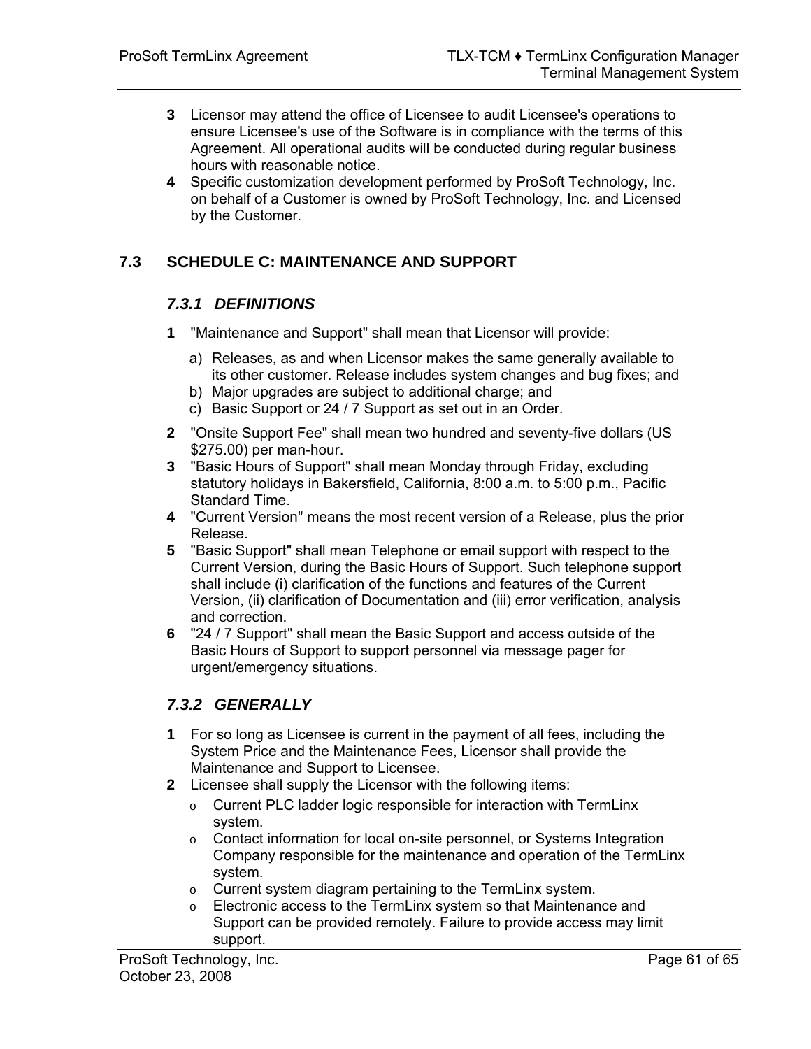- **3** Licensor may attend the office of Licensee to audit Licensee's operations to ensure Licensee's use of the Software is in compliance with the terms of this Agreement. All operational audits will be conducted during regular business hours with reasonable notice.
- **4** Specific customization development performed by ProSoft Technology, Inc. on behalf of a Customer is owned by ProSoft Technology, Inc. and Licensed by the Customer.

## **7.3 SCHEDULE C: MAINTENANCE AND SUPPORT**

## <span id="page-60-0"></span>*7.3.1 DEFINITIONS*

- **1** "Maintenance and Support" shall mean that Licensor will provide:
	- a) Releases, as and when Licensor makes the same generally available to its other customer. Release includes system changes and bug fixes; and
	- b) Major upgrades are subject to additional charge; and
	- c) Basic Support or 24 / 7 Support as set out in an Order.
- **2** "Onsite Support Fee" shall mean two hundred and seventy-five dollars (US \$275.00) per man-hour.
- **3** "Basic Hours of Support" shall mean Monday through Friday, excluding statutory holidays in Bakersfield, California, 8:00 a.m. to 5:00 p.m., Pacific Standard Time.
- **4** "Current Version" means the most recent version of a Release, plus the prior Release.
- **5** "Basic Support" shall mean Telephone or email support with respect to the Current Version, during the Basic Hours of Support. Such telephone support shall include (i) clarification of the functions and features of the Current Version, (ii) clarification of Documentation and (iii) error verification, analysis and correction.
- **6** "24 / 7 Support" shall mean the Basic Support and access outside of the Basic Hours of Support to support personnel via message pager for urgent/emergency situations.

## *7.3.2 GENERALLY*

- **1** For so long as Licensee is current in the payment of all fees, including the System Price and the Maintenance Fees, Licensor shall provide the Maintenance and Support to Licensee.
- **2** Licensee shall supply the Licensor with the following items:
	- o Current PLC ladder logic responsible for interaction with TermLinx system.
	- o Contact information for local on-site personnel, or Systems Integration Company responsible for the maintenance and operation of the TermLinx system.
	- o Current system diagram pertaining to the TermLinx system.
	- o Electronic access to the TermLinx system so that Maintenance and Support can be provided remotely. Failure to provide access may limit support.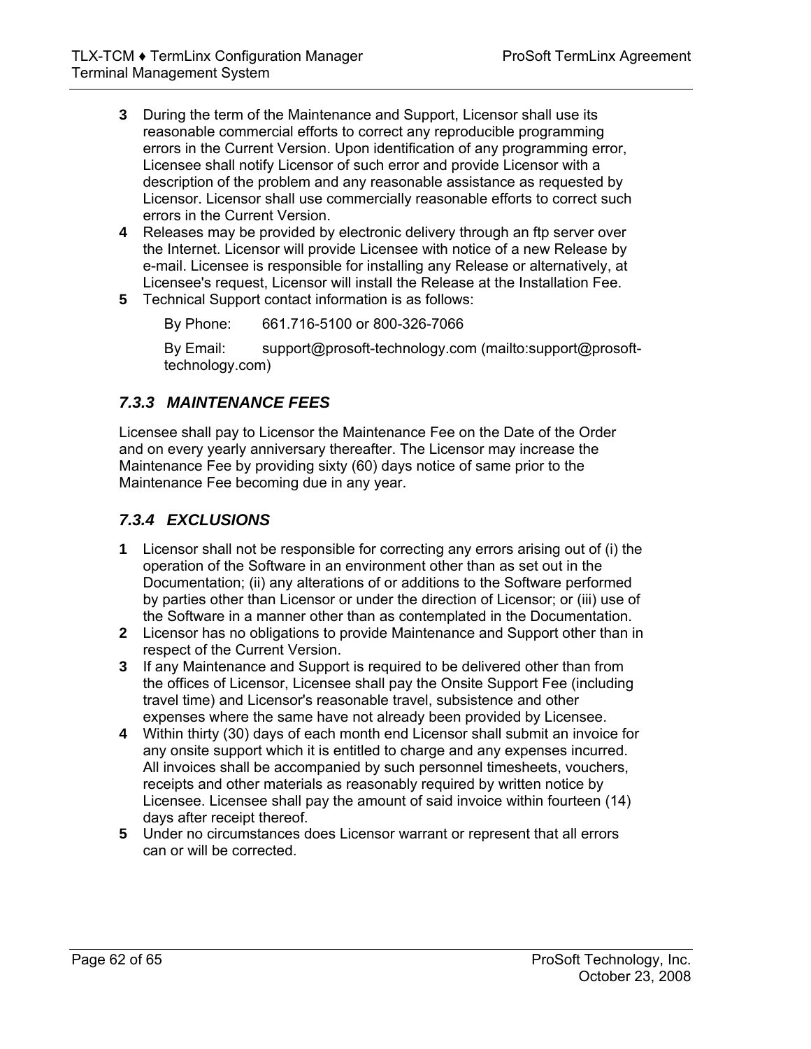- **3** During the term of the Maintenance and Support, Licensor shall use its reasonable commercial efforts to correct any reproducible programming errors in the Current Version. Upon identification of any programming error, Licensee shall notify Licensor of such error and provide Licensor with a description of the problem and any reasonable assistance as requested by Licensor. Licensor shall use commercially reasonable efforts to correct such errors in the Current Version.
- **4** Releases may be provided by electronic delivery through an ftp server over the Internet. Licensor will provide Licensee with notice of a new Release by e-mail. Licensee is responsible for installing any Release or alternatively, at Licensee's request, Licensor will install the Release at the Installation Fee.
- **5** Technical Support contact information is as follows:

By Phone: 661.716-5100 or 800-326-7066

By Email: support@prosoft-technology.com ([mailto:support@prosoft](mailto:support@prosoft-technology.com)[technology.com\)](mailto:support@prosoft-technology.com)

## *7.3.3 MAINTENANCE FEES*

Licensee shall pay to Licensor the Maintenance Fee on the Date of the Order and on every yearly anniversary thereafter. The Licensor may increase the Maintenance Fee by providing sixty (60) days notice of same prior to the Maintenance Fee becoming due in any year.

## *7.3.4 EXCLUSIONS*

- **1** Licensor shall not be responsible for correcting any errors arising out of (i) the operation of the Software in an environment other than as set out in the Documentation; (ii) any alterations of or additions to the Software performed by parties other than Licensor or under the direction of Licensor; or (iii) use of the Software in a manner other than as contemplated in the Documentation.
- **2** Licensor has no obligations to provide Maintenance and Support other than in respect of the Current Version.
- **3** If any Maintenance and Support is required to be delivered other than from the offices of Licensor, Licensee shall pay the Onsite Support Fee (including travel time) and Licensor's reasonable travel, subsistence and other expenses where the same have not already been provided by Licensee.
- **4** Within thirty (30) days of each month end Licensor shall submit an invoice for any onsite support which it is entitled to charge and any expenses incurred. All invoices shall be accompanied by such personnel timesheets, vouchers, receipts and other materials as reasonably required by written notice by Licensee. Licensee shall pay the amount of said invoice within fourteen (14) days after receipt thereof.
- **5** Under no circumstances does Licensor warrant or represent that all errors can or will be corrected.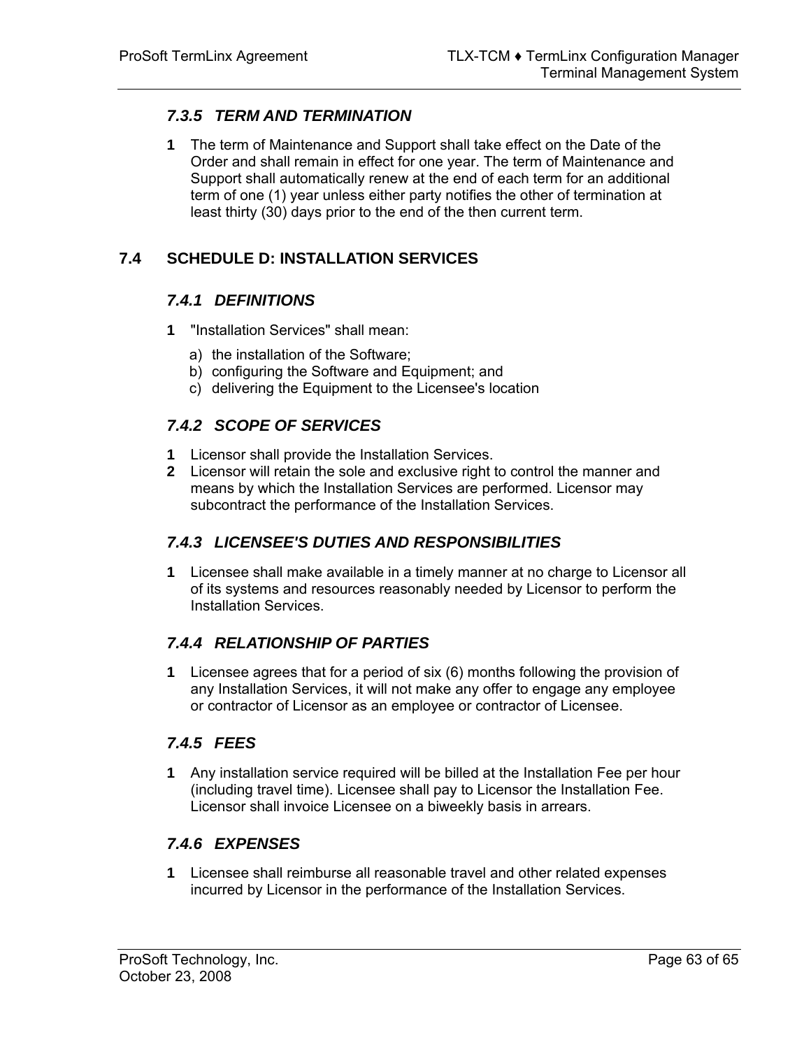## *7.3.5 TERM AND TERMINATION*

**1** The term of Maintenance and Support shall take effect on the Date of the Order and shall remain in effect for one year. The term of Maintenance and Support shall automatically renew at the end of each term for an additional term of one (1) year unless either party notifies the other of termination at least thirty (30) days prior to the end of the then current term.

## **7.4 SCHEDULE D: INSTALLATION SERVICES**

## <span id="page-62-0"></span>*7.4.1 DEFINITIONS*

- **1** "Installation Services" shall mean:
	- a) the installation of the Software;
	- b) configuring the Software and Equipment; and
	- c) delivering the Equipment to the Licensee's location

## *7.4.2 SCOPE OF SERVICES*

- **1** Licensor shall provide the Installation Services.
- **2** Licensor will retain the sole and exclusive right to control the manner and means by which the Installation Services are performed. Licensor may subcontract the performance of the Installation Services.

## *7.4.3 LICENSEE'S DUTIES AND RESPONSIBILITIES*

**1** Licensee shall make available in a timely manner at no charge to Licensor all of its systems and resources reasonably needed by Licensor to perform the Installation Services.

## *7.4.4 RELATIONSHIP OF PARTIES*

**1** Licensee agrees that for a period of six (6) months following the provision of any Installation Services, it will not make any offer to engage any employee or contractor of Licensor as an employee or contractor of Licensee.

## *7.4.5 FEES*

**1** Any installation service required will be billed at the Installation Fee per hour (including travel time). Licensee shall pay to Licensor the Installation Fee. Licensor shall invoice Licensee on a biweekly basis in arrears.

## *7.4.6 EXPENSES*

**1** Licensee shall reimburse all reasonable travel and other related expenses incurred by Licensor in the performance of the Installation Services.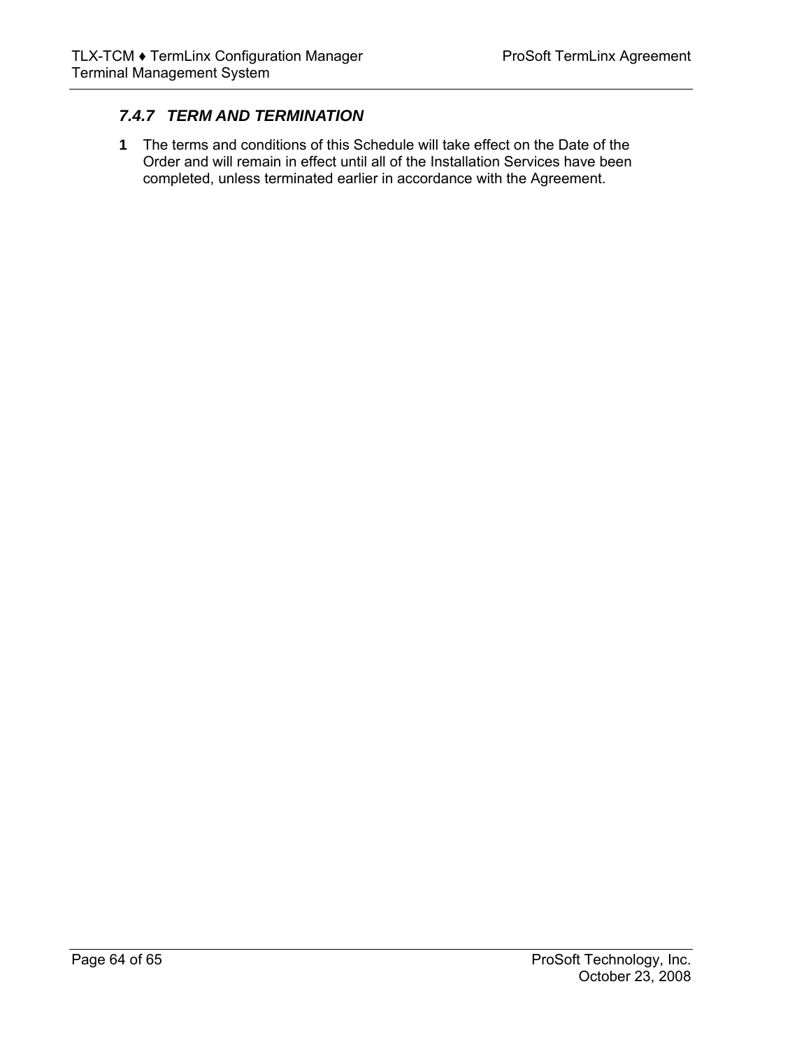## *7.4.7 TERM AND TERMINATION*

**1** The terms and conditions of this Schedule will take effect on the Date of the Order and will remain in effect until all of the Installation Services have been completed, unless terminated earlier in accordance with the Agreement.